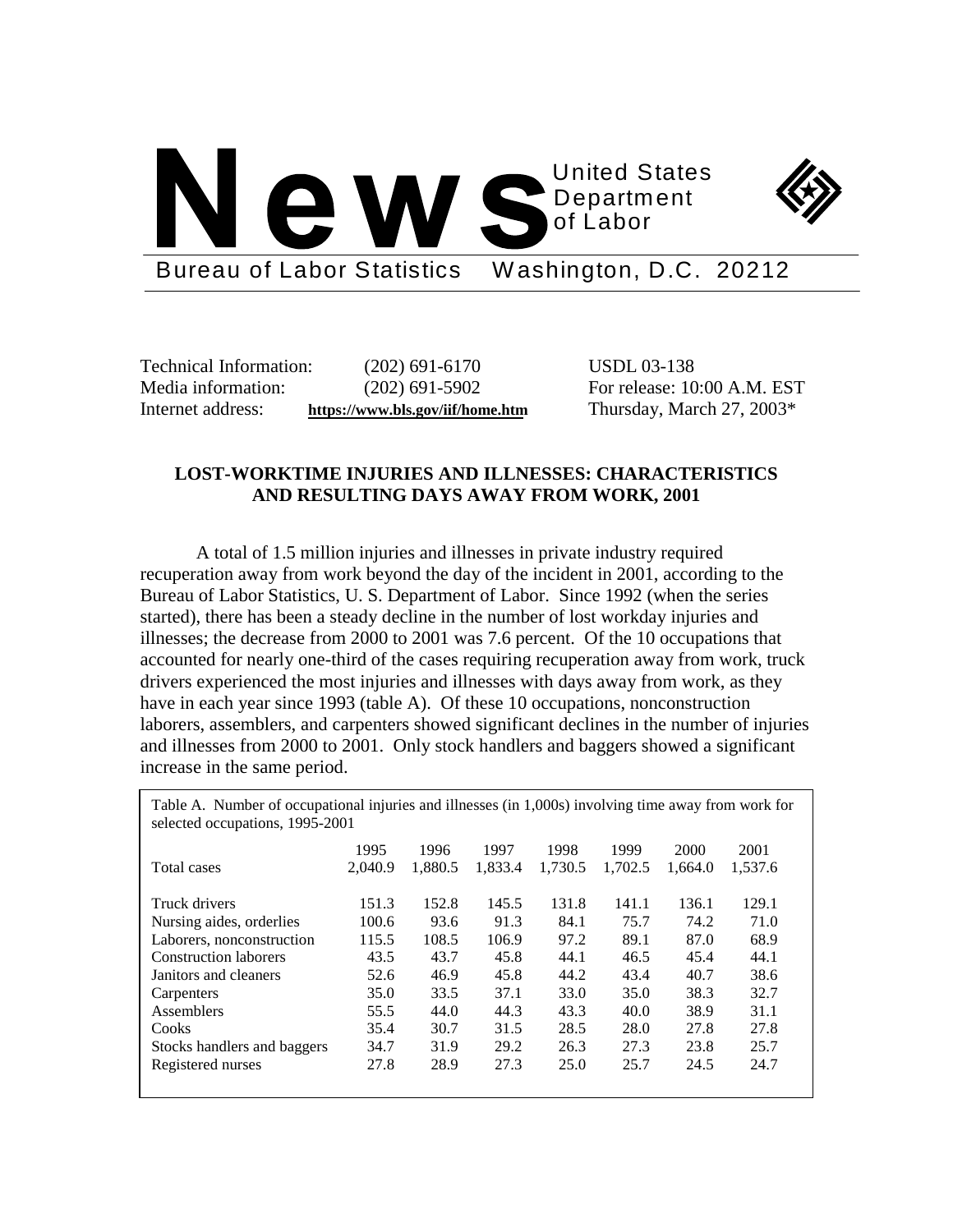



Bureau of Labor Statistics Washington, D.C. 20212

Technical Information: (202) 691-6170 USDL 03-138

Media information: (202) 691-5902 For release: 10:00 A.M. EST Internet address: **https://www.bls.gov/iif/home.htm** Thursday, March 27, 2003\*

## **LOST-WORKTIME INJURIES AND ILLNESSES: CHARACTERISTICS AND RESULTING DAYS AWAY FROM WORK, 2001**

A total of 1.5 million injuries and illnesses in private industry required recuperation away from work beyond the day of the incident in 2001, according to the Bureau of Labor Statistics, U. S. Department of Labor. Since 1992 (when the series started), there has been a steady decline in the number of lost workday injuries and illnesses; the decrease from 2000 to 2001 was 7.6 percent. Of the 10 occupations that accounted for nearly one-third of the cases requiring recuperation away from work, truck drivers experienced the most injuries and illnesses with days away from work, as they have in each year since 1993 (table A). Of these 10 occupations, nonconstruction laborers, assemblers, and carpenters showed significant declines in the number of injuries and illnesses from 2000 to 2001. Only stock handlers and baggers showed a significant increase in the same period.

Table A. Number of occupational injuries and illnesses (in 1,000s) involving time away from work for selected occupations, 1995-2001

| Total cases                  | 1995<br>2.040.9 | 1996<br>1.880.5 | 1997<br>1.833.4 | 1998<br>1.730.5 | 1999<br>1.702.5 | 2000<br>1.664.0 | 2001<br>1.537.6 |
|------------------------------|-----------------|-----------------|-----------------|-----------------|-----------------|-----------------|-----------------|
| Truck drivers                | 151.3           | 152.8           | 145.5           | 131.8           | 141.1           | 136.1           | 129.1           |
| Nursing aides, orderlies     | 100.6           | 93.6            | 91.3            | 84.1            | 75.7            | 74.2            | 71.0            |
| Laborers, nonconstruction    | 115.5           | 108.5           | 106.9           | 97.2            | 89.1            | 87.0            | 68.9            |
| <b>Construction laborers</b> | 43.5            | 43.7            | 45.8            | 44.1            | 46.5            | 45.4            | 44.1            |
| Janitors and cleaners        | 52.6            | 46.9            | 45.8            | 44.2            | 43.4            | 40.7            | 38.6            |
| Carpenters                   | 35.0            | 33.5            | 37.1            | 33.0            | 35.0            | 38.3            | 32.7            |
| Assemblers                   | 55.5            | 44.0            | 44.3            | 43.3            | 40.0            | 38.9            | 31.1            |
| Cooks                        | 35.4            | 30.7            | 31.5            | 28.5            | 28.0            | 27.8            | 27.8            |
| Stocks handlers and baggers  | 34.7            | 31.9            | 29.2            | 26.3            | 27.3            | 23.8            | 25.7            |
| Registered nurses            | 27.8            | 28.9            | 27.3            | 25.0            | 25.7            | 24.5            | 24.7            |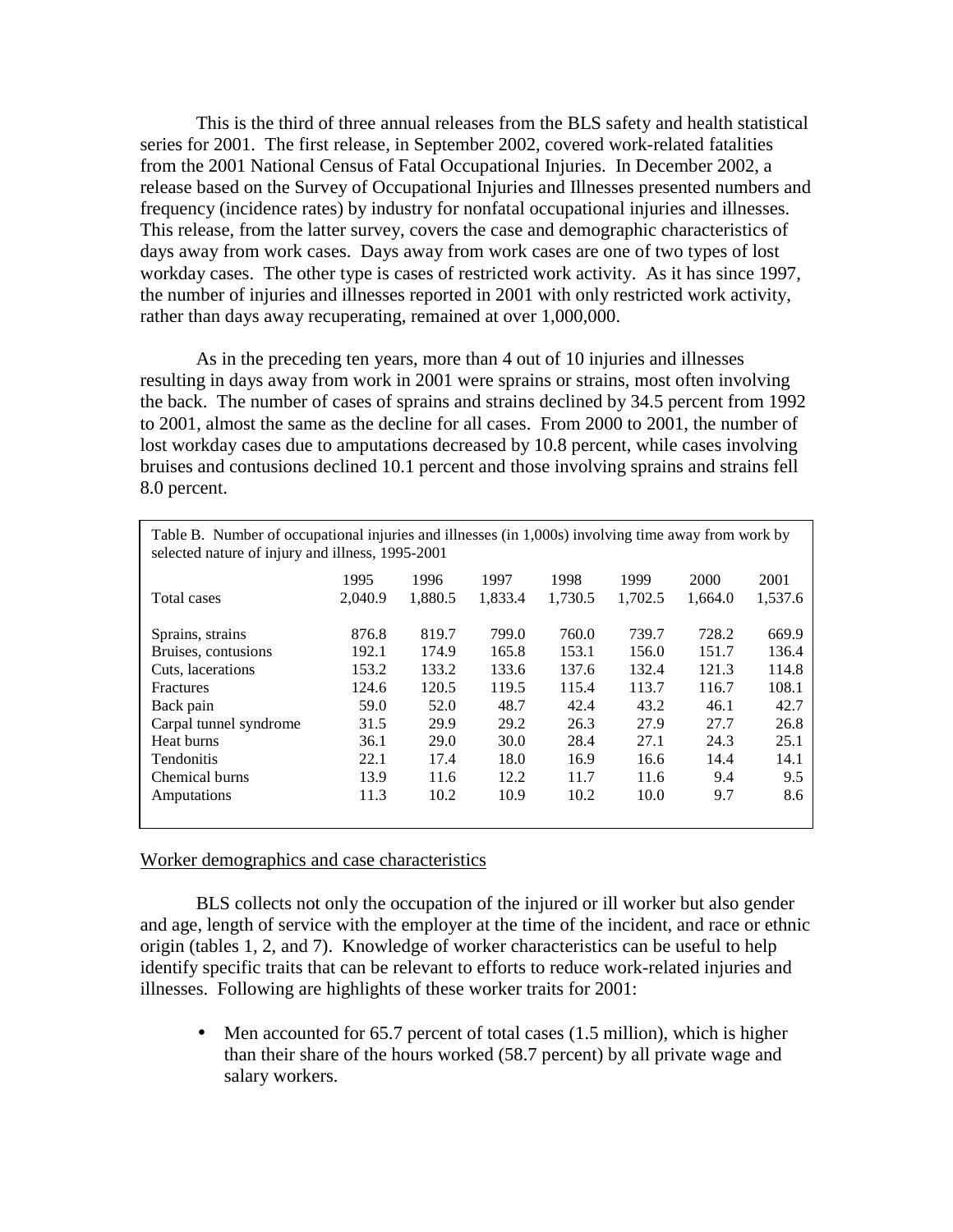This is the third of three annual releases from the BLS safety and health statistical series for 2001. The first release, in September 2002, covered work-related fatalities from the 2001 National Census of Fatal Occupational Injuries. In December 2002, a release based on the Survey of Occupational Injuries and Illnesses presented numbers and frequency (incidence rates) by industry for nonfatal occupational injuries and illnesses. This release, from the latter survey, covers the case and demographic characteristics of days away from work cases. Days away from work cases are one of two types of lost workday cases. The other type is cases of restricted work activity. As it has since 1997, the number of injuries and illnesses reported in 2001 with only restricted work activity, rather than days away recuperating, remained at over 1,000,000.

As in the preceding ten years, more than 4 out of 10 injuries and illnesses resulting in days away from work in 2001 were sprains or strains, most often involving the back. The number of cases of sprains and strains declined by 34.5 percent from 1992 to 2001, almost the same as the decline for all cases. From 2000 to 2001, the number of lost workday cases due to amputations decreased by 10.8 percent, while cases involving bruises and contusions declined 10.1 percent and those involving sprains and strains fell 8.0 percent.

| Table B. Number of occupational injuries and illnesses (in 1,000s) involving time away from work by<br>selected nature of injury and illness, 1995-2001 |         |         |         |         |         |         |         |  |  |  |  |  |
|---------------------------------------------------------------------------------------------------------------------------------------------------------|---------|---------|---------|---------|---------|---------|---------|--|--|--|--|--|
|                                                                                                                                                         | 1995    | 1996    | 1997    | 1998    | 1999    | 2000    | 2001    |  |  |  |  |  |
| Total cases                                                                                                                                             | 2,040.9 | 1,880.5 | 1,833.4 | 1,730.5 | 1,702.5 | 1,664.0 | 1,537.6 |  |  |  |  |  |
| Sprains, strains                                                                                                                                        | 876.8   | 819.7   | 799.0   | 760.0   | 739.7   | 728.2   | 669.9   |  |  |  |  |  |
| Bruises, contusions                                                                                                                                     | 192.1   | 174.9   | 165.8   | 153.1   | 156.0   | 151.7   | 136.4   |  |  |  |  |  |
| Cuts, lacerations                                                                                                                                       | 153.2   | 133.2   | 133.6   | 137.6   | 132.4   | 121.3   | 114.8   |  |  |  |  |  |
| <b>Fractures</b>                                                                                                                                        | 124.6   | 120.5   | 119.5   | 115.4   | 113.7   | 116.7   | 108.1   |  |  |  |  |  |
| Back pain                                                                                                                                               | 59.0    | 52.0    | 48.7    | 42.4    | 43.2    | 46.1    | 42.7    |  |  |  |  |  |
| Carpal tunnel syndrome                                                                                                                                  | 31.5    | 29.9    | 29.2    | 26.3    | 27.9    | 27.7    | 26.8    |  |  |  |  |  |
| Heat burns                                                                                                                                              | 36.1    | 29.0    | 30.0    | 28.4    | 27.1    | 24.3    | 25.1    |  |  |  |  |  |
| <b>Tendonitis</b>                                                                                                                                       | 22.1    | 17.4    | 18.0    | 16.9    | 16.6    | 14.4    | 14.1    |  |  |  |  |  |
| Chemical burns                                                                                                                                          | 13.9    | 11.6    | 12.2    | 11.7    | 11.6    | 9.4     | 9.5     |  |  |  |  |  |
| Amputations                                                                                                                                             | 11.3    | 10.2    | 10.9    | 10.2    | 10.0    | 9.7     | 8.6     |  |  |  |  |  |

## Worker demographics and case characteristics

 BLS collects not only the occupation of the injured or ill worker but also gender and age, length of service with the employer at the time of the incident, and race or ethnic origin (tables 1, 2, and 7). Knowledge of worker characteristics can be useful to help identify specific traits that can be relevant to efforts to reduce work-related injuries and illnesses. Following are highlights of these worker traits for 2001:

• Men accounted for 65.7 percent of total cases (1.5 million), which is higher than their share of the hours worked (58.7 percent) by all private wage and salary workers.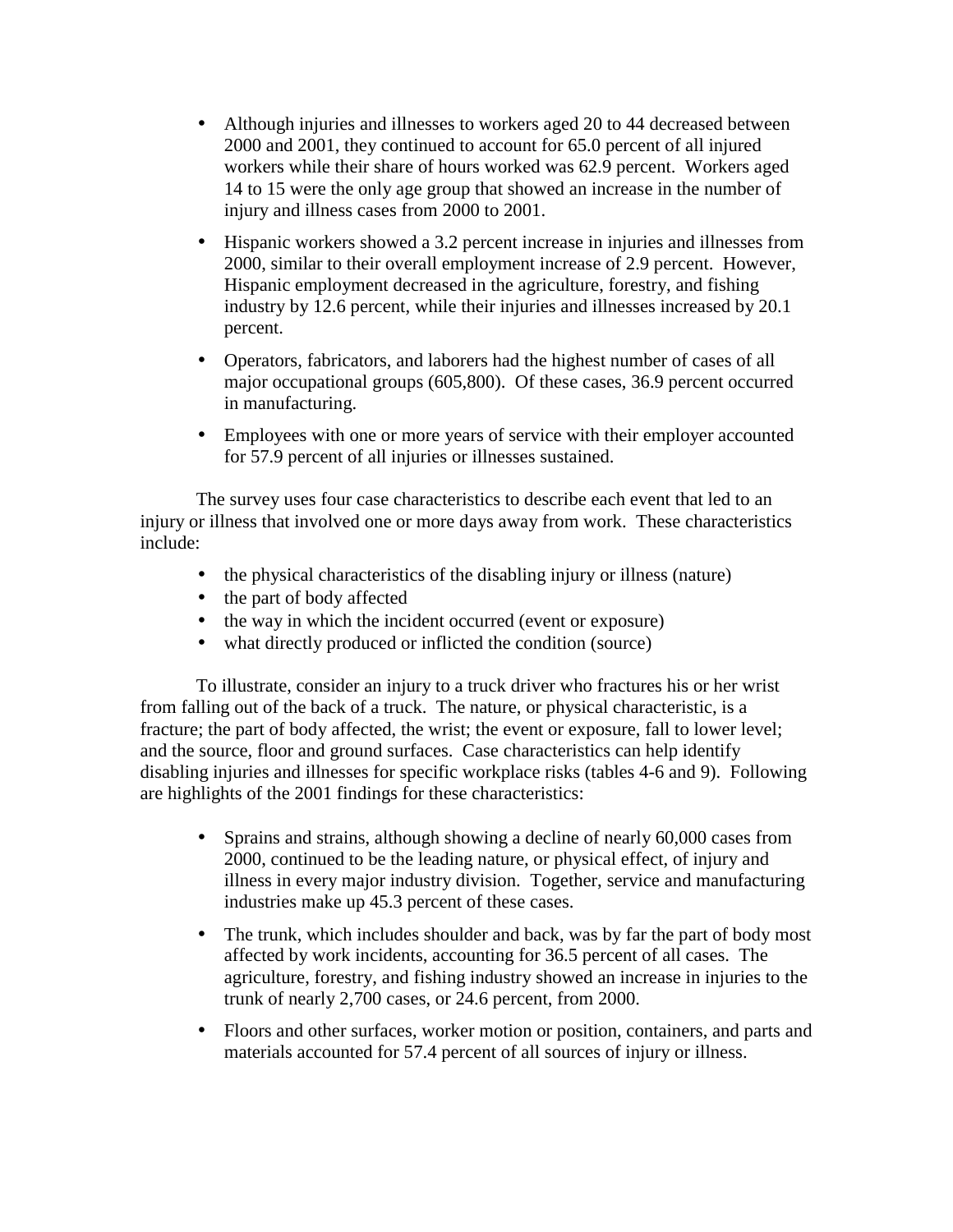- Although injuries and illnesses to workers aged 20 to 44 decreased between 2000 and 2001, they continued to account for 65.0 percent of all injured workers while their share of hours worked was 62.9 percent. Workers aged 14 to 15 were the only age group that showed an increase in the number of injury and illness cases from 2000 to 2001.
- Hispanic workers showed a 3.2 percent increase in injuries and illnesses from 2000, similar to their overall employment increase of 2.9 percent. However, Hispanic employment decreased in the agriculture, forestry, and fishing industry by 12.6 percent, while their injuries and illnesses increased by 20.1 percent.
- Operators, fabricators, and laborers had the highest number of cases of all major occupational groups (605,800). Of these cases, 36.9 percent occurred in manufacturing.
- Employees with one or more years of service with their employer accounted for 57.9 percent of all injuries or illnesses sustained.

The survey uses four case characteristics to describe each event that led to an injury or illness that involved one or more days away from work. These characteristics include:

- the physical characteristics of the disabling injury or illness (nature)
- the part of body affected
- the way in which the incident occurred (event or exposure)
- what directly produced or inflicted the condition (source)

To illustrate, consider an injury to a truck driver who fractures his or her wrist from falling out of the back of a truck. The nature, or physical characteristic, is a fracture; the part of body affected, the wrist; the event or exposure, fall to lower level; and the source, floor and ground surfaces. Case characteristics can help identify disabling injuries and illnesses for specific workplace risks (tables 4-6 and 9). Following are highlights of the 2001 findings for these characteristics:

- Sprains and strains, although showing a decline of nearly 60,000 cases from 2000, continued to be the leading nature, or physical effect, of injury and illness in every major industry division. Together, service and manufacturing industries make up 45.3 percent of these cases.
- The trunk, which includes shoulder and back, was by far the part of body most affected by work incidents, accounting for 36.5 percent of all cases. The agriculture, forestry, and fishing industry showed an increase in injuries to the trunk of nearly 2,700 cases, or 24.6 percent, from 2000.
- Floors and other surfaces, worker motion or position, containers, and parts and materials accounted for 57.4 percent of all sources of injury or illness.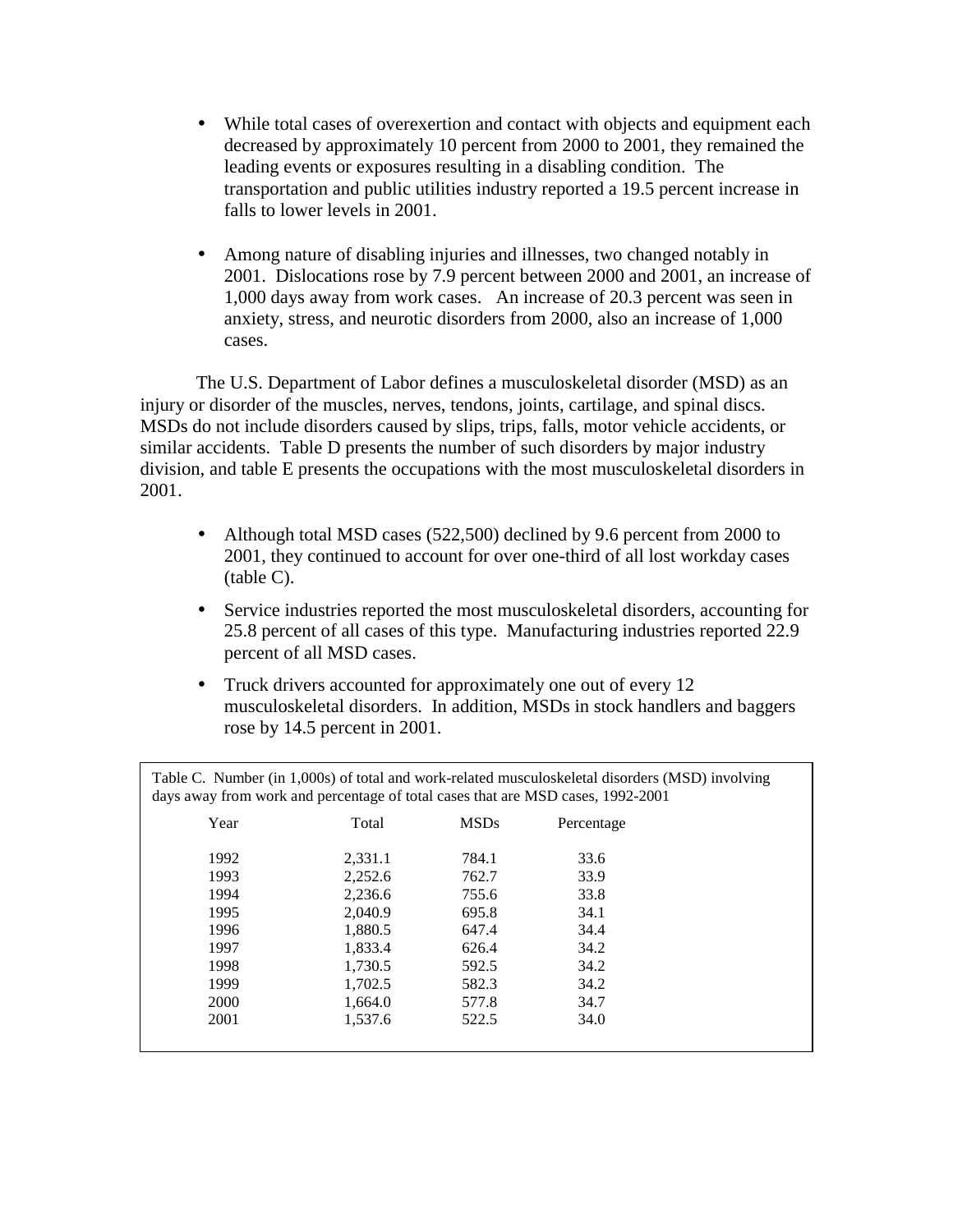- While total cases of overexertion and contact with objects and equipment each decreased by approximately 10 percent from 2000 to 2001, they remained the leading events or exposures resulting in a disabling condition. The transportation and public utilities industry reported a 19.5 percent increase in falls to lower levels in 2001.
- Among nature of disabling injuries and illnesses, two changed notably in 2001. Dislocations rose by 7.9 percent between 2000 and 2001, an increase of 1,000 days away from work cases. An increase of 20.3 percent was seen in anxiety, stress, and neurotic disorders from 2000, also an increase of 1,000 cases.

The U.S. Department of Labor defines a musculoskeletal disorder (MSD) as an injury or disorder of the muscles, nerves, tendons, joints, cartilage, and spinal discs. MSDs do not include disorders caused by slips, trips, falls, motor vehicle accidents, or similar accidents. Table D presents the number of such disorders by major industry division, and table E presents the occupations with the most musculoskeletal disorders in 2001.

- Although total MSD cases (522,500) declined by 9.6 percent from 2000 to 2001, they continued to account for over one-third of all lost workday cases (table C).
- Service industries reported the most musculoskeletal disorders, accounting for 25.8 percent of all cases of this type. Manufacturing industries reported 22.9 percent of all MSD cases.
- Truck drivers accounted for approximately one out of every 12 musculoskeletal disorders. In addition, MSDs in stock handlers and baggers rose by 14.5 percent in 2001.

| days away from work and percentage of total cases that are MSD cases, 1992-2001 |         |             | Table C. Number (in 1,000s) of total and work-related musculoskeletal disorders (MSD) involving |  |
|---------------------------------------------------------------------------------|---------|-------------|-------------------------------------------------------------------------------------------------|--|
| Year                                                                            | Total   | <b>MSDs</b> | Percentage                                                                                      |  |
| 1992                                                                            | 2.331.1 | 784.1       | 33.6                                                                                            |  |
| 1993                                                                            | 2.252.6 | 762.7       | 33.9                                                                                            |  |
| 1994                                                                            | 2,236.6 | 755.6       | 33.8                                                                                            |  |
| 1995                                                                            | 2.040.9 | 695.8       | 34.1                                                                                            |  |
| 1996                                                                            | 1.880.5 | 647.4       | 34.4                                                                                            |  |
| 1997                                                                            | 1,833.4 | 626.4       | 34.2                                                                                            |  |
| 1998                                                                            | 1.730.5 | 592.5       | 34.2                                                                                            |  |
| 1999                                                                            | 1,702.5 | 582.3       | 34.2                                                                                            |  |
| 2000                                                                            | 1,664.0 | 577.8       | 34.7                                                                                            |  |
| 2001                                                                            | 1.537.6 | 522.5       | 34.0                                                                                            |  |
|                                                                                 |         |             |                                                                                                 |  |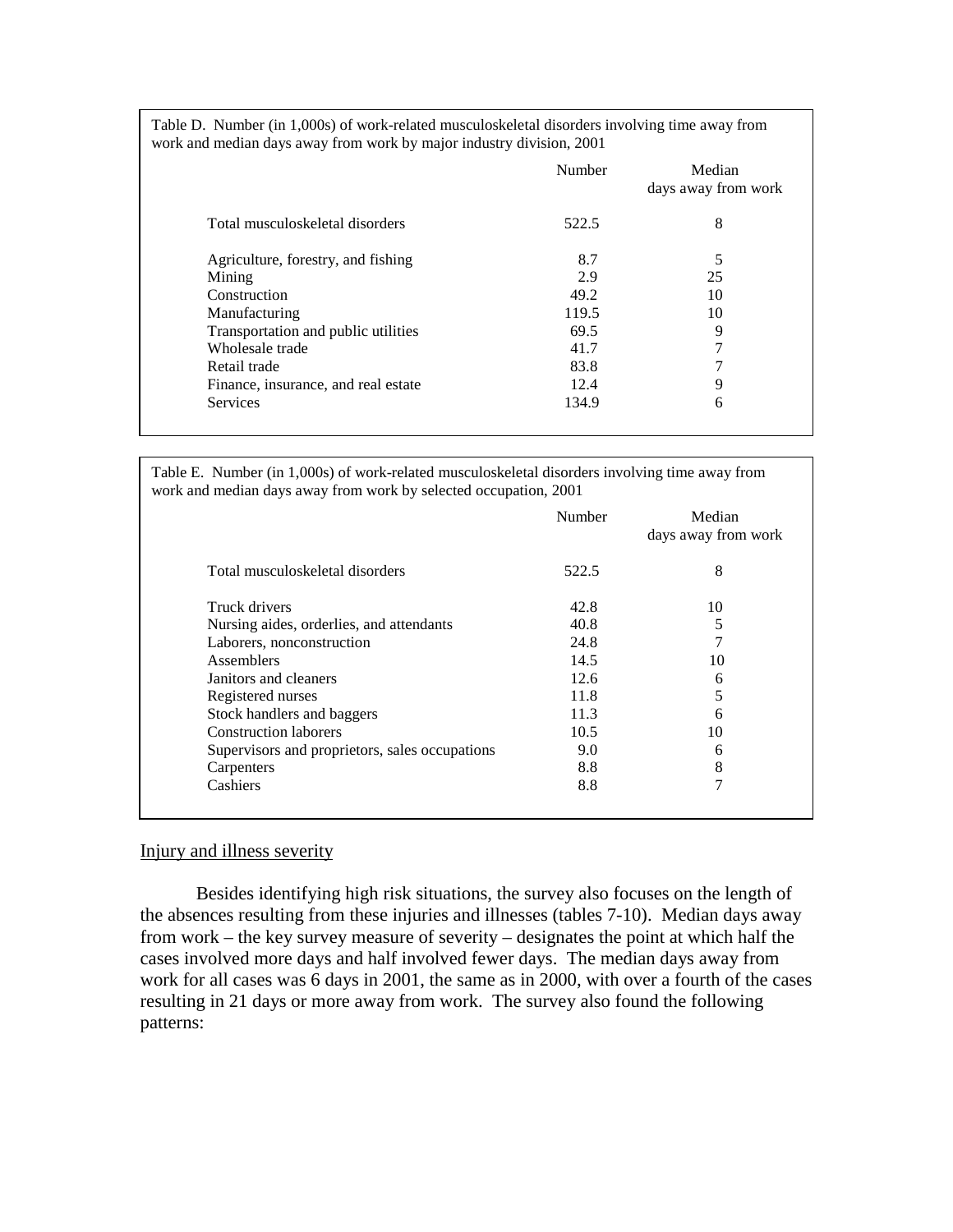| Table D. Number (in 1,000s) of work-related musculoskeletal disorders involving time away from |
|------------------------------------------------------------------------------------------------|
| work and median days away from work by major industry division, 2001                           |

|                                     | Number | Median<br>days away from work |
|-------------------------------------|--------|-------------------------------|
| Total musculoskeletal disorders     | 522.5  | 8                             |
| Agriculture, forestry, and fishing  | 8.7    | 5                             |
| Mining                              | 2.9    | 25                            |
| Construction                        | 49.2   | 10                            |
| Manufacturing                       | 119.5  | 10                            |
| Transportation and public utilities | 69.5   | 9                             |
| Wholesale trade                     | 41.7   | 7                             |
| Retail trade                        | 83.8   | 7                             |
| Finance, insurance, and real estate | 12.4   | 9                             |
| <b>Services</b>                     | 134.9  | 6                             |

Table E. Number (in 1,000s) of work-related musculoskeletal disorders involving time away from work and median days away from work by selected occupation, 2001

|                                                | Number | Median<br>days away from work |
|------------------------------------------------|--------|-------------------------------|
| Total musculoskeletal disorders                | 522.5  | 8                             |
| Truck drivers                                  | 42.8   | 10                            |
| Nursing aides, orderlies, and attendants       | 40.8   | 5                             |
| Laborers, nonconstruction                      | 24.8   | 7                             |
| Assemblers                                     | 14.5   | 10                            |
| Janitors and cleaners                          | 12.6   | 6                             |
| Registered nurses                              | 11.8   | 5                             |
| Stock handlers and baggers                     | 11.3   | 6                             |
| <b>Construction laborers</b>                   | 10.5   | 10                            |
| Supervisors and proprietors, sales occupations | 9.0    | 6                             |
| Carpenters                                     | 8.8    | 8                             |
| Cashiers                                       | 8.8    | 7                             |

## Injury and illness severity

Besides identifying high risk situations, the survey also focuses on the length of the absences resulting from these injuries and illnesses (tables 7-10). Median days away from work – the key survey measure of severity – designates the point at which half the cases involved more days and half involved fewer days. The median days away from work for all cases was 6 days in 2001, the same as in 2000, with over a fourth of the cases resulting in 21 days or more away from work. The survey also found the following patterns: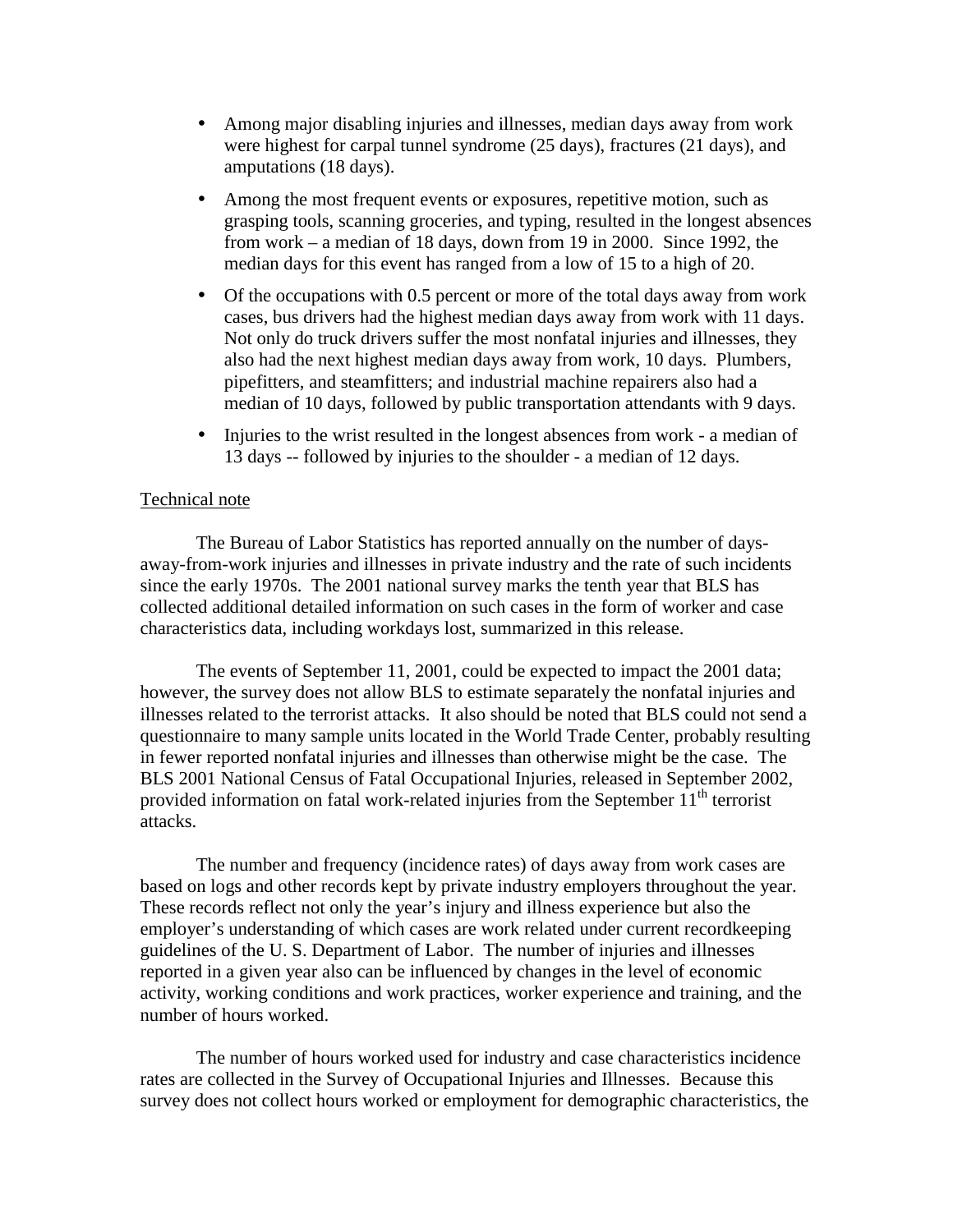- Among major disabling injuries and illnesses, median days away from work were highest for carpal tunnel syndrome (25 days), fractures (21 days), and amputations (18 days).
- Among the most frequent events or exposures, repetitive motion, such as grasping tools, scanning groceries, and typing, resulted in the longest absences from work – a median of 18 days, down from 19 in 2000. Since 1992, the median days for this event has ranged from a low of 15 to a high of 20.
- Of the occupations with 0.5 percent or more of the total days away from work cases, bus drivers had the highest median days away from work with 11 days. Not only do truck drivers suffer the most nonfatal injuries and illnesses, they also had the next highest median days away from work, 10 days. Plumbers, pipefitters, and steamfitters; and industrial machine repairers also had a median of 10 days, followed by public transportation attendants with 9 days.
- Injuries to the wrist resulted in the longest absences from work a median of 13 days -- followed by injuries to the shoulder - a median of 12 days.

## Technical note

The Bureau of Labor Statistics has reported annually on the number of daysaway-from-work injuries and illnesses in private industry and the rate of such incidents since the early 1970s. The 2001 national survey marks the tenth year that BLS has collected additional detailed information on such cases in the form of worker and case characteristics data, including workdays lost, summarized in this release.

The events of September 11, 2001, could be expected to impact the 2001 data; however, the survey does not allow BLS to estimate separately the nonfatal injuries and illnesses related to the terrorist attacks. It also should be noted that BLS could not send a questionnaire to many sample units located in the World Trade Center, probably resulting in fewer reported nonfatal injuries and illnesses than otherwise might be the case. The BLS 2001 National Census of Fatal Occupational Injuries, released in September 2002, provided information on fatal work-related injuries from the September  $11<sup>th</sup>$  terrorist attacks.

The number and frequency (incidence rates) of days away from work cases are based on logs and other records kept by private industry employers throughout the year. These records reflect not only the year's injury and illness experience but also the employer's understanding of which cases are work related under current recordkeeping guidelines of the U. S. Department of Labor. The number of injuries and illnesses reported in a given year also can be influenced by changes in the level of economic activity, working conditions and work practices, worker experience and training, and the number of hours worked.

The number of hours worked used for industry and case characteristics incidence rates are collected in the Survey of Occupational Injuries and Illnesses. Because this survey does not collect hours worked or employment for demographic characteristics, the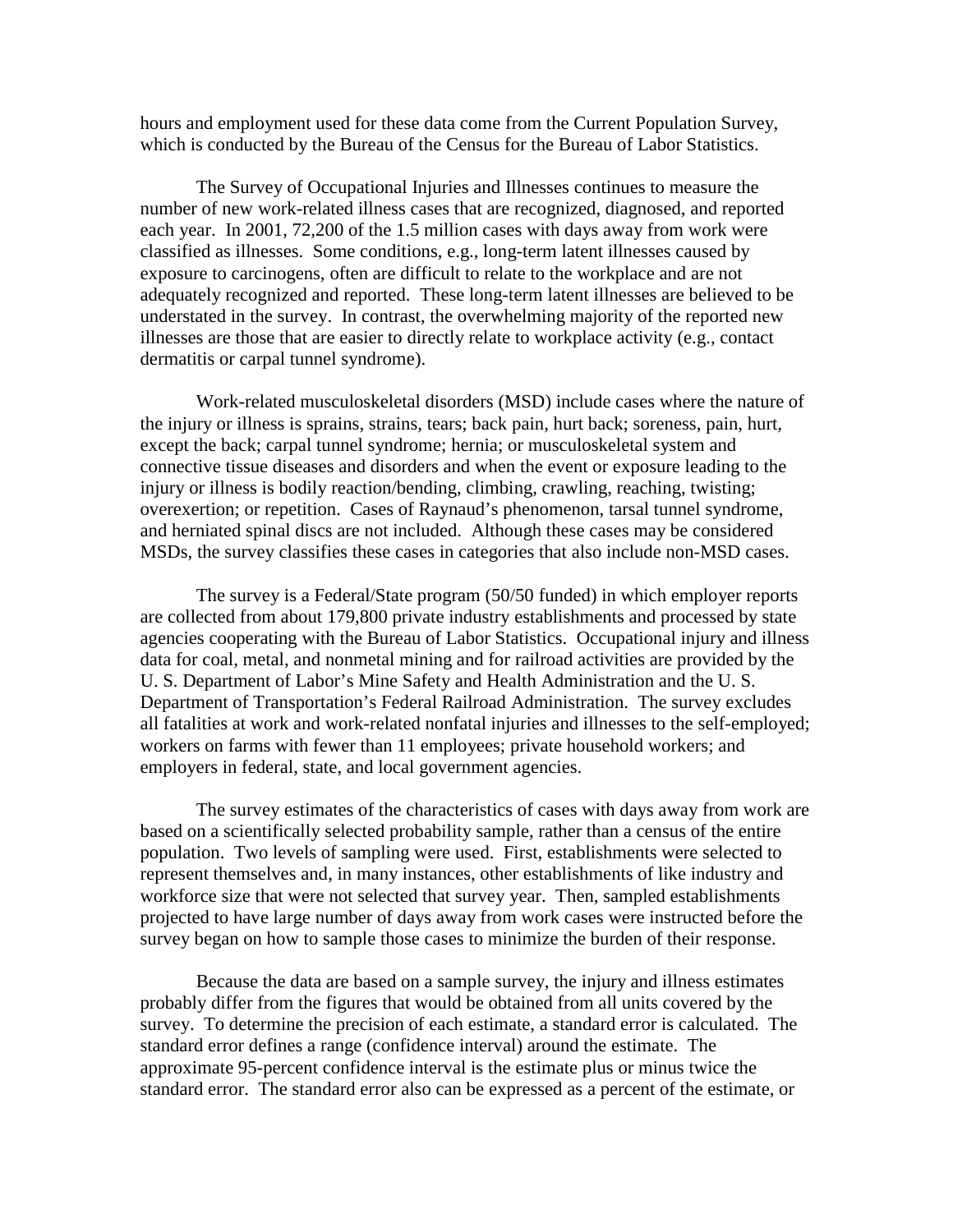hours and employment used for these data come from the Current Population Survey, which is conducted by the Bureau of the Census for the Bureau of Labor Statistics.

 The Survey of Occupational Injuries and Illnesses continues to measure the number of new work-related illness cases that are recognized, diagnosed, and reported each year. In 2001, 72,200 of the 1.5 million cases with days away from work were classified as illnesses. Some conditions, e.g., long-term latent illnesses caused by exposure to carcinogens, often are difficult to relate to the workplace and are not adequately recognized and reported. These long-term latent illnesses are believed to be understated in the survey. In contrast, the overwhelming majority of the reported new illnesses are those that are easier to directly relate to workplace activity (e.g., contact dermatitis or carpal tunnel syndrome).

Work-related musculoskeletal disorders (MSD) include cases where the nature of the injury or illness is sprains, strains, tears; back pain, hurt back; soreness, pain, hurt, except the back; carpal tunnel syndrome; hernia; or musculoskeletal system and connective tissue diseases and disorders and when the event or exposure leading to the injury or illness is bodily reaction/bending, climbing, crawling, reaching, twisting; overexertion; or repetition. Cases of Raynaud's phenomenon, tarsal tunnel syndrome, and herniated spinal discs are not included. Although these cases may be considered MSDs, the survey classifies these cases in categories that also include non-MSD cases.

The survey is a Federal/State program (50/50 funded) in which employer reports are collected from about 179,800 private industry establishments and processed by state agencies cooperating with the Bureau of Labor Statistics. Occupational injury and illness data for coal, metal, and nonmetal mining and for railroad activities are provided by the U. S. Department of Labor's Mine Safety and Health Administration and the U. S. Department of Transportation's Federal Railroad Administration. The survey excludes all fatalities at work and work-related nonfatal injuries and illnesses to the self-employed; workers on farms with fewer than 11 employees; private household workers; and employers in federal, state, and local government agencies.

 The survey estimates of the characteristics of cases with days away from work are based on a scientifically selected probability sample, rather than a census of the entire population. Two levels of sampling were used. First, establishments were selected to represent themselves and, in many instances, other establishments of like industry and workforce size that were not selected that survey year. Then, sampled establishments projected to have large number of days away from work cases were instructed before the survey began on how to sample those cases to minimize the burden of their response.

 Because the data are based on a sample survey, the injury and illness estimates probably differ from the figures that would be obtained from all units covered by the survey. To determine the precision of each estimate, a standard error is calculated. The standard error defines a range (confidence interval) around the estimate. The approximate 95-percent confidence interval is the estimate plus or minus twice the standard error. The standard error also can be expressed as a percent of the estimate, or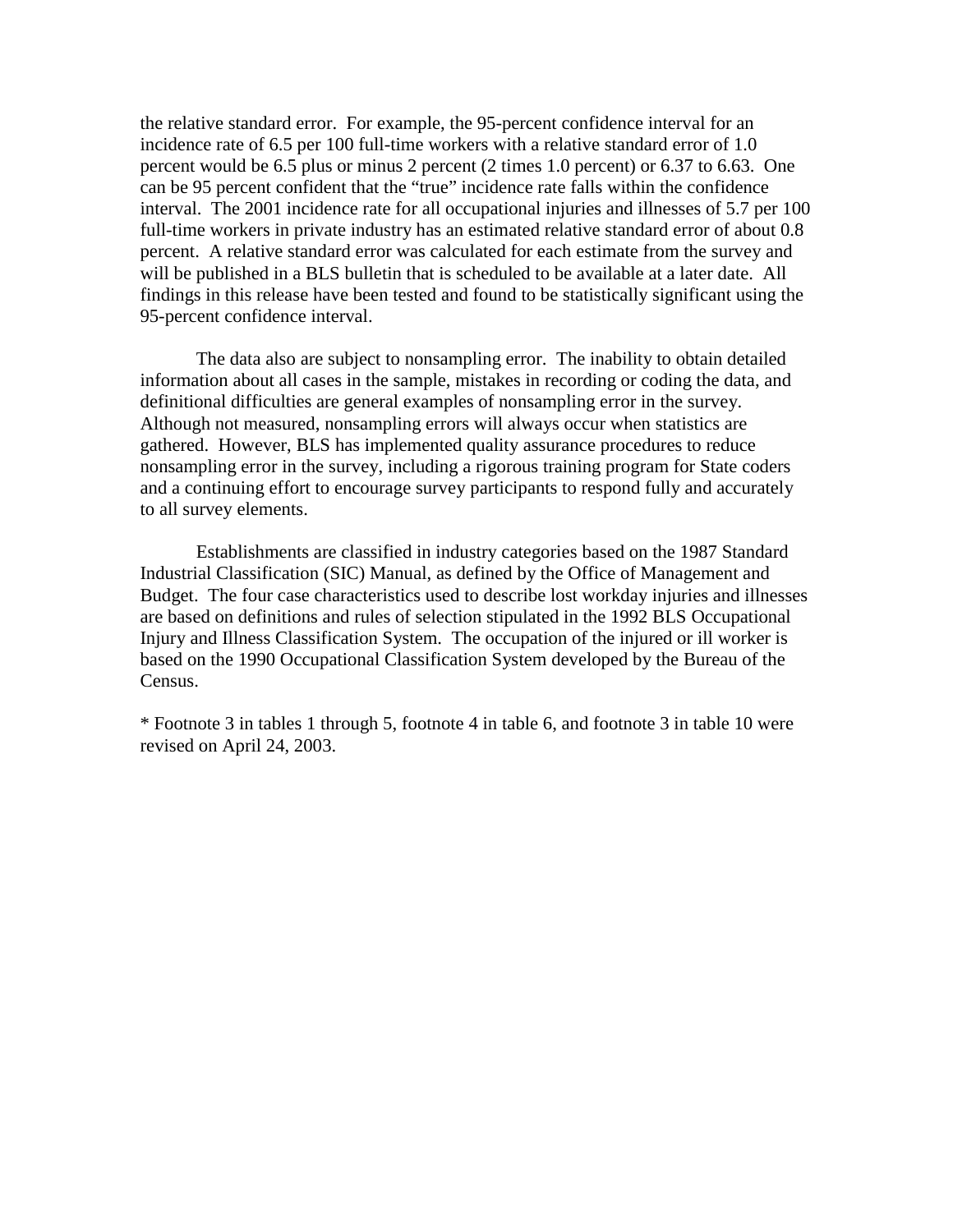the relative standard error. For example, the 95-percent confidence interval for an incidence rate of 6.5 per 100 full-time workers with a relative standard error of 1.0 percent would be 6.5 plus or minus 2 percent (2 times 1.0 percent) or 6.37 to 6.63. One can be 95 percent confident that the "true" incidence rate falls within the confidence interval. The 2001 incidence rate for all occupational injuries and illnesses of 5.7 per 100 full-time workers in private industry has an estimated relative standard error of about 0.8 percent. A relative standard error was calculated for each estimate from the survey and will be published in a BLS bulletin that is scheduled to be available at a later date. All findings in this release have been tested and found to be statistically significant using the 95-percent confidence interval.

 The data also are subject to nonsampling error. The inability to obtain detailed information about all cases in the sample, mistakes in recording or coding the data, and definitional difficulties are general examples of nonsampling error in the survey. Although not measured, nonsampling errors will always occur when statistics are gathered. However, BLS has implemented quality assurance procedures to reduce nonsampling error in the survey, including a rigorous training program for State coders and a continuing effort to encourage survey participants to respond fully and accurately to all survey elements.

 Establishments are classified in industry categories based on the 1987 Standard Industrial Classification (SIC) Manual, as defined by the Office of Management and Budget. The four case characteristics used to describe lost workday injuries and illnesses are based on definitions and rules of selection stipulated in the 1992 BLS Occupational Injury and Illness Classification System. The occupation of the injured or ill worker is based on the 1990 Occupational Classification System developed by the Bureau of the Census.

\* Footnote 3 in tables 1 through 5, footnote 4 in table 6, and footnote 3 in table 10 were revised on April 24, 2003.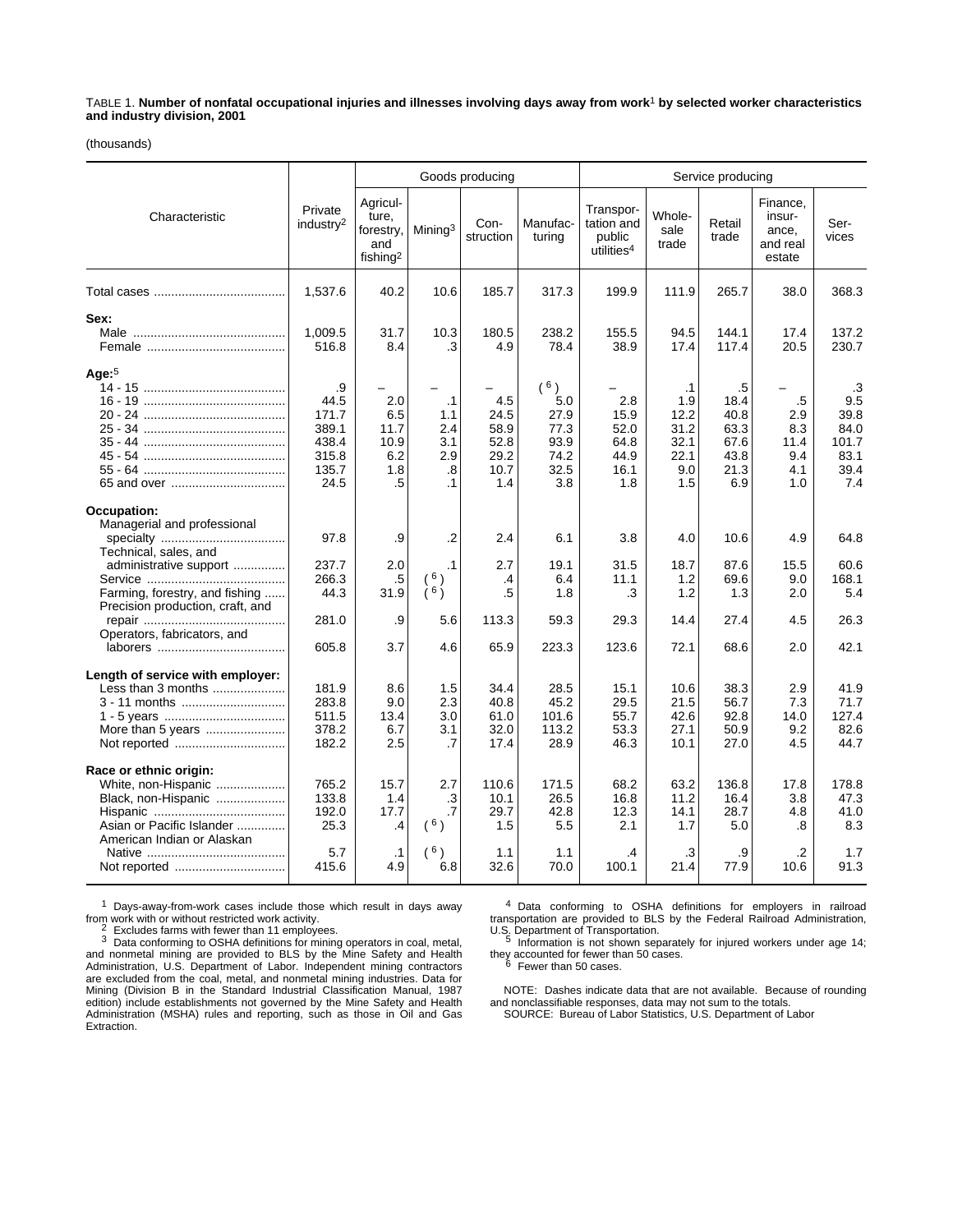TABLE 1. **Number of nonfatal occupational injuries and illnesses involving days away from work**1 **by selected worker characteristics and industry division, 2001**

(thousands)

|                                                                                                                                 |                                                                 |                                                               |                                                          | Goods producing                                    |                                                           | Service producing                                           |                                                         |                                                           |                                                   |                                                           |
|---------------------------------------------------------------------------------------------------------------------------------|-----------------------------------------------------------------|---------------------------------------------------------------|----------------------------------------------------------|----------------------------------------------------|-----------------------------------------------------------|-------------------------------------------------------------|---------------------------------------------------------|-----------------------------------------------------------|---------------------------------------------------|-----------------------------------------------------------|
| Characteristic                                                                                                                  | Private<br>industry <sup>2</sup>                                | Agricul-<br>ture,<br>forestry,<br>and<br>fishing <sup>2</sup> | Mining <sup>3</sup>                                      | Con-<br>struction                                  | Manufac-<br>turing                                        | Transpor-<br>tation and<br>public<br>utilities <sup>4</sup> | Whole-<br>sale<br>trade                                 | Retail<br>trade                                           | Finance,<br>insur-<br>ance,<br>and real<br>estate | Ser-<br>vices                                             |
|                                                                                                                                 | 1,537.6                                                         | 40.2                                                          | 10.6                                                     | 185.7                                              | 317.3                                                     | 199.9                                                       | 111.9                                                   | 265.7                                                     | 38.0                                              | 368.3                                                     |
| Sex:                                                                                                                            | 1,009.5<br>516.8                                                | 31.7<br>8.4                                                   | 10.3<br>.3                                               | 180.5<br>4.9                                       | 238.2<br>78.4                                             | 155.5<br>38.9                                               | 94.5<br>17.4                                            | 144.1<br>117.4                                            | 17.4<br>20.5                                      | 137.2<br>230.7                                            |
| Age: $5$                                                                                                                        | .9<br>44.5<br>171.7<br>389.1<br>438.4<br>315.8<br>135.7<br>24.5 | 2.0<br>6.5<br>11.7<br>10.9<br>6.2<br>1.8<br>.5                | $\cdot$ 1<br>1.1<br>2.4<br>3.1<br>2.9<br>.8<br>$\cdot$ 1 | 4.5<br>24.5<br>58.9<br>52.8<br>29.2<br>10.7<br>1.4 | (6)<br>5.0<br>27.9<br>77.3<br>93.9<br>74.2<br>32.5<br>3.8 | 2.8<br>15.9<br>52.0<br>64.8<br>44.9<br>16.1<br>1.8          | .1<br>1.9<br>12.2<br>31.2<br>32.1<br>22.1<br>9.0<br>1.5 | .5<br>18.4<br>40.8<br>63.3<br>67.6<br>43.8<br>21.3<br>6.9 | .5<br>2.9<br>8.3<br>11.4<br>9.4<br>4.1<br>1.0     | .3<br>9.5<br>39.8<br>84.0<br>101.7<br>83.1<br>39.4<br>7.4 |
| Occupation:<br>Managerial and professional<br>Technical, sales, and<br>administrative support                                   | 97.8<br>237.7<br>266.3                                          | .9<br>2.0<br>.5                                               | $\cdot$<br>$\cdot$ 1<br>6 <sub>1</sub>                   | 2.4<br>2.7<br>.4                                   | 6.1<br>19.1<br>6.4                                        | 3.8<br>31.5<br>11.1                                         | 4.0<br>18.7<br>1.2                                      | 10.6<br>87.6<br>69.6                                      | 4.9<br>15.5<br>9.0                                | 64.8<br>60.6<br>168.1                                     |
| Farming, forestry, and fishing<br>Precision production, craft, and<br>Operators, fabricators, and                               | 44.3<br>281.0<br>605.8                                          | 31.9<br>.9<br>3.7                                             | $\lambda$ 6 $\lambda$<br>5.6<br>4.6                      | .5<br>113.3<br>65.9                                | 1.8<br>59.3<br>223.3                                      | .3<br>29.3<br>123.6                                         | 1.2<br>14.4<br>72.1                                     | 1.3<br>27.4<br>68.6                                       | 2.0<br>4.5<br>2.0                                 | 5.4<br>26.3<br>42.1                                       |
| Length of service with employer:<br>Less than 3 months<br>3 - 11 months                                                         | 181.9<br>283.8<br>511.5<br>378.2<br>182.2                       | 8.6<br>9.0<br>13.4<br>6.7<br>2.5                              | 1.5<br>2.3<br>3.0<br>3.1<br>.7                           | 34.4<br>40.8<br>61.0<br>32.0<br>17.4               | 28.5<br>45.2<br>101.6<br>113.2<br>28.9                    | 15.1<br>29.5<br>55.7<br>53.3<br>46.3                        | 10.6<br>21.5<br>42.6<br>27.1<br>10.1                    | 38.3<br>56.7<br>92.8<br>50.9<br>27.0                      | 2.9<br>7.3<br>14.0<br>9.2<br>4.5                  | 41.9<br>71.7<br>127.4<br>82.6<br>44.7                     |
| Race or ethnic origin:<br>White, non-Hispanic<br>Black, non-Hispanic<br>Asian or Pacific Islander<br>American Indian or Alaskan | 765.2<br>133.8<br>192.0<br>25.3                                 | 15.7<br>1.4<br>17.7<br>.4                                     | 2.7<br>.3<br>.7<br>(6)                                   | 110.6<br>10.1<br>29.7<br>1.5                       | 171.5<br>26.5<br>42.8<br>5.5                              | 68.2<br>16.8<br>12.3<br>2.1                                 | 63.2<br>11.2<br>14.1<br>1.7                             | 136.8<br>16.4<br>28.7<br>5.0                              | 17.8<br>3.8<br>4.8<br>.8                          | 178.8<br>47.3<br>41.0<br>8.3                              |
|                                                                                                                                 | 5.7<br>415.6                                                    | $\cdot$ 1<br>4.9                                              | 6 <sub>1</sub><br>6.8                                    | 1.1<br>32.6                                        | 1.1<br>70.0                                               | .4<br>100.1                                                 | .3<br>21.4                                              | .9<br>77.9                                                | $\cdot$<br>10.6                                   | 1.7<br>91.3                                               |

 $1$  Days-away-from-work cases include those which result in days away from work with or without restricted work activity.

from work with or without restricted work activity.<br>
<sup>2</sup> Excludes farms with fewer than 11 employees.<br>
<sup>3</sup> Data conforming to OSHA definitions for mining operators in coal, metal,<br>
and nonmetal mining are provided to BLS b edition) include establishments not governed by the Mine Safety and Health Administration (MSHA) rules and reporting, such as those in Oil and Gas Extraction.

4 Data conforming to OSHA definitions for employers in railroad transportation are provided to BLS by the Federal Railroad Administration,

U.S. Department of Transportation.<br><sup>5</sup> Information is not shown separately for injured workers under age 14; they accounted for fewer than 50 cases.<br><sup>6</sup> Fewer than 50 cases.

NOTE: Dashes indicate data that are not available. Because of rounding and nonclassifiable responses, data may not sum to the totals. SOURCE: Bureau of Labor Statistics, U.S. Department of Labor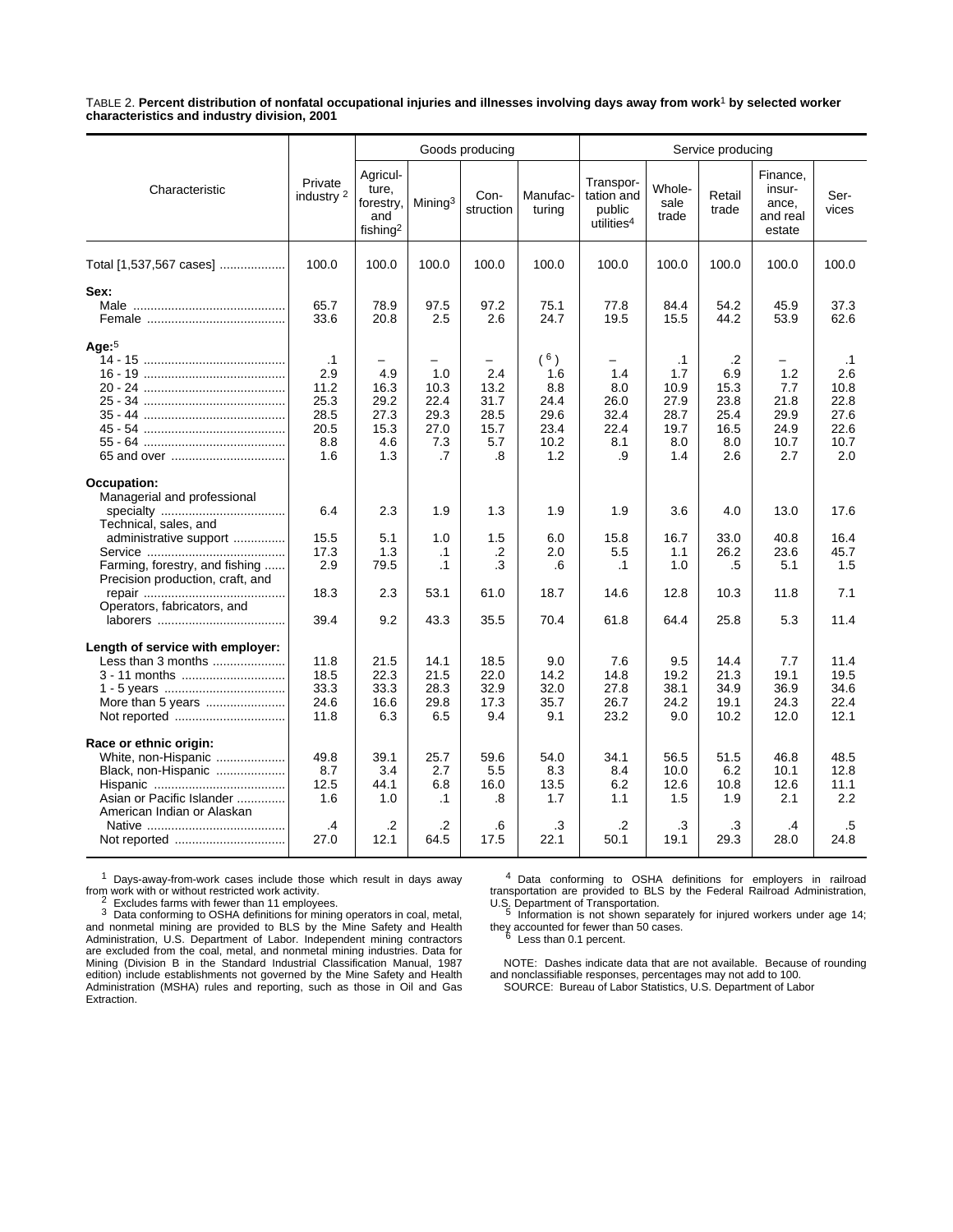TABLE 2. **Percent distribution of nonfatal occupational injuries and illnesses involving days away from work**1 **by selected worker characteristics and industry division, 2001**

|                                                                                                                                                                                                    |                                                                | Goods producing                                               |                                                  |                                                                              |                                                               | Service producing                                           |                                                                |                                                         |                                                   |                                                                 |
|----------------------------------------------------------------------------------------------------------------------------------------------------------------------------------------------------|----------------------------------------------------------------|---------------------------------------------------------------|--------------------------------------------------|------------------------------------------------------------------------------|---------------------------------------------------------------|-------------------------------------------------------------|----------------------------------------------------------------|---------------------------------------------------------|---------------------------------------------------|-----------------------------------------------------------------|
| Characteristic                                                                                                                                                                                     | Private<br>industry <sup>2</sup>                               | Agricul-<br>ture,<br>forestry,<br>and<br>fishing <sup>2</sup> | Mining <sup>3</sup>                              | Con-<br>struction                                                            | Manufac-<br>turing                                            | Transpor-<br>tation and<br>public<br>utilities <sup>4</sup> | Whole-<br>sale<br>trade                                        | Retail<br>trade                                         | Finance.<br>insur-<br>ance,<br>and real<br>estate | Ser-<br>vices                                                   |
| Total [1,537,567 cases]                                                                                                                                                                            | 100.0                                                          | 100.0                                                         | 100.0                                            | 100.0                                                                        | 100.0                                                         | 100.0                                                       | 100.0                                                          | 100.0                                                   | 100.0                                             | 100.0                                                           |
| Sex:                                                                                                                                                                                               | 65.7<br>33.6                                                   | 78.9<br>20.8                                                  | 97.5<br>2.5                                      | 97.2<br>2.6                                                                  | 75.1<br>24.7                                                  | 77.8<br>19.5                                                | 84.4<br>15.5                                                   | 54.2<br>44.2                                            | 45.9<br>53.9                                      | 37.3<br>62.6                                                    |
| Age: $5$                                                                                                                                                                                           | $\cdot$ 1<br>2.9<br>11.2<br>25.3<br>28.5<br>20.5<br>8.8<br>1.6 | 4.9<br>16.3<br>29.2<br>27.3<br>15.3<br>4.6<br>1.3             | 1.0<br>10.3<br>22.4<br>29.3<br>27.0<br>7.3<br>.7 | $\overline{\phantom{0}}$<br>2.4<br>13.2<br>31.7<br>28.5<br>15.7<br>5.7<br>.8 | $(^{6})$<br>1.6<br>8.8<br>24.4<br>29.6<br>23.4<br>10.2<br>1.2 | 1.4<br>8.0<br>26.0<br>32.4<br>22.4<br>8.1<br>.9             | $\cdot$ 1<br>1.7<br>10.9<br>27.9<br>28.7<br>19.7<br>8.0<br>1.4 | .2<br>6.9<br>15.3<br>23.8<br>25.4<br>16.5<br>8.0<br>2.6 | 1.2<br>7.7<br>21.8<br>29.9<br>24.9<br>10.7<br>2.7 | $\cdot$ 1<br>2.6<br>10.8<br>22.8<br>27.6<br>22.6<br>10.7<br>2.0 |
| Occupation:<br>Managerial and professional<br>Technical, sales, and<br>administrative support<br>Farming, forestry, and fishing<br>Precision production, craft, and<br>Operators, fabricators, and | 6.4<br>15.5<br>17.3<br>2.9<br>18.3                             | 2.3<br>5.1<br>1.3<br>79.5<br>2.3                              | 1.9<br>1.0<br>$\cdot$ 1<br>$\cdot$ 1<br>53.1     | 1.3<br>1.5<br>.2<br>.3<br>61.0                                               | 1.9<br>6.0<br>2.0<br>.6<br>18.7                               | 1.9<br>15.8<br>5.5<br>$\cdot$ 1<br>14.6                     | 3.6<br>16.7<br>1.1<br>1.0<br>12.8                              | 4.0<br>33.0<br>26.2<br>.5<br>10.3                       | 13.0<br>40.8<br>23.6<br>5.1<br>11.8               | 17.6<br>16.4<br>45.7<br>1.5<br>7.1                              |
| Length of service with employer:<br>Less than 3 months<br>3 - 11 months                                                                                                                            | 39.4<br>11.8<br>18.5<br>33.3<br>24.6<br>11.8                   | 9.2<br>21.5<br>22.3<br>33.3<br>16.6<br>6.3                    | 43.3<br>14.1<br>21.5<br>28.3<br>29.8<br>6.5      | 35.5<br>18.5<br>22.0<br>32.9<br>17.3<br>9.4                                  | 70.4<br>9.0<br>14.2<br>32.0<br>35.7<br>9.1                    | 61.8<br>7.6<br>14.8<br>27.8<br>26.7<br>23.2                 | 64.4<br>9.5<br>19.2<br>38.1<br>24.2<br>9.0                     | 25.8<br>14.4<br>21.3<br>34.9<br>19.1<br>10.2            | 5.3<br>7.7<br>19.1<br>36.9<br>24.3<br>12.0        | 11.4<br>11.4<br>19.5<br>34.6<br>22.4<br>12.1                    |
| Race or ethnic origin:<br>White, non-Hispanic<br>Black, non-Hispanic<br>Asian or Pacific Islander<br>American Indian or Alaskan                                                                    | 49.8<br>8.7<br>12.5<br>1.6<br>.4<br>27.0                       | 39.1<br>3.4<br>44.1<br>1.0<br>.2<br>12.1                      | 25.7<br>2.7<br>6.8<br>$\cdot$ 1<br>.2<br>64.5    | 59.6<br>5.5<br>16.0<br>.8<br>.6<br>17.5                                      | 54.0<br>8.3<br>13.5<br>1.7<br>.3<br>22.1                      | 34.1<br>8.4<br>6.2<br>1.1<br>.2<br>50.1                     | 56.5<br>10.0<br>12.6<br>1.5<br>.3<br>19.1                      | 51.5<br>6.2<br>10.8<br>1.9<br>$\cdot$ 3<br>29.3         | 46.8<br>10.1<br>12.6<br>2.1<br>.4<br>28.0         | 48.5<br>12.8<br>11.1<br>2.2<br>.5<br>24.8                       |

<sup>1</sup> Days-away-from-work cases include those which result in days away from work with or without restricted work activity.<br> $\frac{2}{5}$  Excludes forms with found that a state is a state.

from work with or without restricted work activity.<br><sup>2</sup> Excludes farms with fewer than 11 employees.<br><sup>3</sup> Data conforming to OSHA definitions for mining operators in coal, metal,<br>and nonmetal mining are provided to BLS by t Administration, U.S. Department of Labor. Independent mining contractors are excluded from the coal, metal, and nonmetal mining industries. Data for Mining (Division B in the Standard Industrial Classification Manual, 1987 edition) include establishments not governed by the Mine Safety and Health Administration (MSHA) rules and reporting, such as those in Oil and Gas Extraction.

4 Data conforming to OSHA definitions for employers in railroad transportation are provided to BLS by the Federal Railroad Administration,

U.S. Department of Transportation.<br>5 Information is not shown separately for injured workers under age 14; they accounted for fewer than 50 cases. <sup>6</sup> Less than 0.1 percent.

NOTE: Dashes indicate data that are not available. Because of rounding and nonclassifiable responses, percentages may not add to 100. SOURCE: Bureau of Labor Statistics, U.S. Department of Labor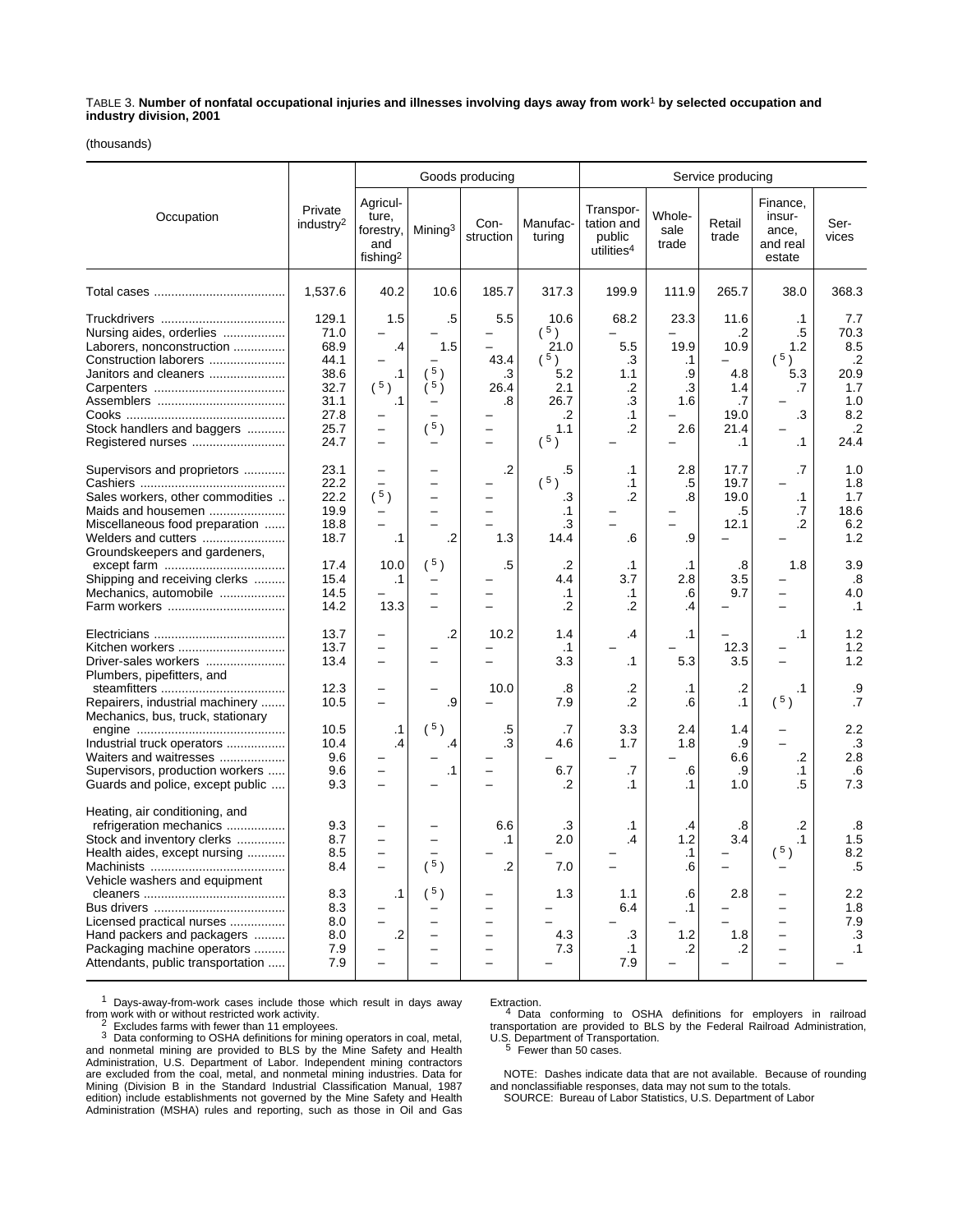TABLE 3. **Number of nonfatal occupational injuries and illnesses involving days away from work**1 **by selected occupation and industry division, 2001**

(thousands)

|                                                                                                                                                                                                                                                                                         |                                                                               | Goods producing                                                                           |                                          |                                             |                                                                                | Service producing                                              |                                                              |                                                                                          |                                                               |                                                                                  |
|-----------------------------------------------------------------------------------------------------------------------------------------------------------------------------------------------------------------------------------------------------------------------------------------|-------------------------------------------------------------------------------|-------------------------------------------------------------------------------------------|------------------------------------------|---------------------------------------------|--------------------------------------------------------------------------------|----------------------------------------------------------------|--------------------------------------------------------------|------------------------------------------------------------------------------------------|---------------------------------------------------------------|----------------------------------------------------------------------------------|
| Occupation                                                                                                                                                                                                                                                                              | Private<br>industry <sup>2</sup>                                              | Agricul-<br>ture,<br>forestry,<br>and<br>fishing <sup>2</sup>                             | Mining <sup>3</sup>                      | Con-<br>struction                           | Manufac-<br>turing                                                             | Transpor-<br>tation and<br>public<br>utilities <sup>4</sup>    | Whole-<br>sale<br>trade                                      | Retail<br>trade                                                                          | Finance,<br>insur-<br>ance,<br>and real<br>estate             | Ser-<br>vices                                                                    |
|                                                                                                                                                                                                                                                                                         | 1,537.6                                                                       | 40.2                                                                                      | 10.6                                     | 185.7                                       | 317.3                                                                          | 199.9                                                          | 111.9                                                        | 265.7                                                                                    | 38.0                                                          | 368.3                                                                            |
| Nursing aides, orderlies<br>Laborers, nonconstruction<br>Construction laborers<br>Janitors and cleaners<br>Stock handlers and baggers<br>Registered nurses                                                                                                                              | 129.1<br>71.0<br>68.9<br>44.1<br>38.6<br>32.7<br>31.1<br>27.8<br>25.7<br>24.7 | 1.5<br>.4<br>$\cdot$ 1<br>$(^{5})$<br>.1<br>$\qquad \qquad -$<br>$\overline{\phantom{0}}$ | .5<br>1.5<br>5 <sub>1</sub><br>5)<br>(5) | 5.5<br>43.4<br>.3<br>26.4<br>.8<br>$\equiv$ | 10.6<br>$(^{5})$<br>21.0<br>$(^{5})$<br>5.2<br>2.1<br>26.7<br>.2<br>1.1<br>(5) | 68.2<br>5.5<br>.3<br>1.1<br>.2<br>$\cdot$ 3<br>$\cdot$ 1<br>.2 | 23.3<br>19.9<br>$\cdot$ 1<br>.9<br>.3<br>1.6<br>2.6          | 11.6<br>.2<br>10.9<br>$\overline{\phantom{0}}$<br>4.8<br>1.4<br>.7<br>19.0<br>21.4<br>.1 | $\cdot$ 1<br>.5<br>1.2<br>(5)<br>5.3<br>.7<br>.3<br>$\cdot$ 1 | 7.7<br>70.3<br>8.5<br>$\cdot$<br>20.9<br>1.7<br>1.0<br>8.2<br>$\cdot$ .2<br>24.4 |
| Supervisors and proprietors<br>Sales workers, other commodities<br>Maids and housemen<br>Miscellaneous food preparation<br>Welders and cutters                                                                                                                                          | 23.1<br>22.2<br>22.2<br>19.9<br>18.8<br>18.7                                  | -<br>$\equiv$<br>$(^{5})$<br>-<br>$\cdot$ 1                                               | $\cdot$                                  | $\cdot$ .2<br>1.3                           | .5<br>(5)<br>.3<br>.1<br>.3<br>14.4                                            | $\cdot$ 1<br>$\cdot$ 1<br>.2<br>.6                             | 2.8<br>.5<br>.8<br>.9                                        | 17.7<br>19.7<br>19.0<br>.5<br>12.1<br>$\overline{\phantom{0}}$                           | .7<br>$\cdot$ 1<br>.7<br>.2                                   | 1.0<br>1.8<br>1.7<br>18.6<br>6.2<br>1.2                                          |
| Groundskeepers and gardeners,<br>Shipping and receiving clerks<br>Mechanics, automobile                                                                                                                                                                                                 | 17.4<br>15.4<br>14.5<br>14.2                                                  | 10.0<br>$\cdot$ 1<br>13.3                                                                 | (5)<br>$\overline{\phantom{0}}$          | .5                                          | .2<br>4.4<br>.1<br>$\cdot$                                                     | $\cdot$ 1<br>3.7<br>$\cdot$ 1<br>.2                            | $\cdot$ 1<br>2.8<br>.6<br>.4                                 | .8<br>3.5<br>9.7                                                                         | 1.8                                                           | 3.9<br>.8<br>4.0<br>$\cdot$ 1                                                    |
| Kitchen workers<br>Driver-sales workers<br>Plumbers, pipefitters, and                                                                                                                                                                                                                   | 13.7<br>13.7<br>13.4                                                          | -<br>$\overline{\phantom{0}}$<br>$\overline{\phantom{0}}$                                 | $\cdot$                                  | 10.2                                        | 1.4<br>$\cdot$ 1<br>3.3                                                        | .4<br>$\cdot$ 1                                                | $\cdot$ 1<br>5.3                                             | 12.3<br>3.5                                                                              | $\cdot$ 1                                                     | 1.2<br>1.2<br>1.2                                                                |
| Repairers, industrial machinery<br>Mechanics, bus, truck, stationary                                                                                                                                                                                                                    | 12.3<br>10.5                                                                  | $\overline{\phantom{0}}$                                                                  | .9                                       | 10.0                                        | .8<br>7.9                                                                      | $\cdot$<br>$\cdot$ .2                                          | $\cdot$ 1<br>.6                                              | $\cdot$<br>$\cdot$ 1                                                                     | $\cdot$ 1<br>(5)                                              | .9<br>$\cdot$ 7                                                                  |
| Industrial truck operators<br>Waiters and waitresses<br>Supervisors, production workers<br>Guards and police, except public                                                                                                                                                             | 10.5<br>10.4<br>9.6<br>9.6<br>9.3                                             | $\cdot$ 1<br>.4                                                                           | $(^{5})$<br>.4<br>.1                     | .5<br>.3                                    | .7<br>4.6<br>6.7<br>.2                                                         | 3.3<br>1.7<br>.7<br>$\cdot$ 1                                  | 2.4<br>1.8<br>.6<br>.1                                       | 1.4<br>.9<br>6.6<br>.9<br>1.0                                                            | .2<br>.1<br>.5                                                | 2.2<br>.3<br>2.8<br>.6<br>7.3                                                    |
| Heating, air conditioning, and<br>refrigeration mechanics<br>Stock and inventory clerks<br>Health aides, except nursing<br>Vehicle washers and equipment<br>Licensed practical nurses<br>Hand packers and packagers<br>Packaging machine operators<br>Attendants, public transportation | 9.3<br>8.7<br>8.5<br>8.4<br>8.3<br>8.3<br>8.0<br>8.0<br>7.9<br>7.9            | .1<br>$\cdot$ .2<br>$\overline{\phantom{0}}$                                              | $(^{5})$<br>(5)                          | 6.6<br>$\cdot$ 1<br>$\cdot$                 | .3<br>2.0<br>7.0<br>1.3<br>4.3<br>7.3                                          | $\cdot$ 1<br>.4<br>1.1<br>6.4<br>$\cdot$ 3<br>$\cdot$ 1<br>7.9 | .4<br>1.2<br>$\cdot$ 1<br>.6<br>.6<br>$\cdot$ 1<br>1.2<br>.2 | .8<br>3.4<br>2.8<br>1.8<br>.2                                                            | .2<br>$\cdot$ 1<br>(5)                                        | .8<br>1.5<br>8.2<br>.5<br>2.2<br>1.8<br>$7.9$<br>$\cdot$ 3<br>$\cdot$ 1          |

<sup>1</sup> Days-away-from-work cases include those which result in days away from work with or without restricted work activity.<br> $\frac{2}{x}$  Excludes farms with fewer than 11 employees

From Excludes farms with fewer than 11 employees.<br>
<sup>3</sup> Data conforming to OSHA definitions for mining operators in coal, metal, and nonmetal mining are provided to BLS by the Mine Safety and Health Administration, U.S. Department of Labor. Independent mining contractors are excluded from the coal, metal, and nonmetal mining industries. Data for Mining (Division B in the Standard Industrial Classification Manual, 1987 edition) include establishments not governed by the Mine Safety and Health Administration (MSHA) rules and reporting, such as those in Oil and Gas

Extraction.<br>
<sup>4</sup> Data conforming to OSHA definitions for employers in railroad<br>
transportation are provided to BLS by the Federal Railroad Administration,<br>
U.S. Department of Transportation.<br>
<sup>5</sup> Fewer than 50 cases.

NOTE: Dashes indicate data that are not available. Because of rounding and nonclassifiable responses, data may not sum to the totals.

SOURCE: Bureau of Labor Statistics, U.S. Department of Labor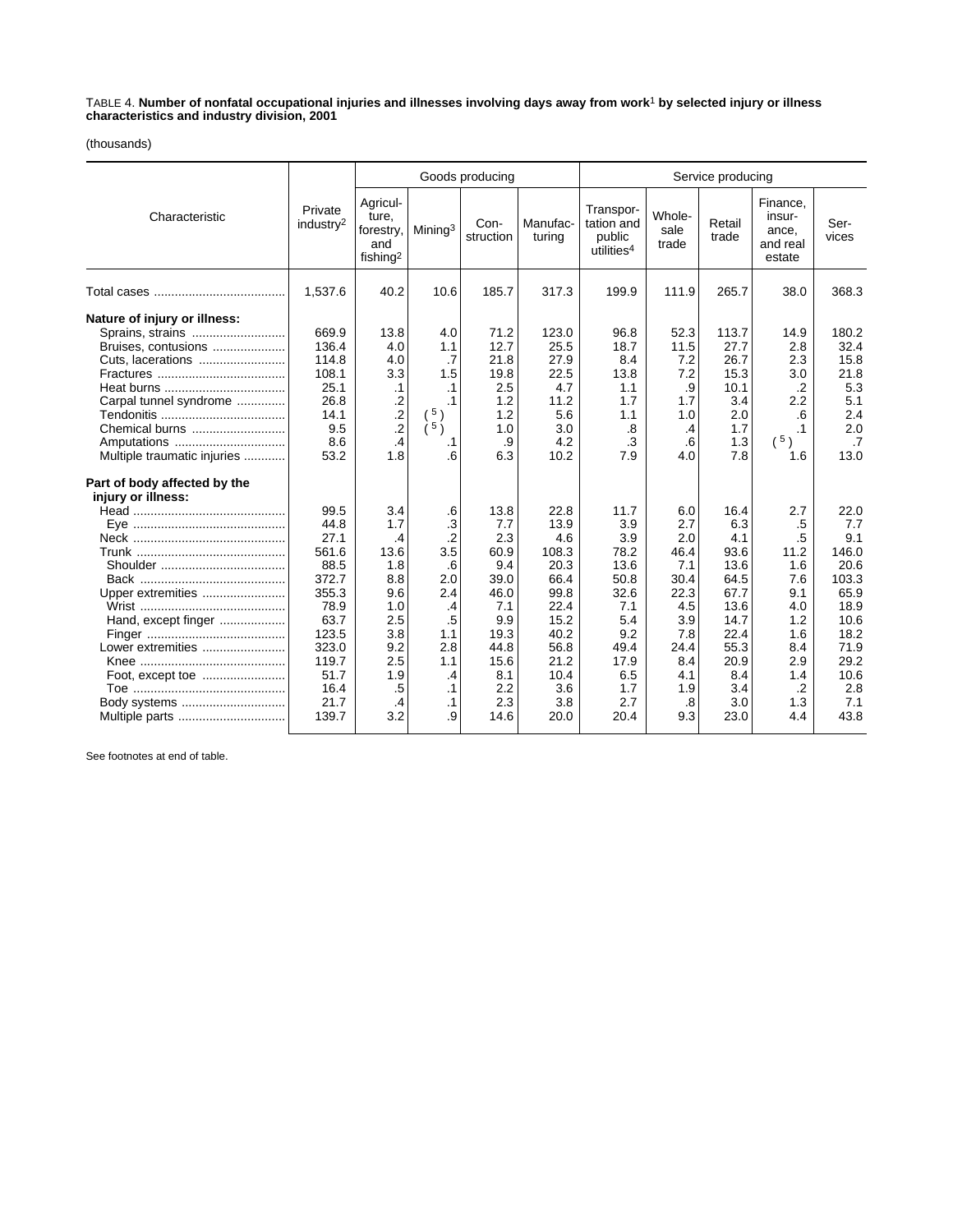TABLE 4. **Number of nonfatal occupational injuries and illnesses involving days away from work**1 **by selected injury or illness characteristics and industry division, 2001**

(thousands)

|                                                                                                                                                                                                   |                                                                                                                                     |                                                                                                                 |                                                                                                                                   | Goods producing                                                                                                      |                                                                                                                            | Service producing                                                                                                    |                                                                                                                 |                                                                                                                         |                                                                                                                    |                                                                                                                            |
|---------------------------------------------------------------------------------------------------------------------------------------------------------------------------------------------------|-------------------------------------------------------------------------------------------------------------------------------------|-----------------------------------------------------------------------------------------------------------------|-----------------------------------------------------------------------------------------------------------------------------------|----------------------------------------------------------------------------------------------------------------------|----------------------------------------------------------------------------------------------------------------------------|----------------------------------------------------------------------------------------------------------------------|-----------------------------------------------------------------------------------------------------------------|-------------------------------------------------------------------------------------------------------------------------|--------------------------------------------------------------------------------------------------------------------|----------------------------------------------------------------------------------------------------------------------------|
| Characteristic                                                                                                                                                                                    | Private<br>industry <sup>2</sup>                                                                                                    | Agricul-<br>ture,<br>forestry,<br>and<br>fishing <sup>2</sup>                                                   | Mining <sup>3</sup>                                                                                                               | Con-<br>struction                                                                                                    | Manufac-<br>turing                                                                                                         | Transpor-<br>tation and<br>public<br>utilities <sup>4</sup>                                                          | Whole-<br>sale<br>trade                                                                                         | Retail<br>trade                                                                                                         | Finance,<br>insur-<br>ance,<br>and real<br>estate                                                                  | Ser-<br>vices                                                                                                              |
|                                                                                                                                                                                                   | 1,537.6                                                                                                                             | 40.2                                                                                                            | 10.6                                                                                                                              | 185.7                                                                                                                | 317.3                                                                                                                      | 199.9                                                                                                                | 111.9                                                                                                           | 265.7                                                                                                                   | 38.0                                                                                                               | 368.3                                                                                                                      |
| Nature of injury or illness:<br>Sprains, strains<br>Bruises, contusions<br>Carpal tunnel syndrome<br>Chemical burns<br>Amputations<br>Multiple traumatic injuries<br>Part of body affected by the | 669.9<br>136.4<br>114.8<br>108.1<br>25.1<br>26.8<br>14.1<br>9.5<br>8.6<br>53.2                                                      | 13.8<br>4.0<br>4.0<br>3.3<br>.1<br>$\frac{.2}{.2}$<br>$\overline{.2}$<br>.4<br>1.8                              | 4.0<br>1.1<br>.7<br>1.5<br>$\cdot$ 1<br>.1<br>(5)<br>∱5 ∂<br>.1<br>6.6                                                            | 71.2<br>12.7<br>21.8<br>19.8<br>2.5<br>1.2<br>1.2<br>1.0<br>.9<br>6.3                                                | 123.0<br>25.5<br>27.9<br>22.5<br>4.7<br>11.2<br>5.6<br>3.0<br>4.2<br>10.2                                                  | 96.8<br>18.7<br>8.4<br>13.8<br>1.1<br>1.7<br>1.1<br>.8<br>$\cdot$ 3<br>7.9                                           | 52.3<br>11.5<br>7.2<br>7.2<br>.9<br>1.7<br>1.0<br>$\cdot$<br>.6<br>4.0                                          | 113.7<br>27.7<br>26.7<br>15.3<br>10.1<br>3.4<br>2.0<br>1.7<br>1.3<br>7.8                                                | 14.9<br>2.8<br>2.3<br>3.0<br>$\cdot$<br>2.2<br>.6<br>$\cdot$ 1<br>(5)<br>1.6                                       | 180.2<br>32.4<br>15.8<br>21.8<br>5.3<br>5.1<br>2.4<br>2.0<br>.7<br>13.0                                                    |
| injury or illness:<br>Upper extremities<br>Hand, except finger<br>Lower extremities<br>Foot, except toe<br>Body systems<br>Multiple parts                                                         | 99.5<br>44.8<br>27.1<br>561.6<br>88.5<br>372.7<br>355.3<br>78.9<br>63.7<br>123.5<br>323.0<br>119.7<br>51.7<br>16.4<br>21.7<br>139.7 | 3.4<br>1.7<br>.4<br>13.6<br>1.8<br>8.8<br>9.6<br>1.0<br>2.5<br>3.8<br>9.2<br>2.5<br>1.9<br>.5<br>$\cdot$<br>3.2 | .6<br>$\cdot$ 3<br>$\cdot$<br>3.5<br>.6<br>2.0<br>2.4<br>.4<br>.5<br>1.1<br>2.8<br>1.1<br>$\cdot$<br>$\cdot$ 1<br>$\cdot$ 1<br>.9 | 13.8<br>7.7<br>2.3<br>60.9<br>9.4<br>39.0<br>46.0<br>7.1<br>9.9<br>19.3<br>44.8<br>15.6<br>8.1<br>2.2<br>2.3<br>14.6 | 22.8<br>13.9<br>4.6<br>108.3<br>20.3<br>66.4<br>99.8<br>22.4<br>15.2<br>40.2<br>56.8<br>21.2<br>10.4<br>3.6<br>3.8<br>20.0 | 11.7<br>3.9<br>3.9<br>78.2<br>13.6<br>50.8<br>32.6<br>7.1<br>5.4<br>9.2<br>49.4<br>17.9<br>6.5<br>1.7<br>2.7<br>20.4 | 6.0<br>2.7<br>2.0<br>46.4<br>7.1<br>30.4<br>22.3<br>4.5<br>3.9<br>7.8<br>24.4<br>8.4<br>4.1<br>1.9<br>.8<br>9.3 | 16.4<br>6.3<br>4.1<br>93.6<br>13.6<br>64.5<br>67.7<br>13.6<br>14.7<br>22.4<br>55.3<br>20.9<br>8.4<br>3.4<br>3.0<br>23.0 | 2.7<br>.5<br>.5<br>11.2<br>1.6<br>7.6<br>9.1<br>4.0<br>1.2<br>1.6<br>8.4<br>2.9<br>1.4<br>$\cdot$ .2<br>1.3<br>4.4 | 22.0<br>7.7<br>9.1<br>146.0<br>20.6<br>103.3<br>65.9<br>18.9<br>10.6<br>18.2<br>71.9<br>29.2<br>10.6<br>2.8<br>7.1<br>43.8 |

See footnotes at end of table.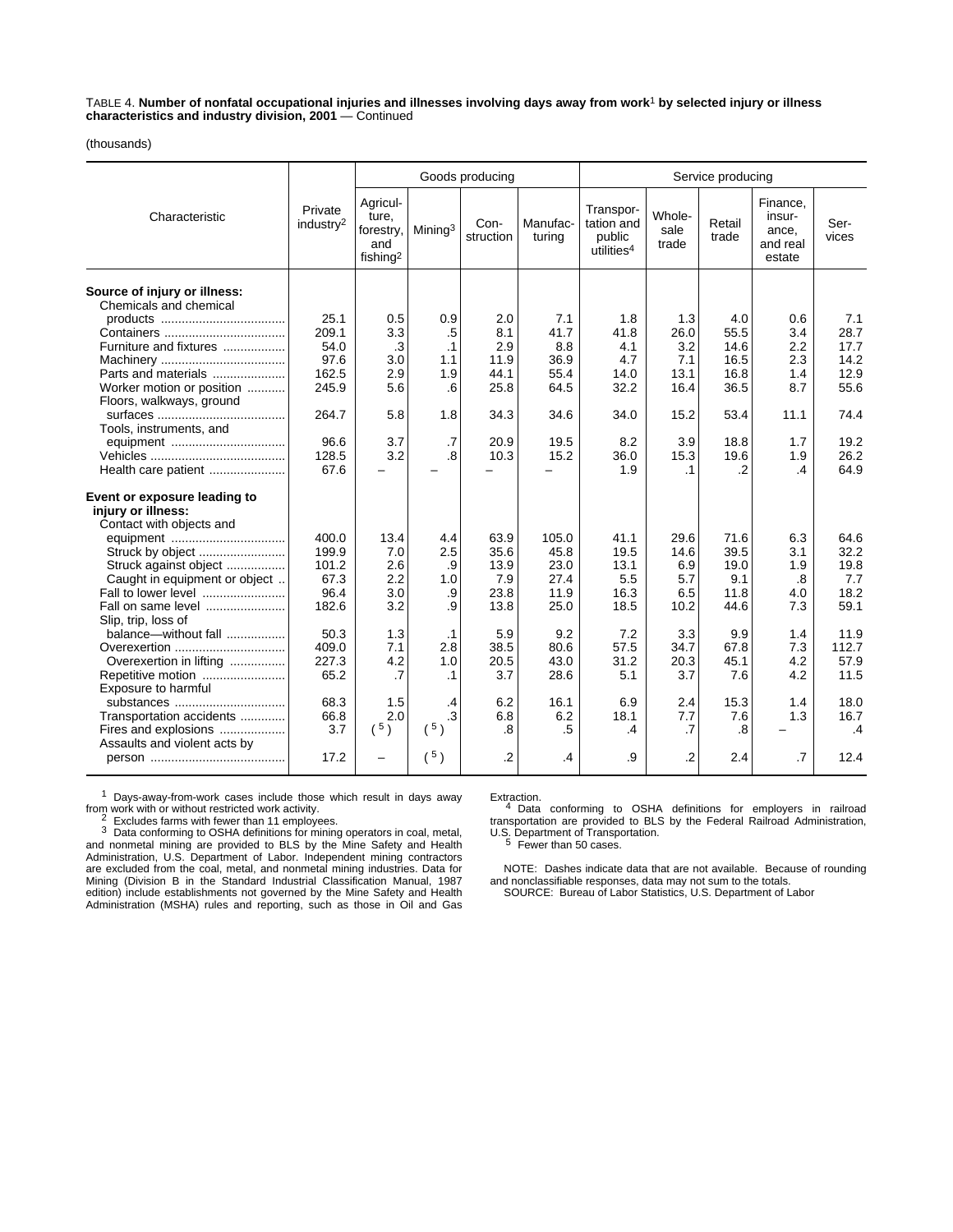TABLE 4. **Number of nonfatal occupational injuries and illnesses involving days away from work**1 **by selected injury or illness characteristics and industry division, 2001** — Continued

(thousands)

|                                                        |                                  |                                                               |                     | Goods producing   |                    | Service producing                                           |                         |                   |                                                   |               |
|--------------------------------------------------------|----------------------------------|---------------------------------------------------------------|---------------------|-------------------|--------------------|-------------------------------------------------------------|-------------------------|-------------------|---------------------------------------------------|---------------|
| Characteristic                                         | Private<br>industry <sup>2</sup> | Agricul-<br>ture.<br>forestry,<br>and<br>fishing <sup>2</sup> | Mining <sup>3</sup> | Con-<br>struction | Manufac-<br>turing | Transpor-<br>tation and<br>public<br>utilities <sup>4</sup> | Whole-<br>sale<br>trade | Retail<br>trade   | Finance,<br>insur-<br>ance,<br>and real<br>estate | Ser-<br>vices |
| Source of injury or illness:<br>Chemicals and chemical |                                  |                                                               |                     |                   |                    |                                                             |                         |                   |                                                   |               |
|                                                        | 25.1                             | 0.5                                                           | 0.9                 | 2.0               | 7.1                | 1.8                                                         | 1.3                     | 4.0               | 0.6                                               | 7.1           |
|                                                        | 209.1                            | 3.3                                                           | .5                  | 8.1               | 41.7               | 41.8                                                        | 26.0                    | 55.5              | 3.4                                               | 28.7          |
| Furniture and fixtures                                 | 54.0                             | .3                                                            | $\cdot$ 1           | 2.9               | 8.8                | 4.1                                                         | 3.2                     | 14.6              | 2.2                                               | 17.7          |
|                                                        | 97.6                             | 3.0                                                           | 1.1                 | 11.9              | 36.9               | 4.7                                                         | 7.1                     | 16.5              | 2.3                                               | 14.2          |
| Parts and materials                                    | 162.5                            | 2.9                                                           | 1.9                 | 44.1              | 55.4               | 14.0                                                        | 13.1                    | 16.8              | 1.4                                               | 12.9          |
| Worker motion or position                              | 245.9                            | 5.6                                                           | .6                  | 25.8              | 64.5               | 32.2                                                        | 16.4                    | 36.5              | 8.7                                               | 55.6          |
| Floors, walkways, ground                               |                                  |                                                               |                     |                   |                    |                                                             |                         |                   |                                                   |               |
|                                                        | 264.7                            | 5.8                                                           | 1.8                 | 34.3              | 34.6               | 34.0                                                        | 15.2                    | 53.4              | 11.1                                              | 74.4          |
| Tools, instruments, and                                |                                  |                                                               |                     |                   |                    |                                                             |                         |                   |                                                   |               |
|                                                        | 96.6                             | 3.7                                                           | $\cdot$ 7           | 20.9              | 19.5               | 8.2                                                         | 3.9                     | 18.8              | 1.7                                               | 19.2          |
|                                                        | 128.5                            | 3.2                                                           | .8                  | 10.3              | 15.2               | 36.0                                                        | 15.3                    | 19.6              | 1.9                                               | 26.2          |
| Health care patient                                    | 67.6                             |                                                               |                     |                   |                    | 1.9                                                         | $\cdot$ 1               | .2                | .4                                                | 64.9          |
| Event or exposure leading to<br>injury or illness:     |                                  |                                                               |                     |                   |                    |                                                             |                         |                   |                                                   |               |
| Contact with objects and                               |                                  |                                                               |                     |                   |                    |                                                             |                         |                   |                                                   |               |
|                                                        | 400.0                            | 13.4                                                          | 4.4                 | 63.9              | 105.0              | 41.1                                                        | 29.6                    | 71.6              | 6.3                                               | 64.6          |
|                                                        | 199.9                            | 7.0                                                           | 2.5                 | 35.6              | 45.8               | 19.5                                                        | 14.6                    | 39.5              | 3.1                                               | 32.2          |
| Struck against object                                  | 101.2                            | 2.6                                                           | .9                  | 13.9              | 23.0               | 13.1                                                        | 6.9                     | 19.0              | 1.9                                               | 19.8          |
| Caught in equipment or object                          | 67.3                             | 2.2                                                           | 1.0                 | 7.9               | 27.4               | 5.5                                                         | 5.7                     | 9.1               | $\boldsymbol{.8}$                                 | 7.7           |
| Fall to lower level                                    | 96.4                             | 3.0                                                           | .9                  | 23.8              | 11.9               | 16.3                                                        | 6.5                     | 11.8              | 4.0                                               | 18.2          |
| Fall on same level                                     | 182.6                            | 3.2                                                           | .9                  | 13.8              | 25.0               | 18.5                                                        | 10.2                    | 44.6              | 7.3                                               | 59.1          |
| Slip, trip, loss of                                    |                                  |                                                               |                     |                   |                    |                                                             |                         |                   |                                                   |               |
| balance-without fall                                   | 50.3                             | 1.3                                                           | $\cdot$ 1           | 5.9               | 9.2                | 7.2                                                         | 3.3                     | 9.9               | 1.4                                               | 11.9          |
| Overexertion                                           | 409.0                            | 7.1                                                           | 2.8                 | 38.5              | 80.6               | 57.5                                                        | 34.7                    | 67.8              | 7.3                                               | 112.7         |
| Overexertion in lifting                                | 227.3                            | 4.2                                                           | 1.0                 | 20.5              | 43.0               | 31.2                                                        | 20.3                    | 45.1              | 4.2                                               | 57.9          |
| Repetitive motion                                      | 65.2                             | .7                                                            | $\cdot$ 1           | 3.7               | 28.6               | 5.1                                                         | 3.7                     | 7.6               | 4.2                                               | 11.5          |
| Exposure to harmful                                    |                                  |                                                               |                     |                   |                    |                                                             |                         |                   |                                                   |               |
| substances                                             | 68.3                             | 1.5                                                           | .4                  | 6.2               | 16.1               | 6.9                                                         | 2.4                     | 15.3              | 1.4                                               | 18.0          |
| Transportation accidents                               | 66.8                             | 2.0                                                           | .3                  | 6.8               | 6.2                | 18.1                                                        | 7.7                     | 7.6               | 1.3                                               | 16.7          |
| Fires and explosions                                   | 3.7                              | $(^{5})$                                                      | (5)                 | $\overline{8}$    | .5                 | .4                                                          | .7                      | $\boldsymbol{.8}$ |                                                   | $\mathbf{.4}$ |
| Assaults and violent acts by                           |                                  |                                                               |                     |                   |                    |                                                             |                         |                   |                                                   |               |
|                                                        | 17.2                             | -                                                             | (5)                 | $\cdot$           | $\cdot$            | .9                                                          | $\cdot$                 | 2.4               | .7                                                | 12.4          |
|                                                        |                                  |                                                               |                     |                   |                    |                                                             |                         |                   |                                                   |               |

 $1$  Days-away-from-work cases include those which result in days away from work with or without restricted work activity.

From Excludes farms with fewer than 11 employees.<br>
<sup>3</sup> Data conforming to OSHA definitions for mining operators in coal, metal, and nonmetal mining are provided to BLS by the Mine Safety and Health Administration, U.S. Department of Labor. Independent mining contractors are excluded from the coal, metal, and nonmetal mining industries. Data for Mining (Division B in the Standard Industrial Classification Manual, 1987 edition) include establishments not governed by the Mine Safety and Health Administration (MSHA) rules and reporting, such as those in Oil and Gas

Extraction. 4 Data conforming to OSHA definitions for employers in railroad transportation are provided to BLS by the Federal Railroad Administration, U.S. Department of Transportation.<br>
<sup>5</sup> Fewer than 50 cases.

NOTE: Dashes indicate data that are not available. Because of rounding and nonclassifiable responses, data may not sum to the totals. SOURCE: Bureau of Labor Statistics, U.S. Department of Labor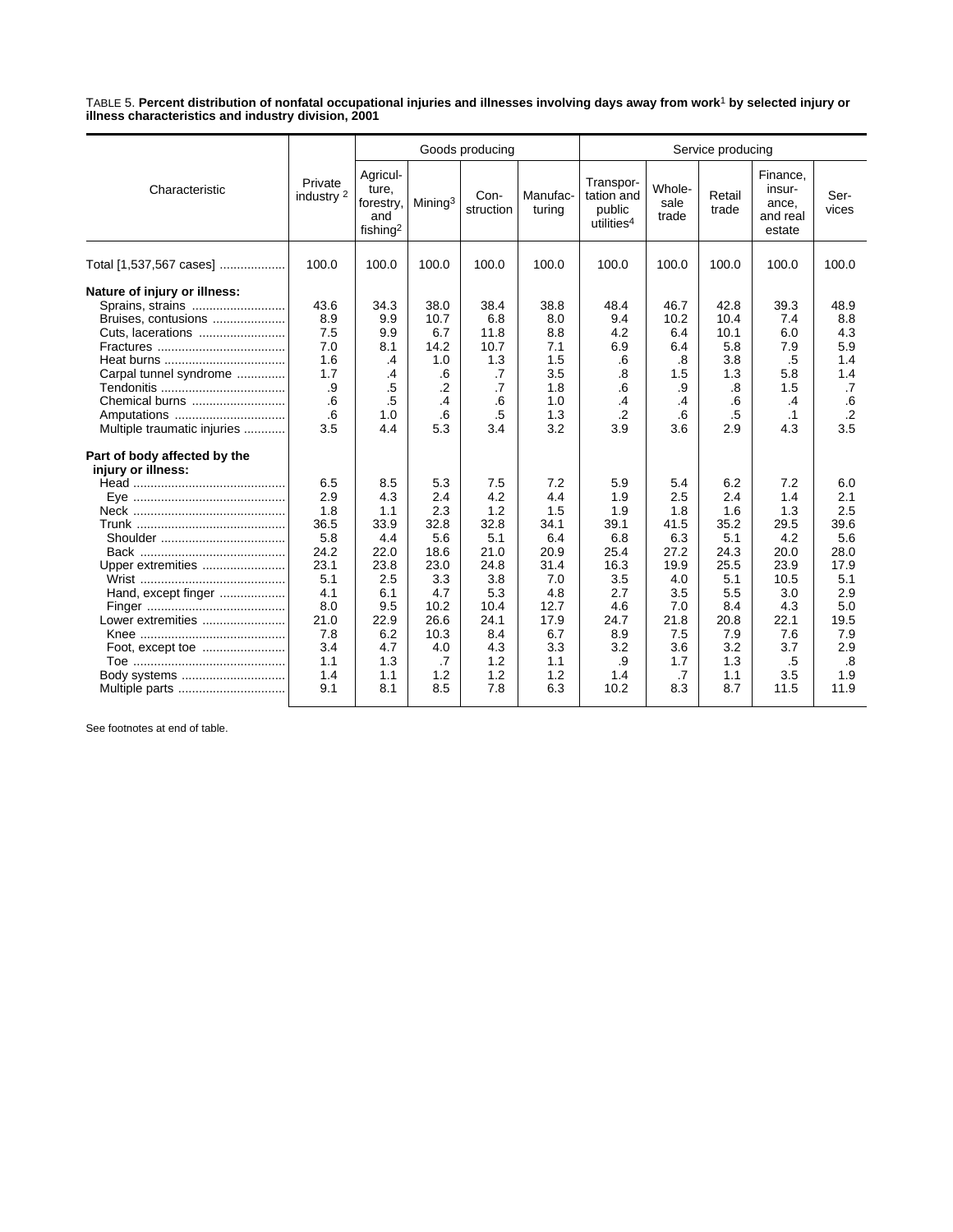TABLE 5. **Percent distribution of nonfatal occupational injuries and illnesses involving days away from work**1 **by selected injury or illness characteristics and industry division, 2001**

|                                                                                                                                                                                        |                                                                                                                  | Goods producing                                                                                                  |                                                                                                                   |                                                                                                                   |                                                                                                                   |                                                                                                                  |                                                                                                                 | Service producing                                                                                                |                                                                                                                       |                                                                                                                                 |  |
|----------------------------------------------------------------------------------------------------------------------------------------------------------------------------------------|------------------------------------------------------------------------------------------------------------------|------------------------------------------------------------------------------------------------------------------|-------------------------------------------------------------------------------------------------------------------|-------------------------------------------------------------------------------------------------------------------|-------------------------------------------------------------------------------------------------------------------|------------------------------------------------------------------------------------------------------------------|-----------------------------------------------------------------------------------------------------------------|------------------------------------------------------------------------------------------------------------------|-----------------------------------------------------------------------------------------------------------------------|---------------------------------------------------------------------------------------------------------------------------------|--|
| Characteristic                                                                                                                                                                         | Private<br>industry <sup>2</sup>                                                                                 | Agricul-<br>ture,<br>forestry,<br>and<br>fishing <sup>2</sup>                                                    | Mining <sup>3</sup>                                                                                               | Con-<br>struction                                                                                                 | Manufac-<br>turing                                                                                                | Transpor-<br>tation and<br>public<br>utilities <sup>4</sup>                                                      | Whole-<br>sale<br>trade                                                                                         | Retail<br>trade                                                                                                  | Finance,<br>insur-<br>ance,<br>and real<br>estate                                                                     | Ser-<br>vices                                                                                                                   |  |
| Total [1,537,567 cases]                                                                                                                                                                | 100.0                                                                                                            | 100.0                                                                                                            | 100.0                                                                                                             | 100.0                                                                                                             | 100.0                                                                                                             | 100.0                                                                                                            | 100.0                                                                                                           | 100.0                                                                                                            | 100.0                                                                                                                 | 100.0                                                                                                                           |  |
| Nature of injury or illness:<br>Sprains, strains<br>Bruises, contusions<br>Cuts, lacerations<br>Carpal tunnel syndrome<br>Chemical burns<br>Amputations<br>Multiple traumatic injuries | 43.6<br>8.9<br>7.5<br>7.0<br>1.6<br>1.7<br>.9<br>.6<br>.6<br>3.5                                                 | 34.3<br>9.9<br>9.9<br>8.1<br>$\cdot$<br>.4<br>.5<br>.5<br>1.0<br>4.4                                             | 38.0<br>10.7<br>6.7<br>14.2<br>1.0<br>.6<br>$\cdot$<br>.4<br>.6<br>5.3                                            | 38.4<br>6.8<br>11.8<br>10.7<br>1.3<br>.7<br>.7<br>.6<br>.5<br>3.4                                                 | 38.8<br>8.0<br>8.8<br>7.1<br>1.5<br>3.5<br>1.8<br>1.0<br>1.3<br>3.2                                               | 48.4<br>9.4<br>4.2<br>6.9<br>.6<br>.8<br>.6<br>.4<br>$\cdot$ .2<br>3.9                                           | 46.7<br>10.2<br>6.4<br>6.4<br>.8<br>1.5<br>.9<br>.4<br>.6<br>3.6                                                | 42.8<br>10.4<br>10.1<br>5.8<br>3.8<br>1.3<br>.8<br>.6<br>.5<br>2.9                                               | 39.3<br>7.4<br>6.0<br>7.9<br>.5<br>5.8<br>1.5<br>.4<br>$\cdot$ 1<br>4.3                                               | 48.9<br>8.8<br>4.3<br>5.9<br>1.4<br>1.4<br>.7<br>.6<br>$\cdot$<br>3.5                                                           |  |
| Part of body affected by the<br>injury or illness:<br>Upper extremities<br>Hand, except finger<br>Lower extremities<br>Body systems                                                    | 6.5<br>2.9<br>1.8<br>36.5<br>5.8<br>24.2<br>23.1<br>5.1<br>4.1<br>8.0<br>21.0<br>7.8<br>3.4<br>1.1<br>1.4<br>9.1 | 8.5<br>4.3<br>1.1<br>33.9<br>4.4<br>22.0<br>23.8<br>2.5<br>6.1<br>9.5<br>22.9<br>6.2<br>4.7<br>1.3<br>1.1<br>8.1 | 5.3<br>2.4<br>2.3<br>32.8<br>5.6<br>18.6<br>23.0<br>3.3<br>4.7<br>10.2<br>26.6<br>10.3<br>4.0<br>.7<br>1.2<br>8.5 | 7.5<br>4.2<br>1.2<br>32.8<br>5.1<br>21.0<br>24.8<br>3.8<br>5.3<br>10.4<br>24.1<br>8.4<br>4.3<br>1.2<br>1.2<br>7.8 | 7.2<br>4.4<br>1.5<br>34.1<br>6.4<br>20.9<br>31.4<br>7.0<br>4.8<br>12.7<br>17.9<br>6.7<br>3.3<br>1.1<br>1.2<br>6.3 | 5.9<br>1.9<br>1.9<br>39.1<br>6.8<br>25.4<br>16.3<br>3.5<br>2.7<br>4.6<br>24.7<br>8.9<br>3.2<br>.9<br>1.4<br>10.2 | 5.4<br>2.5<br>1.8<br>41.5<br>6.3<br>27.2<br>19.9<br>4.0<br>3.5<br>7.0<br>21.8<br>7.5<br>3.6<br>1.7<br>.7<br>8.3 | 6.2<br>2.4<br>1.6<br>35.2<br>5.1<br>24.3<br>25.5<br>5.1<br>5.5<br>8.4<br>20.8<br>7.9<br>3.2<br>1.3<br>1.1<br>8.7 | 7.2<br>1.4<br>1.3<br>29.5<br>4.2<br>20.0<br>23.9<br>10.5<br>3.0<br>4.3<br>22.1<br>7.6<br>3.7<br>$.5\,$<br>3.5<br>11.5 | 6.0<br>2.1<br>2.5<br>39.6<br>5.6<br>28.0<br>17.9<br>5.1<br>2.9<br>5.0<br>19.5<br>7.9<br>2.9<br>$\boldsymbol{.8}$<br>1.9<br>11.9 |  |

See footnotes at end of table.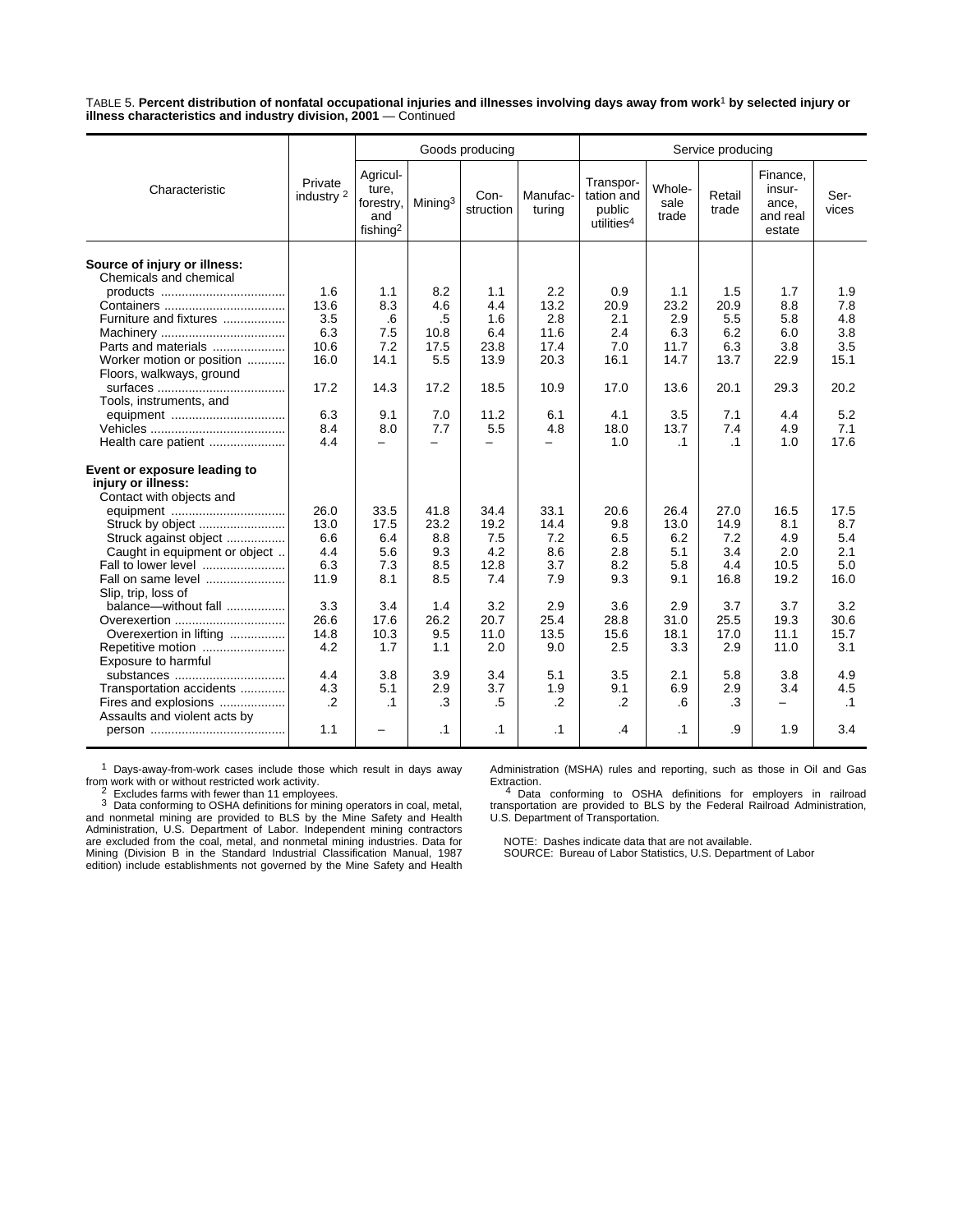TABLE 5. **Percent distribution of nonfatal occupational injuries and illnesses involving days away from work**1 **by selected injury or illness characteristics and industry division, 2001** — Continued

|                                                        |                                  |                                                               |                          | Goods producing   |                    | Service producing                                           |                         |                 |                                                   |               |  |
|--------------------------------------------------------|----------------------------------|---------------------------------------------------------------|--------------------------|-------------------|--------------------|-------------------------------------------------------------|-------------------------|-----------------|---------------------------------------------------|---------------|--|
| Characteristic                                         | Private<br>industry <sup>2</sup> | Agricul-<br>ture.<br>forestry,<br>and<br>fishing <sup>2</sup> | Mining <sup>3</sup>      | Con-<br>struction | Manufac-<br>turing | Transpor-<br>tation and<br>public<br>utilities <sup>4</sup> | Whole-<br>sale<br>trade | Retail<br>trade | Finance,<br>insur-<br>ance,<br>and real<br>estate | Ser-<br>vices |  |
| Source of injury or illness:<br>Chemicals and chemical |                                  |                                                               |                          |                   |                    |                                                             |                         |                 |                                                   |               |  |
|                                                        | 1.6                              | 1.1                                                           | 8.2                      | 1.1               | 2.2                | 0.9                                                         | 1.1                     | 1.5             | 1.7                                               | 1.9           |  |
|                                                        | 13.6                             | 8.3                                                           | 4.6                      | 4.4               | 13.2               | 20.9                                                        | 23.2                    | 20.9            | 8.8                                               | 7.8           |  |
| Furniture and fixtures                                 | 3.5                              | .6                                                            | .5                       | 1.6               | 2.8                | 2.1                                                         | 2.9                     | 5.5             | 5.8                                               | 4.8           |  |
|                                                        | 6.3                              | 7.5                                                           | 10.8                     | 6.4               | 11.6               | 2.4                                                         | 6.3                     | 6.2             | 6.0                                               | 3.8           |  |
| Parts and materials                                    | 10.6                             | 7.2                                                           | 17.5                     | 23.8              | 17.4               | 7.0                                                         | 11.7                    | 6.3             | 3.8                                               | 3.5           |  |
| Worker motion or position                              | 16.0                             | 14.1                                                          | 5.5                      | 13.9              | 20.3               | 16.1                                                        | 14.7                    | 13.7            | 22.9                                              | 15.1          |  |
| Floors, walkways, ground                               |                                  |                                                               |                          |                   |                    |                                                             |                         |                 |                                                   |               |  |
|                                                        | 17.2                             | 14.3                                                          | 17.2                     | 18.5              | 10.9               | 17.0                                                        | 13.6                    | 20.1            | 29.3                                              | 20.2          |  |
| Tools, instruments, and                                |                                  |                                                               |                          |                   |                    |                                                             |                         |                 |                                                   |               |  |
|                                                        | 6.3                              | 9.1                                                           | 7.0                      | 11.2              | 6.1                | 4.1                                                         | 3.5                     | 7.1             | 4.4                                               | 5.2           |  |
|                                                        | 8.4                              | 8.0                                                           | 7.7                      | 5.5               | 4.8                | 18.0                                                        | 13.7                    | 7.4             | 4.9                                               | 7.1           |  |
| Health care patient                                    | 4.4                              | $\overline{\phantom{0}}$                                      | $\overline{\phantom{0}}$ | $\overline{a}$    | $\equiv$           | 1.0                                                         | $\cdot$ 1               | $\cdot$ 1       | 1.0                                               | 17.6          |  |
| Event or exposure leading to<br>injury or illness:     |                                  |                                                               |                          |                   |                    |                                                             |                         |                 |                                                   |               |  |
| Contact with objects and                               |                                  |                                                               |                          |                   |                    |                                                             |                         |                 |                                                   |               |  |
|                                                        | 26.0                             | 33.5                                                          | 41.8                     | 34.4              | 33.1               | 20.6                                                        | 26.4                    | 27.0            | 16.5                                              | 17.5          |  |
| Struck by object                                       | 13.0                             | 17.5                                                          | 23.2                     | 19.2              | 14.4               | 9.8                                                         | 13.0                    | 14.9            | 8.1                                               | 8.7           |  |
| Struck against object                                  | 6.6                              | 6.4                                                           | 8.8                      | 7.5               | 7.2                | 6.5                                                         | 6.2                     | 7.2             | 4.9                                               | 5.4           |  |
| Caught in equipment or object                          | 4.4                              | 5.6                                                           | 9.3                      | 4.2               | 8.6                | 2.8                                                         | 5.1                     | 3.4             | 2.0                                               | 2.1           |  |
| Fall to lower level                                    | 6.3                              | 7.3                                                           | 8.5                      | 12.8              | 3.7                | 8.2                                                         | 5.8                     | 4.4             | 10.5                                              | 5.0           |  |
| Fall on same level                                     | 11.9                             | 8.1                                                           | 8.5                      | 7.4               | 7.9                | 9.3                                                         | 9.1                     | 16.8            | 19.2                                              | 16.0          |  |
| Slip, trip, loss of                                    |                                  |                                                               |                          |                   |                    |                                                             |                         |                 |                                                   |               |  |
| balance-without fall                                   | 3.3                              | 3.4                                                           | 1.4                      | 3.2               | 2.9                | 3.6                                                         | 2.9                     | 3.7             | 3.7                                               | 3.2           |  |
| Overexertion                                           | 26.6                             | 17.6                                                          | 26.2                     | 20.7              | 25.4               | 28.8                                                        | 31.0                    | 25.5            | 19.3                                              | 30.6          |  |
| Overexertion in lifting                                | 14.8                             | 10.3                                                          | 9.5                      | 11.0              | 13.5               | 15.6                                                        | 18.1                    | 17.0            | 11.1                                              | 15.7          |  |
| Repetitive motion                                      | 4.2                              | 1.7                                                           | 1.1                      | 2.0               | 9.0                | 2.5                                                         | 3.3                     | 2.9             | 11.0                                              | 3.1           |  |
| Exposure to harmful                                    |                                  |                                                               |                          |                   |                    |                                                             |                         |                 |                                                   |               |  |
| substances                                             | 4.4                              | 3.8                                                           | 3.9                      | 3.4               | 5.1                | 3.5                                                         | 2.1                     | 5.8             | 3.8                                               | 4.9           |  |
| Transportation accidents                               | 4.3                              | 5.1                                                           | 2.9                      | 3.7               | 1.9                | 9.1                                                         | 6.9                     | 2.9             | 3.4                                               | 4.5           |  |
| Fires and explosions                                   | $\cdot$                          | $\cdot$ 1                                                     | .3                       | $.5\,$            | $\cdot$            | $\cdot$                                                     | 6.6                     | .3              | $\overline{\phantom{0}}$                          | $\cdot$ 1     |  |
| Assaults and violent acts by                           |                                  |                                                               |                          |                   |                    |                                                             |                         |                 |                                                   |               |  |
|                                                        | 1.1                              | $\overline{\phantom{0}}$                                      | $\cdot$ 1                | $\cdot$ 1         | .1                 | .4                                                          | $\cdot$ 1               | .9              | 1.9                                               | 3.4           |  |

<sup>1</sup> Days-away-from-work cases include those which result in days away

from work with or without restricted work activity.<br>
<sup>2</sup> Excludes farms with fewer than 11 employees.<br>
<sup>3</sup> Data conforming to OSHA definitions for mining operators in coal, metal,<br>
and nonmetal mining are provided to BLS b are excluded from the coal, metal, and nonmetal mining industries. Data for Mining (Division B in the Standard Industrial Classification Manual, 1987 edition) include establishments not governed by the Mine Safety and Health Administration (MSHA) rules and reporting, such as those in Oil and Gas

Extraction. 4 Data conforming to OSHA definitions for employers in railroad transportation are provided to BLS by the Federal Railroad Administration, U.S. Department of Transportation.

NOTE: Dashes indicate data that are not available.

SOURCE: Bureau of Labor Statistics, U.S. Department of Labor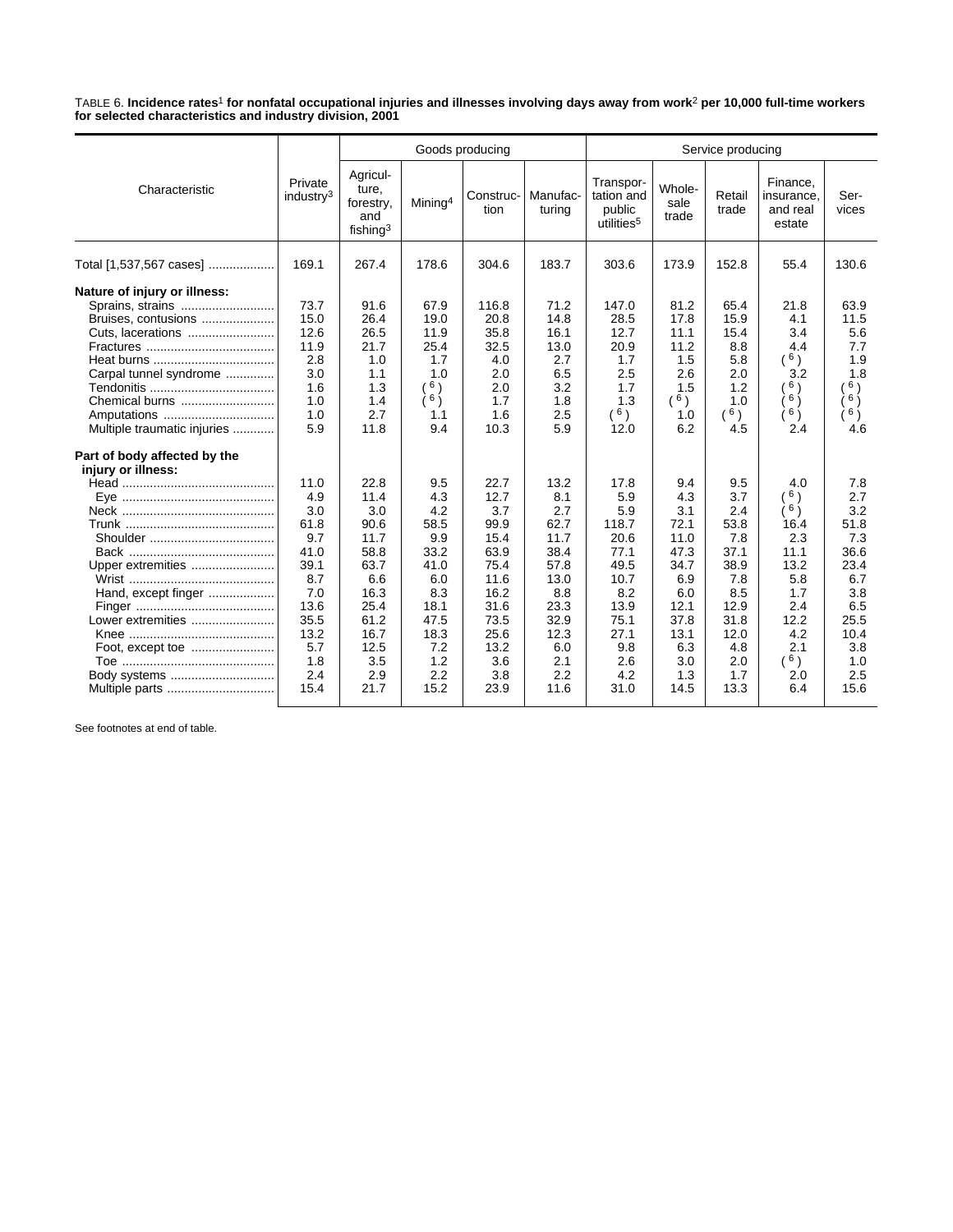TABLE 6. **Incidence rates**1 **for nonfatal occupational injuries and illnesses involving days away from work**2 **per 10,000 full-time workers for selected characteristics and industry division, 2001**

|                                                                                                                                                    |                                                                                                                      |                                                                                                                          |                                                                                                                     | Goods producing                                                                                                           |                                                                                                                        | Service producing                                                                                                       |                                                                                                                      |                                                                                                                     |                                                                                                                       |                                                                                                                    |  |
|----------------------------------------------------------------------------------------------------------------------------------------------------|----------------------------------------------------------------------------------------------------------------------|--------------------------------------------------------------------------------------------------------------------------|---------------------------------------------------------------------------------------------------------------------|---------------------------------------------------------------------------------------------------------------------------|------------------------------------------------------------------------------------------------------------------------|-------------------------------------------------------------------------------------------------------------------------|----------------------------------------------------------------------------------------------------------------------|---------------------------------------------------------------------------------------------------------------------|-----------------------------------------------------------------------------------------------------------------------|--------------------------------------------------------------------------------------------------------------------|--|
| Characteristic                                                                                                                                     | Private<br>industry <sup>3</sup>                                                                                     | Agricul-<br>ture,<br>forestry,<br>and<br>fishing $3$                                                                     | Mining <sup>4</sup>                                                                                                 | Construc-<br>tion                                                                                                         | Manufac-<br>turing                                                                                                     | Transpor-<br>tation and<br>public<br>utilities <sup>5</sup>                                                             | Whole-<br>sale<br>trade                                                                                              | Retail<br>trade                                                                                                     | Finance,<br>insurance,<br>and real<br>estate                                                                          | Ser-<br>vices                                                                                                      |  |
| Total [1,537,567 cases]                                                                                                                            | 169.1                                                                                                                | 267.4                                                                                                                    | 178.6                                                                                                               | 304.6                                                                                                                     | 183.7                                                                                                                  | 303.6                                                                                                                   | 173.9                                                                                                                | 152.8                                                                                                               | 55.4                                                                                                                  | 130.6                                                                                                              |  |
| Nature of injury or illness:<br>Sprains, strains<br>Bruises, contusions<br>Carpal tunnel syndrome<br>Chemical burns<br>Multiple traumatic injuries | 73.7<br>15.0<br>12.6<br>11.9<br>2.8<br>3.0<br>1.6<br>1.0<br>1.0<br>5.9                                               | 91.6<br>26.4<br>26.5<br>21.7<br>1.0<br>1.1<br>1.3<br>1.4<br>2.7<br>11.8                                                  | 67.9<br>19.0<br>11.9<br>25.4<br>1.7<br>1.0<br>6)<br>∶6 )́<br>1.1<br>9.4                                             | 116.8<br>20.8<br>35.8<br>32.5<br>4.0<br>2.0<br>2.0<br>1.7<br>1.6<br>10.3                                                  | 71.2<br>14.8<br>16.1<br>13.0<br>2.7<br>6.5<br>3.2<br>1.8<br>2.5<br>5.9                                                 | 147.0<br>28.5<br>12.7<br>20.9<br>1.7<br>2.5<br>1.7<br>1.3<br>$^{\left(6\right)}$<br>12.0                                | 81.2<br>17.8<br>11.1<br>11.2<br>1.5<br>2.6<br>1.5<br>6)<br>1.0<br>6.2                                                | 65.4<br>15.9<br>15.4<br>8.8<br>5.8<br>2.0<br>1.2<br>1.0<br>$(^{6})$<br>4.5                                          | 21.8<br>4.1<br>3.4<br>4.4<br>(6)<br>3.2<br>6)<br>$6 \choose$<br>6)<br>2.4                                             | 63.9<br>11.5<br>5.6<br>7.7<br>1.9<br>1.8<br>6)<br>$6 \choose$<br>6)<br>4.6                                         |  |
| Part of body affected by the<br>injury or illness:<br>Upper extremities<br>Hand, except finger<br>Lower extremities<br>Body systems                | 11.0<br>4.9<br>3.0<br>61.8<br>9.7<br>41.0<br>39.1<br>8.7<br>7.0<br>13.6<br>35.5<br>13.2<br>5.7<br>1.8<br>2.4<br>15.4 | 22.8<br>11.4<br>3.0<br>90.6<br>11.7<br>58.8<br>63.7<br>6.6<br>16.3<br>25.4<br>61.2<br>16.7<br>12.5<br>3.5<br>2.9<br>21.7 | 9.5<br>4.3<br>4.2<br>58.5<br>9.9<br>33.2<br>41.0<br>6.0<br>8.3<br>18.1<br>47.5<br>18.3<br>7.2<br>1.2<br>2.2<br>15.2 | 22.7<br>12.7<br>3.7<br>99.9<br>15.4<br>63.9<br>75.4<br>11.6<br>16.2<br>31.6<br>73.5<br>25.6<br>13.2<br>3.6<br>3.8<br>23.9 | 13.2<br>8.1<br>2.7<br>62.7<br>11.7<br>38.4<br>57.8<br>13.0<br>8.8<br>23.3<br>32.9<br>12.3<br>6.0<br>2.1<br>2.2<br>11.6 | 17.8<br>5.9<br>5.9<br>118.7<br>20.6<br>77.1<br>49.5<br>10.7<br>8.2<br>13.9<br>75.1<br>27.1<br>9.8<br>2.6<br>4.2<br>31.0 | 9.4<br>4.3<br>3.1<br>72.1<br>11.0<br>47.3<br>34.7<br>6.9<br>6.0<br>12.1<br>37.8<br>13.1<br>6.3<br>3.0<br>1.3<br>14.5 | 9.5<br>3.7<br>2.4<br>53.8<br>7.8<br>37.1<br>38.9<br>7.8<br>8.5<br>12.9<br>31.8<br>12.0<br>4.8<br>2.0<br>1.7<br>13.3 | 4.0<br>6)<br>∫6 )<br>16.4<br>2.3<br>11.1<br>13.2<br>5.8<br>1.7<br>2.4<br>12.2<br>4.2<br>2.1<br>$(^{6})$<br>2.0<br>6.4 | 7.8<br>2.7<br>3.2<br>51.8<br>7.3<br>36.6<br>23.4<br>6.7<br>3.8<br>6.5<br>25.5<br>10.4<br>3.8<br>1.0<br>2.5<br>15.6 |  |

See footnotes at end of table.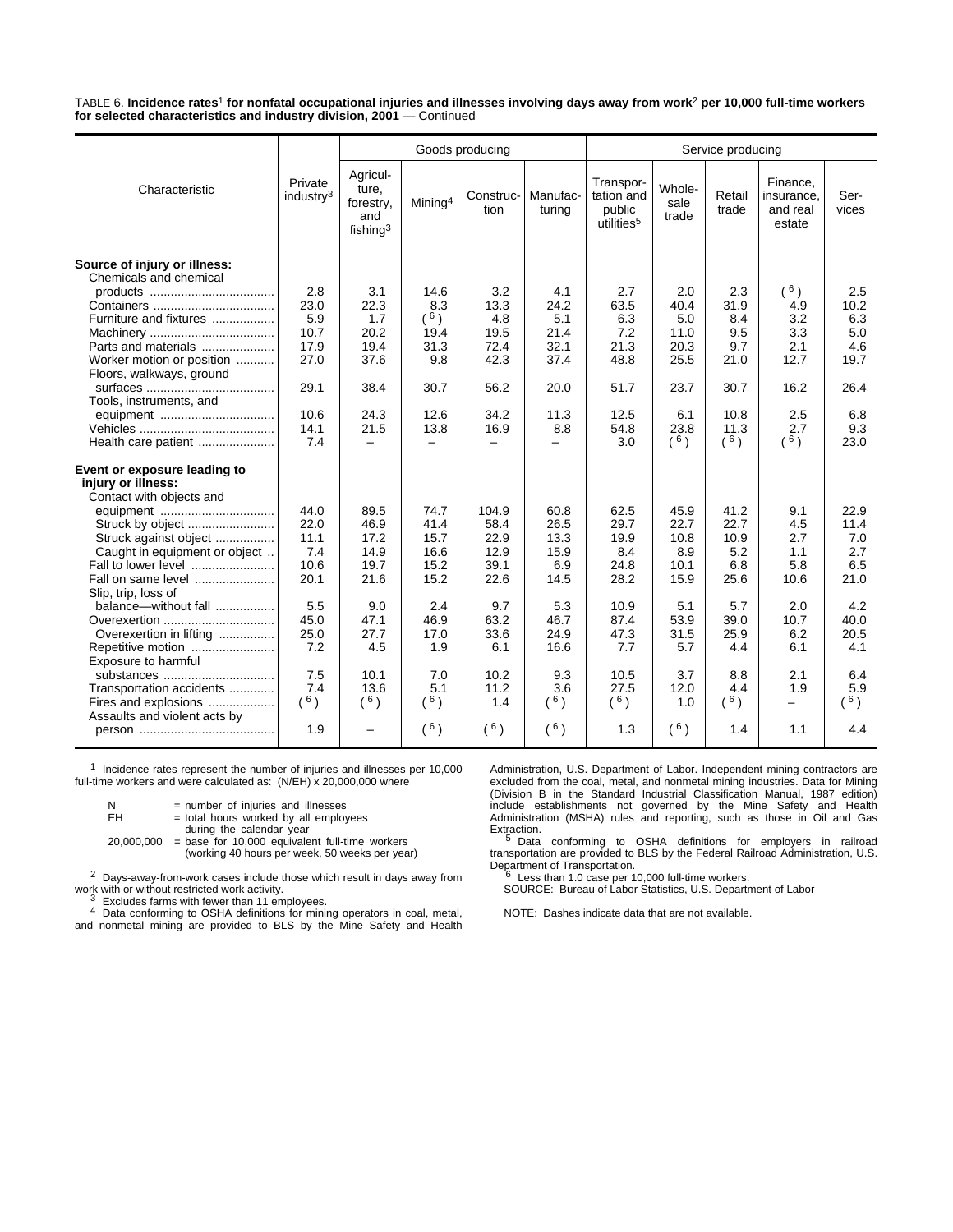TABLE 6. **Incidence rates**1 **for nonfatal occupational injuries and illnesses involving days away from work**2 **per 10,000 full-time workers for selected characteristics and industry division, 2001** — Continued

|                                                        |                                  |                                                      |                     | Goods producing   |                    | Service producing                                           |                         |                 |                                              |               |  |
|--------------------------------------------------------|----------------------------------|------------------------------------------------------|---------------------|-------------------|--------------------|-------------------------------------------------------------|-------------------------|-----------------|----------------------------------------------|---------------|--|
| Characteristic                                         | Private<br>industry <sup>3</sup> | Agricul-<br>ture,<br>forestry,<br>and<br>fishing $3$ | Mining <sup>4</sup> | Construc-<br>tion | Manufac-<br>turina | Transpor-<br>tation and<br>public<br>utilities <sup>5</sup> | Whole-<br>sale<br>trade | Retail<br>trade | Finance,<br>insurance.<br>and real<br>estate | Ser-<br>vices |  |
| Source of injury or illness:<br>Chemicals and chemical |                                  |                                                      |                     |                   |                    |                                                             |                         |                 |                                              |               |  |
|                                                        | 2.8                              | 3.1                                                  | 14.6                | 3.2               | 4.1                | 2.7                                                         | 2.0                     | 2.3             | (6)                                          | 2.5           |  |
|                                                        | 23.0                             | 22.3                                                 | 8.3                 | 13.3              | 24.2               | 63.5                                                        | 40.4                    | 31.9            | 4.9                                          | 10.2          |  |
| Furniture and fixtures                                 | 5.9                              | 1.7                                                  | (6)                 | 4.8               | 5.1                | 6.3                                                         | 5.0                     | 8.4             | 3.2                                          | 6.3           |  |
|                                                        | 10.7                             | 20.2                                                 | 19.4                | 19.5              | 21.4               | 7.2                                                         | 11.0                    | 9.5             | 3.3                                          | 5.0           |  |
| Parts and materials                                    | 17.9                             | 19.4                                                 | 31.3                | 72.4              | 32.1               | 21.3                                                        | 20.3                    | 9.7             | 2.1                                          | 4.6           |  |
| Worker motion or position                              | 27.0                             | 37.6                                                 | 9.8                 | 42.3              | 37.4               | 48.8                                                        | 25.5                    | 21.0            | 12.7                                         | 19.7          |  |
| Floors, walkways, ground                               |                                  |                                                      |                     |                   |                    |                                                             |                         |                 |                                              |               |  |
|                                                        | 29.1                             | 38.4                                                 | 30.7                | 56.2              | 20.0               | 51.7                                                        | 23.7                    | 30.7            | 16.2                                         | 26.4          |  |
| Tools, instruments, and                                |                                  |                                                      |                     |                   |                    |                                                             |                         |                 |                                              |               |  |
| equipment                                              | 10.6                             | 24.3                                                 | 12.6                | 34.2              | 11.3               | 12.5                                                        | 6.1                     | 10.8            | 2.5                                          | 6.8           |  |
|                                                        | 14.1                             | 21.5                                                 | 13.8                | 16.9              | 8.8                | 54.8                                                        | 23.8                    | 11.3            | 2.7                                          | 9.3           |  |
| Health care patient                                    | 7.4                              | $\equiv$                                             | $\equiv$            | $\equiv$          | $\equiv$           | 3.0                                                         | $(^{6})$                | $(^{6})$        | $(^{6})$                                     | 23.0          |  |
| Event or exposure leading to                           |                                  |                                                      |                     |                   |                    |                                                             |                         |                 |                                              |               |  |
| injury or illness:                                     |                                  |                                                      |                     |                   |                    |                                                             |                         |                 |                                              |               |  |
| Contact with objects and                               |                                  |                                                      |                     |                   |                    |                                                             |                         |                 |                                              |               |  |
| equipment                                              | 44.0                             | 89.5                                                 | 74.7                | 104.9             | 60.8               | 62.5                                                        | 45.9                    | 41.2            | 9.1                                          | 22.9          |  |
| Struck by object                                       | 22.0                             | 46.9                                                 | 41.4                | 58.4              | 26.5               | 29.7                                                        | 22.7                    | 22.7            | 4.5                                          | 11.4          |  |
| Struck against object                                  | 11.1                             | 17.2                                                 | 15.7                | 22.9              | 13.3               | 19.9                                                        | 10.8                    | 10.9            | 2.7                                          | 7.0           |  |
| Caught in equipment or object                          | 7.4                              | 14.9                                                 | 16.6                | 12.9              | 15.9               | 8.4                                                         | 8.9                     | 5.2             | 1.1                                          | 2.7           |  |
| Fall to lower level                                    | 10.6                             | 19.7                                                 | 15.2                | 39.1              | 6.9                | 24.8                                                        | 10.1                    | 6.8             | 5.8                                          | 6.5           |  |
| Fall on same level                                     | 20.1                             | 21.6                                                 | 15.2                | 22.6              | 14.5               | 28.2                                                        | 15.9                    | 25.6            | 10.6                                         | 21.0          |  |
| Slip, trip, loss of                                    |                                  |                                                      |                     |                   |                    |                                                             |                         |                 |                                              |               |  |
| balance-without fall                                   | 5.5                              | 9.0                                                  | 2.4                 | 9.7               | 5.3                | 10.9                                                        | 5.1                     | 5.7             | 2.0                                          | 4.2           |  |
| Overexertion                                           | 45.0                             | 47.1                                                 | 46.9                | 63.2              | 46.7               | 87.4                                                        | 53.9                    | 39.0            | 10.7                                         | 40.0          |  |
| Overexertion in lifting                                | 25.0                             | 27.7                                                 | 17.0                | 33.6              | 24.9               | 47.3                                                        | 31.5                    | 25.9            | 6.2                                          | 20.5          |  |
| Repetitive motion<br>Exposure to harmful               | 7.2                              | 4.5                                                  | 1.9                 | 6.1               | 16.6               | 7.7                                                         | 5.7                     | 4.4             | 6.1                                          | 4.1           |  |
| substances                                             | 7.5                              | 10.1                                                 | 7.0                 | 10.2              | 9.3                | 10.5                                                        | 3.7                     | 8.8             | 2.1                                          | 6.4           |  |
| Transportation accidents                               | 7.4                              | 13.6                                                 | 5.1                 | 11.2              | 3.6                | 27.5                                                        | 12.0                    | 4.4             | 1.9                                          | 5.9           |  |
| Fires and explosions                                   | (6)                              | (6)                                                  | (6)                 | 1.4               | (6)                | $(^{6})$                                                    | 1.0                     | $(^{6})$        | $\overline{\phantom{0}}$                     | 6)            |  |
| Assaults and violent acts by                           |                                  |                                                      |                     |                   |                    |                                                             |                         |                 |                                              |               |  |
|                                                        | 1.9                              | $\overline{\phantom{0}}$                             | (6)                 | (6)               | $(^{6})$           | 1.3                                                         | $(^{6})$                | 1.4             | 1.1                                          | 4.4           |  |

1 Incidence rates represent the number of injuries and illnesses per 10,000 full-time workers and were calculated as: (N/EH) x 20,000,000 where

| И<br>EН    | = number of injuries and illnesses<br>= total hours worked by all employees |
|------------|-----------------------------------------------------------------------------|
|            | during the calendar year                                                    |
| 20.000.000 | $=$ base for 10,000 equivalent full-time workers                            |
|            | (working 40 hours per week, 50 weeks per year)                              |

2 Days-away-from-work cases include those which result in days away from

water with or with fewer than 11 employees.<br>4 Data conforming to OSHA definitions for mining operators in coal, metal, and nonmetal mining are provided to BLS by the Mine Safety and Health Administration, U.S. Department of Labor. Independent mining contractors are<br>excluded from the coal, metal, and nonmetal mining industries. Data for Mining<br>(Division B in the Standard Industrial Classification Manual, 1987

Extraction.<br><sup>5</sup> Data conforming to OSHA definitions for employers in railroad<br>transportation are provided to BLS by the Federal Railroad Administration, U.S. Department of Transportation. 6 Less than 1.0 case per 10,000 full-time workers.

SOURCE: Bureau of Labor Statistics, U.S. Department of Labor

NOTE: Dashes indicate data that are not available.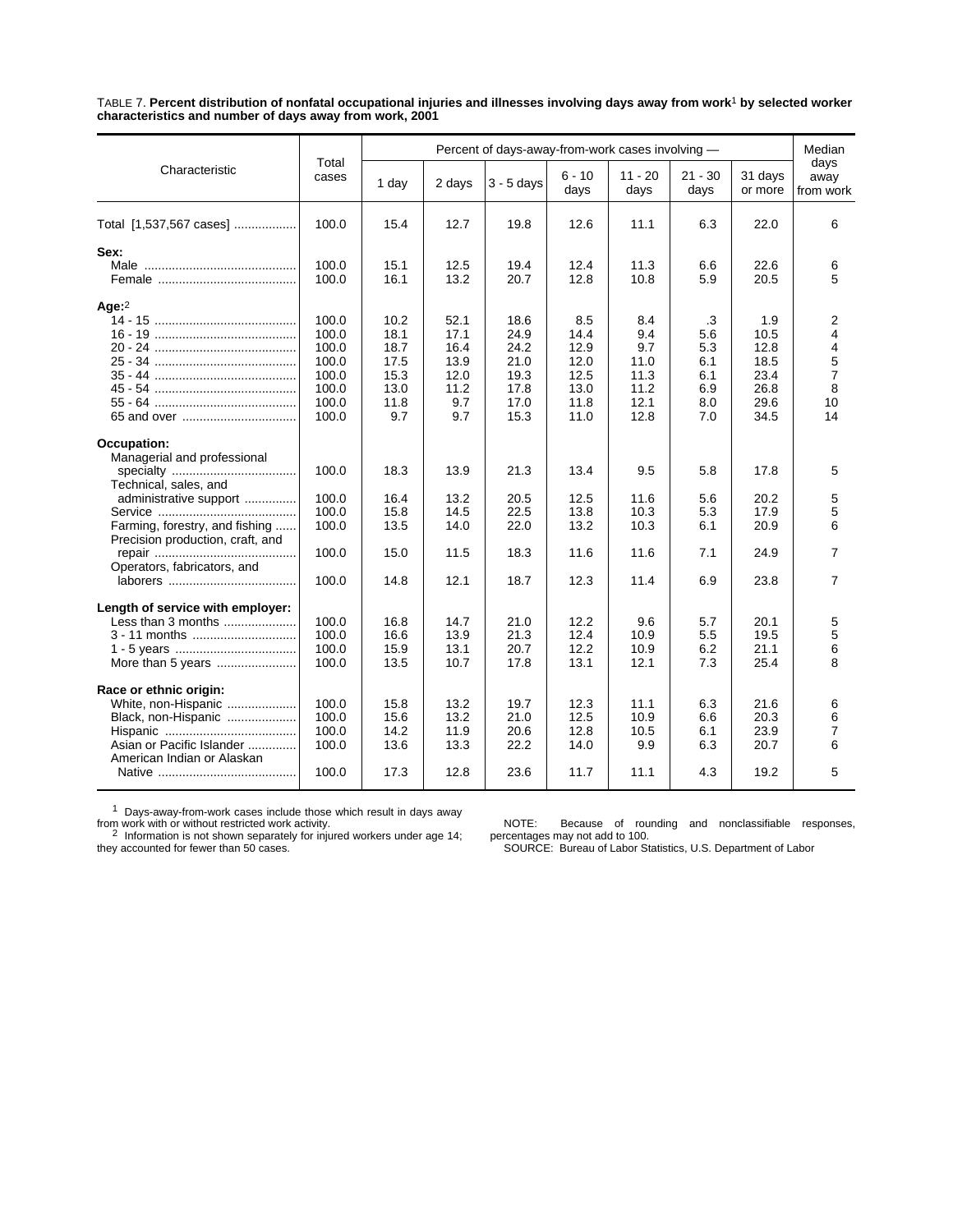TABLE 7. **Percent distribution of nonfatal occupational injuries and illnesses involving days away from work**1 **by selected worker characteristics and number of days away from work, 2001**

|                                                                    |                |              |              | Percent of days-away-from-work cases involving - |                  |                   |                   |                    | Median<br>days      |
|--------------------------------------------------------------------|----------------|--------------|--------------|--------------------------------------------------|------------------|-------------------|-------------------|--------------------|---------------------|
| Characteristic                                                     | Total<br>cases | 1 day        | 2 days       | $3 - 5$ days                                     | $6 - 10$<br>days | $11 - 20$<br>days | $21 - 30$<br>days | 31 days<br>or more | away<br>from work   |
| Total [1,537,567 cases]                                            | 100.0          | 15.4         | 12.7         | 19.8                                             | 12.6             | 11.1              | 6.3               | 22.0               | 6                   |
| Sex:                                                               |                |              |              |                                                  |                  |                   |                   |                    |                     |
|                                                                    | 100.0<br>100.0 | 15.1<br>16.1 | 12.5<br>13.2 | 19.4<br>20.7                                     | 12.4<br>12.8     | 11.3<br>10.8      | 6.6<br>5.9        | 22.6<br>20.5       | 6<br>5              |
| Age:2                                                              |                |              |              |                                                  |                  |                   |                   |                    |                     |
|                                                                    | 100.0          | 10.2         | 52.1         | 18.6                                             | 8.5              | 8.4               | .3                | 1.9                | 2                   |
|                                                                    | 100.0          | 18.1         | 17.1         | 24.9                                             | 14.4             | 9.4               | 5.6               | 10.5               | 4                   |
|                                                                    | 100.0<br>100.0 | 18.7<br>17.5 | 16.4<br>13.9 | 24.2<br>21.0                                     | 12.9<br>12.0     | 9.7<br>11.0       | 5.3<br>6.1        | 12.8<br>18.5       | 4                   |
|                                                                    | 100.0          | 15.3         | 12.0         | 19.3                                             | 12.5             | 11.3              | 6.1               | 23.4               | 5<br>$\overline{7}$ |
|                                                                    | 100.0          | 13.0         | 11.2         | 17.8                                             | 13.0             | 11.2              | 6.9               | 26.8               | 8                   |
|                                                                    | 100.0          | 11.8         | 9.7          | 17.0                                             | 11.8             | 12.1              | 8.0               | 29.6               | 10                  |
|                                                                    | 100.0          | 9.7          | 9.7          | 15.3                                             | 11.0             | 12.8              | 7.0               | 34.5               | 14                  |
| <b>Occupation:</b>                                                 |                |              |              |                                                  |                  |                   |                   |                    |                     |
| Managerial and professional                                        |                |              |              |                                                  |                  |                   |                   |                    |                     |
| Technical, sales, and                                              | 100.0          | 18.3         | 13.9         | 21.3                                             | 13.4             | 9.5               | 5.8               | 17.8               | 5                   |
| administrative support                                             | 100.0          | 16.4         | 13.2         | 20.5                                             | 12.5             | 11.6              | 5.6               | 20.2               | 5                   |
|                                                                    | 100.0          | 15.8         | 14.5         | 22.5                                             | 13.8             | 10.3              | 5.3               | 17.9               | 5                   |
| Farming, forestry, and fishing<br>Precision production, craft, and | 100.0          | 13.5         | 14.0         | 22.0                                             | 13.2             | 10.3              | 6.1               | 20.9               | 6                   |
|                                                                    | 100.0          | 15.0         | 11.5         | 18.3                                             | 11.6             | 11.6              | 7.1               | 24.9               | $\overline{7}$      |
| Operators, fabricators, and                                        | 100.0          | 14.8         | 12.1         | 18.7                                             | 12.3             | 11.4              | 6.9               | 23.8               | $\overline{7}$      |
|                                                                    |                |              |              |                                                  |                  |                   |                   |                    |                     |
| Length of service with employer:                                   |                |              |              |                                                  |                  |                   |                   |                    |                     |
| Less than 3 months                                                 | 100.0          | 16.8         | 14.7         | 21.0                                             | 12.2             | 9.6               | 5.7               | 20.1               | 5                   |
| 3 - 11 months                                                      | 100.0          | 16.6         | 13.9         | 21.3                                             | 12.4             | 10.9              | 5.5               | 19.5               | 5                   |
|                                                                    | 100.0<br>100.0 | 15.9         | 13.1         | 20.7                                             | 12.2             | 10.9              | 6.2               | 21.1               | 6<br>8              |
| More than 5 years                                                  |                | 13.5         | 10.7         | 17.8                                             | 13.1             | 12.1              | 7.3               | 25.4               |                     |
| Race or ethnic origin:                                             |                |              |              |                                                  |                  |                   |                   |                    |                     |
| White, non-Hispanic                                                | 100.0          | 15.8         | 13.2         | 19.7                                             | 12.3             | 11.1              | 6.3               | 21.6               | 6                   |
| Black, non-Hispanic                                                | 100.0          | 15.6         | 13.2         | 21.0                                             | 12.5             | 10.9              | 6.6               | 20.3               | 6                   |
|                                                                    | 100.0          | 14.2         | 11.9         | 20.6                                             | 12.8             | 10.5              | 6.1               | 23.9               | $\overline{7}$      |
| Asian or Pacific Islander<br>American Indian or Alaskan            | 100.0          | 13.6         | 13.3         | 22.2                                             | 14.0             | 9.9               | 6.3               | 20.7               | 6                   |
|                                                                    | 100.0          | 17.3         | 12.8         | 23.6                                             | 11.7             | 11.1              | 4.3               | 19.2               | 5                   |

 $1$  Days-away-from-work cases include those which result in days away

from work with or without restricted work activity.<br><sup>2</sup> Information is not shown separately for injured workers under age 14;<br>they accounted for fewer than 50 cases.

NOTE: Because of rounding and nonclassifiable responses, percentages may not add to 100. SOURCE: Bureau of Labor Statistics, U.S. Department of Labor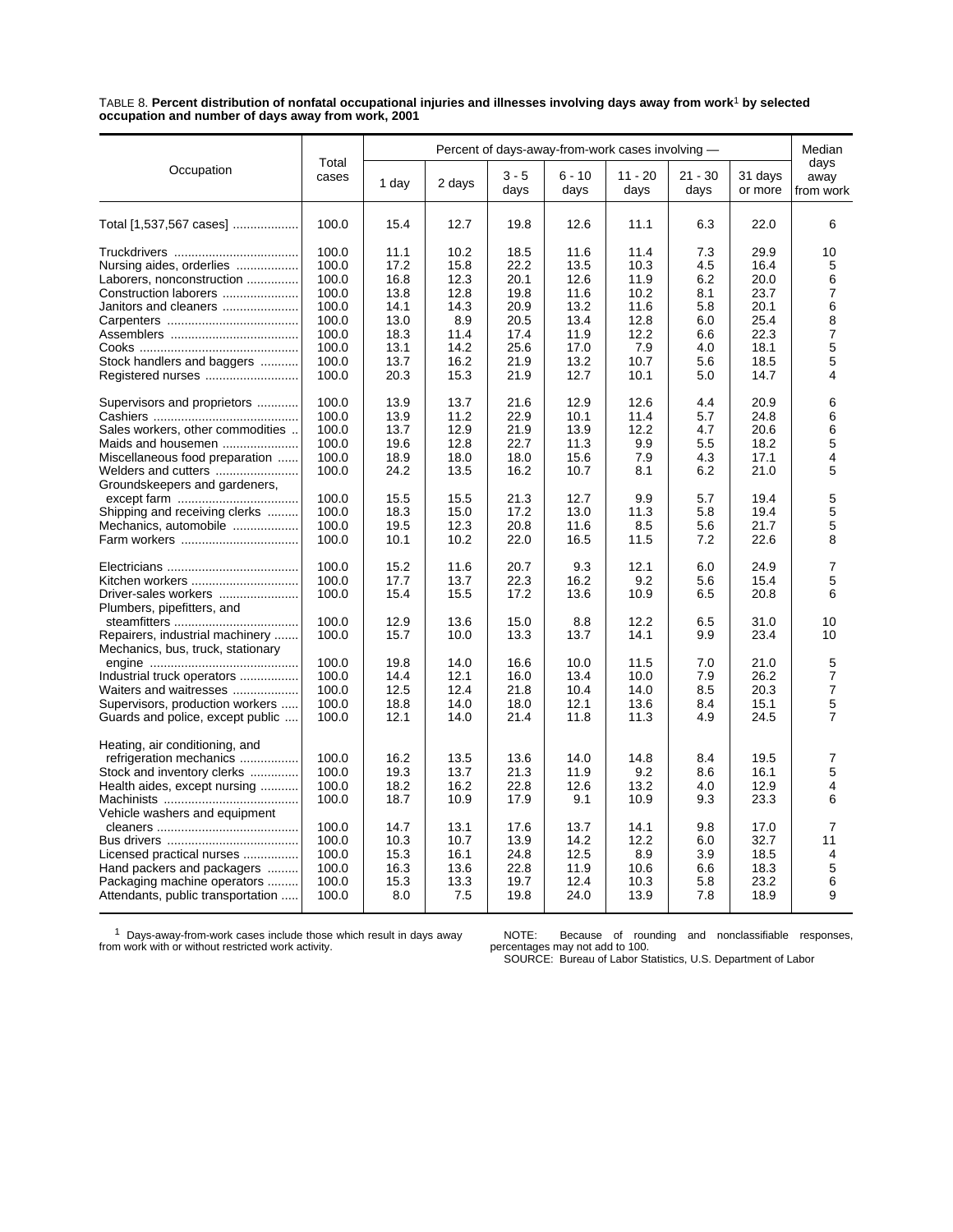TABLE 8. **Percent distribution of nonfatal occupational injuries and illnesses involving days away from work**1 **by selected occupation and number of days away from work, 2001**

| Total<br>days<br>Occupation<br>$6 - 10$<br>$3 - 5$<br>$11 - 20$<br>$21 - 30$<br>31 days<br>cases<br>away<br>1 day<br>2 days<br>days<br>days<br>days<br>days<br>or more<br>from work<br>12.7<br>100.0<br>15.4<br>19.8<br>12.6<br>11.1<br>6.3<br>22.0<br>6<br>Total [1,537,567 cases]<br>100.0<br>10.2<br>11.4<br>7.3<br>29.9<br>10<br>11.1<br>18.5<br>11.6<br>100.0<br>17.2<br>15.8<br>22.2<br>13.5<br>10.3<br>4.5<br>16.4<br>Nursing aides, orderlies<br>5<br>100.0<br>16.8<br>12.3<br>20.1<br>12.6<br>11.9<br>6.2<br>20.0<br>6<br>Laborers, nonconstruction<br>13.8<br>12.8<br>19.8<br>11.6<br>8.1<br>23.7<br>7<br>Construction laborers<br>100.0<br>10.2<br>6<br>100.0<br>14.1<br>14.3<br>20.9<br>13.2<br>11.6<br>5.8<br>20.1<br>Janitors and cleaners<br>100.0<br>8.9<br>20.5<br>13.4<br>25.4<br>8<br>13.0<br>12.8<br>6.0<br>$\overline{7}$<br>100.0<br>18.3<br>11.4<br>17.4<br>11.9<br>12.2<br>6.6<br>22.3<br>5<br>14.2<br>25.6<br>17.0<br>7.9<br>4.0<br>18.1<br>100.0<br>13.1<br>5<br>16.2<br>100.0<br>13.7<br>21.9<br>13.2<br>10.7<br>5.6<br>18.5<br>Stock handlers and baggers<br>100.0<br>20.3<br>15.3<br>21.9<br>12.7<br>10.1<br>14.7<br>4<br>5.0<br>100.0<br>13.9<br>13.7<br>21.6<br>12.9<br>12.6<br>4.4<br>20.9<br>6<br>Supervisors and proprietors<br>11.2<br>6<br>100.0<br>13.9<br>22.9<br>10.1<br>11.4<br>5.7<br>24.8<br>Sales workers, other commodities<br>100.0<br>13.7<br>12.9<br>21.9<br>13.9<br>12.2<br>4.7<br>20.6<br>6<br>100.0<br>12.8<br>5<br>Maids and housemen<br>19.6<br>22.7<br>11.3<br>9.9<br>5.5<br>18.2<br>100.0<br>18.9<br>18.0<br>18.0<br>15.6<br>7.9<br>4.3<br>17.1<br>4<br>Miscellaneous food preparation<br>100.0<br>24.2<br>13.5<br>16.2<br>21.0<br>5<br>Welders and cutters<br>10.7<br>8.1<br>6.2<br>Groundskeepers and gardeners,<br>5<br>15.5<br>9.9<br>19.4<br>100.0<br>15.5<br>21.3<br>12.7<br>5.7<br>5<br>100.0<br>18.3<br>15.0<br>17.2<br>13.0<br>11.3<br>5.8<br>19.4<br>Shipping and receiving clerks<br>5<br>12.3<br>21.7<br>Mechanics, automobile<br>100.0<br>19.5<br>20.8<br>11.6<br>8.5<br>5.6<br>8<br>100.0<br>10.1<br>10.2<br>22.0<br>16.5<br>7.2<br>22.6<br>11.5<br>100.0<br>15.2<br>11.6<br>20.7<br>9.3<br>12.1<br>6.0<br>24.9<br>$\overline{7}$<br>22.3<br>9.2<br>5<br>100.0<br>17.7<br>13.7<br>16.2<br>5.6<br>15.4<br>Kitchen workers<br>100.0<br>15.4<br>15.5<br>17.2<br>13.6<br>10.9<br>6.5<br>20.8<br>6<br>Driver-sales workers<br>Plumbers, pipefitters, and<br>100.0<br>12.9<br>13.6<br>15.0<br>8.8<br>12.2<br>6.5<br>31.0<br>10<br>100.0<br>15.7<br>10.0<br>13.3<br>13.7<br>14.1<br>9.9<br>23.4<br>10<br>Repairers, industrial machinery<br>Mechanics, bus, truck, stationary<br>5<br>100.0<br>7.0<br>19.8<br>14.0<br>16.6<br>10.0<br>11.5<br>21.0<br>100.0<br>7.9<br>26.2<br>$\overline{7}$<br>14.4<br>12.1<br>16.0<br>13.4<br>10.0<br>Industrial truck operators<br>$\overline{7}$<br>100.0<br>12.5<br>12.4<br>21.8<br>10.4<br>14.0<br>8.5<br>20.3<br>Waiters and waitresses<br>5<br>Supervisors, production workers<br>100.0<br>18.8<br>14.0<br>18.0<br>12.1<br>13.6<br>8.4<br>15.1<br>$\overline{7}$<br>100.0<br>12.1<br>11.8<br>4.9<br>24.5<br>Guards and police, except public<br>14.0<br>21.4<br>11.3<br>Heating, air conditioning, and<br>100.0<br>16.2<br>13.5<br>19.5<br>$\overline{7}$<br>refrigeration mechanics<br>13.6<br>14.0<br>14.8<br>8.4<br>5<br>19.3<br>13.7<br>21.3<br>11.9<br>9.2<br>8.6<br>16.1<br>Stock and inventory clerks<br>100.0<br>Health aides, except nursing<br>100.0<br>16.2<br>22.8<br>12.6<br>4<br>18.2<br>13.2<br>4.0<br>12.9<br>100.0<br>18.7<br>10.9<br>17.9<br>9.1<br>10.9<br>9.3<br>23.3<br>6<br>Vehicle washers and equipment<br>100.0<br>14.7<br>13.1<br>17.6<br>13.7<br>14.1<br>9.8<br>17.0<br>$\overline{7}$<br>100.0<br>10.3<br>10.7<br>13.9<br>14.2<br>12.2<br>6.0<br>32.7<br>11<br>100.0<br>15.3<br>16.1<br>24.8<br>12.5<br>8.9<br>3.9<br>18.5<br>4<br>Licensed practical nurses<br>100.0<br>16.3<br>13.6<br>22.8<br>11.9<br>10.6<br>18.3<br>5<br>Hand packers and packagers<br>6.6<br>6<br>Packaging machine operators<br>100.0<br>15.3<br>13.3<br>12.4<br>5.8<br>23.2<br>19.7<br>10.3<br>7.5<br>7.8<br>18.9<br>9<br>Attendants, public transportation<br>100.0<br>8.0<br>19.8<br>24.0<br>13.9 |  |  |  | Percent of days-away-from-work cases involving - |  | Median |
|--------------------------------------------------------------------------------------------------------------------------------------------------------------------------------------------------------------------------------------------------------------------------------------------------------------------------------------------------------------------------------------------------------------------------------------------------------------------------------------------------------------------------------------------------------------------------------------------------------------------------------------------------------------------------------------------------------------------------------------------------------------------------------------------------------------------------------------------------------------------------------------------------------------------------------------------------------------------------------------------------------------------------------------------------------------------------------------------------------------------------------------------------------------------------------------------------------------------------------------------------------------------------------------------------------------------------------------------------------------------------------------------------------------------------------------------------------------------------------------------------------------------------------------------------------------------------------------------------------------------------------------------------------------------------------------------------------------------------------------------------------------------------------------------------------------------------------------------------------------------------------------------------------------------------------------------------------------------------------------------------------------------------------------------------------------------------------------------------------------------------------------------------------------------------------------------------------------------------------------------------------------------------------------------------------------------------------------------------------------------------------------------------------------------------------------------------------------------------------------------------------------------------------------------------------------------------------------------------------------------------------------------------------------------------------------------------------------------------------------------------------------------------------------------------------------------------------------------------------------------------------------------------------------------------------------------------------------------------------------------------------------------------------------------------------------------------------------------------------------------------------------------------------------------------------------------------------------------------------------------------------------------------------------------------------------------------------------------------------------------------------------------------------------------------------------------------------------------------------------------------------------------------------------------------------------------------------------------------------------------------------------------------------------------------------------------------------------------------------------------------------------------------------------------------------------------------------------------------------------------------------------------------------------------------------------------------------------------------------------------------------------------------------------------------------------------------------------------------------------------------------------------------------------------------------------------------------------|--|--|--|--------------------------------------------------|--|--------|
|                                                                                                                                                                                                                                                                                                                                                                                                                                                                                                                                                                                                                                                                                                                                                                                                                                                                                                                                                                                                                                                                                                                                                                                                                                                                                                                                                                                                                                                                                                                                                                                                                                                                                                                                                                                                                                                                                                                                                                                                                                                                                                                                                                                                                                                                                                                                                                                                                                                                                                                                                                                                                                                                                                                                                                                                                                                                                                                                                                                                                                                                                                                                                                                                                                                                                                                                                                                                                                                                                                                                                                                                                                                                                                                                                                                                                                                                                                                                                                                                                                                                                                                                                                                                              |  |  |  |                                                  |  |        |
|                                                                                                                                                                                                                                                                                                                                                                                                                                                                                                                                                                                                                                                                                                                                                                                                                                                                                                                                                                                                                                                                                                                                                                                                                                                                                                                                                                                                                                                                                                                                                                                                                                                                                                                                                                                                                                                                                                                                                                                                                                                                                                                                                                                                                                                                                                                                                                                                                                                                                                                                                                                                                                                                                                                                                                                                                                                                                                                                                                                                                                                                                                                                                                                                                                                                                                                                                                                                                                                                                                                                                                                                                                                                                                                                                                                                                                                                                                                                                                                                                                                                                                                                                                                                              |  |  |  |                                                  |  |        |
|                                                                                                                                                                                                                                                                                                                                                                                                                                                                                                                                                                                                                                                                                                                                                                                                                                                                                                                                                                                                                                                                                                                                                                                                                                                                                                                                                                                                                                                                                                                                                                                                                                                                                                                                                                                                                                                                                                                                                                                                                                                                                                                                                                                                                                                                                                                                                                                                                                                                                                                                                                                                                                                                                                                                                                                                                                                                                                                                                                                                                                                                                                                                                                                                                                                                                                                                                                                                                                                                                                                                                                                                                                                                                                                                                                                                                                                                                                                                                                                                                                                                                                                                                                                                              |  |  |  |                                                  |  |        |
|                                                                                                                                                                                                                                                                                                                                                                                                                                                                                                                                                                                                                                                                                                                                                                                                                                                                                                                                                                                                                                                                                                                                                                                                                                                                                                                                                                                                                                                                                                                                                                                                                                                                                                                                                                                                                                                                                                                                                                                                                                                                                                                                                                                                                                                                                                                                                                                                                                                                                                                                                                                                                                                                                                                                                                                                                                                                                                                                                                                                                                                                                                                                                                                                                                                                                                                                                                                                                                                                                                                                                                                                                                                                                                                                                                                                                                                                                                                                                                                                                                                                                                                                                                                                              |  |  |  |                                                  |  |        |
|                                                                                                                                                                                                                                                                                                                                                                                                                                                                                                                                                                                                                                                                                                                                                                                                                                                                                                                                                                                                                                                                                                                                                                                                                                                                                                                                                                                                                                                                                                                                                                                                                                                                                                                                                                                                                                                                                                                                                                                                                                                                                                                                                                                                                                                                                                                                                                                                                                                                                                                                                                                                                                                                                                                                                                                                                                                                                                                                                                                                                                                                                                                                                                                                                                                                                                                                                                                                                                                                                                                                                                                                                                                                                                                                                                                                                                                                                                                                                                                                                                                                                                                                                                                                              |  |  |  |                                                  |  |        |
|                                                                                                                                                                                                                                                                                                                                                                                                                                                                                                                                                                                                                                                                                                                                                                                                                                                                                                                                                                                                                                                                                                                                                                                                                                                                                                                                                                                                                                                                                                                                                                                                                                                                                                                                                                                                                                                                                                                                                                                                                                                                                                                                                                                                                                                                                                                                                                                                                                                                                                                                                                                                                                                                                                                                                                                                                                                                                                                                                                                                                                                                                                                                                                                                                                                                                                                                                                                                                                                                                                                                                                                                                                                                                                                                                                                                                                                                                                                                                                                                                                                                                                                                                                                                              |  |  |  |                                                  |  |        |
|                                                                                                                                                                                                                                                                                                                                                                                                                                                                                                                                                                                                                                                                                                                                                                                                                                                                                                                                                                                                                                                                                                                                                                                                                                                                                                                                                                                                                                                                                                                                                                                                                                                                                                                                                                                                                                                                                                                                                                                                                                                                                                                                                                                                                                                                                                                                                                                                                                                                                                                                                                                                                                                                                                                                                                                                                                                                                                                                                                                                                                                                                                                                                                                                                                                                                                                                                                                                                                                                                                                                                                                                                                                                                                                                                                                                                                                                                                                                                                                                                                                                                                                                                                                                              |  |  |  |                                                  |  |        |
|                                                                                                                                                                                                                                                                                                                                                                                                                                                                                                                                                                                                                                                                                                                                                                                                                                                                                                                                                                                                                                                                                                                                                                                                                                                                                                                                                                                                                                                                                                                                                                                                                                                                                                                                                                                                                                                                                                                                                                                                                                                                                                                                                                                                                                                                                                                                                                                                                                                                                                                                                                                                                                                                                                                                                                                                                                                                                                                                                                                                                                                                                                                                                                                                                                                                                                                                                                                                                                                                                                                                                                                                                                                                                                                                                                                                                                                                                                                                                                                                                                                                                                                                                                                                              |  |  |  |                                                  |  |        |
|                                                                                                                                                                                                                                                                                                                                                                                                                                                                                                                                                                                                                                                                                                                                                                                                                                                                                                                                                                                                                                                                                                                                                                                                                                                                                                                                                                                                                                                                                                                                                                                                                                                                                                                                                                                                                                                                                                                                                                                                                                                                                                                                                                                                                                                                                                                                                                                                                                                                                                                                                                                                                                                                                                                                                                                                                                                                                                                                                                                                                                                                                                                                                                                                                                                                                                                                                                                                                                                                                                                                                                                                                                                                                                                                                                                                                                                                                                                                                                                                                                                                                                                                                                                                              |  |  |  |                                                  |  |        |
|                                                                                                                                                                                                                                                                                                                                                                                                                                                                                                                                                                                                                                                                                                                                                                                                                                                                                                                                                                                                                                                                                                                                                                                                                                                                                                                                                                                                                                                                                                                                                                                                                                                                                                                                                                                                                                                                                                                                                                                                                                                                                                                                                                                                                                                                                                                                                                                                                                                                                                                                                                                                                                                                                                                                                                                                                                                                                                                                                                                                                                                                                                                                                                                                                                                                                                                                                                                                                                                                                                                                                                                                                                                                                                                                                                                                                                                                                                                                                                                                                                                                                                                                                                                                              |  |  |  |                                                  |  |        |
|                                                                                                                                                                                                                                                                                                                                                                                                                                                                                                                                                                                                                                                                                                                                                                                                                                                                                                                                                                                                                                                                                                                                                                                                                                                                                                                                                                                                                                                                                                                                                                                                                                                                                                                                                                                                                                                                                                                                                                                                                                                                                                                                                                                                                                                                                                                                                                                                                                                                                                                                                                                                                                                                                                                                                                                                                                                                                                                                                                                                                                                                                                                                                                                                                                                                                                                                                                                                                                                                                                                                                                                                                                                                                                                                                                                                                                                                                                                                                                                                                                                                                                                                                                                                              |  |  |  |                                                  |  |        |
|                                                                                                                                                                                                                                                                                                                                                                                                                                                                                                                                                                                                                                                                                                                                                                                                                                                                                                                                                                                                                                                                                                                                                                                                                                                                                                                                                                                                                                                                                                                                                                                                                                                                                                                                                                                                                                                                                                                                                                                                                                                                                                                                                                                                                                                                                                                                                                                                                                                                                                                                                                                                                                                                                                                                                                                                                                                                                                                                                                                                                                                                                                                                                                                                                                                                                                                                                                                                                                                                                                                                                                                                                                                                                                                                                                                                                                                                                                                                                                                                                                                                                                                                                                                                              |  |  |  |                                                  |  |        |
|                                                                                                                                                                                                                                                                                                                                                                                                                                                                                                                                                                                                                                                                                                                                                                                                                                                                                                                                                                                                                                                                                                                                                                                                                                                                                                                                                                                                                                                                                                                                                                                                                                                                                                                                                                                                                                                                                                                                                                                                                                                                                                                                                                                                                                                                                                                                                                                                                                                                                                                                                                                                                                                                                                                                                                                                                                                                                                                                                                                                                                                                                                                                                                                                                                                                                                                                                                                                                                                                                                                                                                                                                                                                                                                                                                                                                                                                                                                                                                                                                                                                                                                                                                                                              |  |  |  |                                                  |  |        |
|                                                                                                                                                                                                                                                                                                                                                                                                                                                                                                                                                                                                                                                                                                                                                                                                                                                                                                                                                                                                                                                                                                                                                                                                                                                                                                                                                                                                                                                                                                                                                                                                                                                                                                                                                                                                                                                                                                                                                                                                                                                                                                                                                                                                                                                                                                                                                                                                                                                                                                                                                                                                                                                                                                                                                                                                                                                                                                                                                                                                                                                                                                                                                                                                                                                                                                                                                                                                                                                                                                                                                                                                                                                                                                                                                                                                                                                                                                                                                                                                                                                                                                                                                                                                              |  |  |  |                                                  |  |        |
|                                                                                                                                                                                                                                                                                                                                                                                                                                                                                                                                                                                                                                                                                                                                                                                                                                                                                                                                                                                                                                                                                                                                                                                                                                                                                                                                                                                                                                                                                                                                                                                                                                                                                                                                                                                                                                                                                                                                                                                                                                                                                                                                                                                                                                                                                                                                                                                                                                                                                                                                                                                                                                                                                                                                                                                                                                                                                                                                                                                                                                                                                                                                                                                                                                                                                                                                                                                                                                                                                                                                                                                                                                                                                                                                                                                                                                                                                                                                                                                                                                                                                                                                                                                                              |  |  |  |                                                  |  |        |
|                                                                                                                                                                                                                                                                                                                                                                                                                                                                                                                                                                                                                                                                                                                                                                                                                                                                                                                                                                                                                                                                                                                                                                                                                                                                                                                                                                                                                                                                                                                                                                                                                                                                                                                                                                                                                                                                                                                                                                                                                                                                                                                                                                                                                                                                                                                                                                                                                                                                                                                                                                                                                                                                                                                                                                                                                                                                                                                                                                                                                                                                                                                                                                                                                                                                                                                                                                                                                                                                                                                                                                                                                                                                                                                                                                                                                                                                                                                                                                                                                                                                                                                                                                                                              |  |  |  |                                                  |  |        |
|                                                                                                                                                                                                                                                                                                                                                                                                                                                                                                                                                                                                                                                                                                                                                                                                                                                                                                                                                                                                                                                                                                                                                                                                                                                                                                                                                                                                                                                                                                                                                                                                                                                                                                                                                                                                                                                                                                                                                                                                                                                                                                                                                                                                                                                                                                                                                                                                                                                                                                                                                                                                                                                                                                                                                                                                                                                                                                                                                                                                                                                                                                                                                                                                                                                                                                                                                                                                                                                                                                                                                                                                                                                                                                                                                                                                                                                                                                                                                                                                                                                                                                                                                                                                              |  |  |  |                                                  |  |        |
|                                                                                                                                                                                                                                                                                                                                                                                                                                                                                                                                                                                                                                                                                                                                                                                                                                                                                                                                                                                                                                                                                                                                                                                                                                                                                                                                                                                                                                                                                                                                                                                                                                                                                                                                                                                                                                                                                                                                                                                                                                                                                                                                                                                                                                                                                                                                                                                                                                                                                                                                                                                                                                                                                                                                                                                                                                                                                                                                                                                                                                                                                                                                                                                                                                                                                                                                                                                                                                                                                                                                                                                                                                                                                                                                                                                                                                                                                                                                                                                                                                                                                                                                                                                                              |  |  |  |                                                  |  |        |
|                                                                                                                                                                                                                                                                                                                                                                                                                                                                                                                                                                                                                                                                                                                                                                                                                                                                                                                                                                                                                                                                                                                                                                                                                                                                                                                                                                                                                                                                                                                                                                                                                                                                                                                                                                                                                                                                                                                                                                                                                                                                                                                                                                                                                                                                                                                                                                                                                                                                                                                                                                                                                                                                                                                                                                                                                                                                                                                                                                                                                                                                                                                                                                                                                                                                                                                                                                                                                                                                                                                                                                                                                                                                                                                                                                                                                                                                                                                                                                                                                                                                                                                                                                                                              |  |  |  |                                                  |  |        |
|                                                                                                                                                                                                                                                                                                                                                                                                                                                                                                                                                                                                                                                                                                                                                                                                                                                                                                                                                                                                                                                                                                                                                                                                                                                                                                                                                                                                                                                                                                                                                                                                                                                                                                                                                                                                                                                                                                                                                                                                                                                                                                                                                                                                                                                                                                                                                                                                                                                                                                                                                                                                                                                                                                                                                                                                                                                                                                                                                                                                                                                                                                                                                                                                                                                                                                                                                                                                                                                                                                                                                                                                                                                                                                                                                                                                                                                                                                                                                                                                                                                                                                                                                                                                              |  |  |  |                                                  |  |        |
|                                                                                                                                                                                                                                                                                                                                                                                                                                                                                                                                                                                                                                                                                                                                                                                                                                                                                                                                                                                                                                                                                                                                                                                                                                                                                                                                                                                                                                                                                                                                                                                                                                                                                                                                                                                                                                                                                                                                                                                                                                                                                                                                                                                                                                                                                                                                                                                                                                                                                                                                                                                                                                                                                                                                                                                                                                                                                                                                                                                                                                                                                                                                                                                                                                                                                                                                                                                                                                                                                                                                                                                                                                                                                                                                                                                                                                                                                                                                                                                                                                                                                                                                                                                                              |  |  |  |                                                  |  |        |
|                                                                                                                                                                                                                                                                                                                                                                                                                                                                                                                                                                                                                                                                                                                                                                                                                                                                                                                                                                                                                                                                                                                                                                                                                                                                                                                                                                                                                                                                                                                                                                                                                                                                                                                                                                                                                                                                                                                                                                                                                                                                                                                                                                                                                                                                                                                                                                                                                                                                                                                                                                                                                                                                                                                                                                                                                                                                                                                                                                                                                                                                                                                                                                                                                                                                                                                                                                                                                                                                                                                                                                                                                                                                                                                                                                                                                                                                                                                                                                                                                                                                                                                                                                                                              |  |  |  |                                                  |  |        |
|                                                                                                                                                                                                                                                                                                                                                                                                                                                                                                                                                                                                                                                                                                                                                                                                                                                                                                                                                                                                                                                                                                                                                                                                                                                                                                                                                                                                                                                                                                                                                                                                                                                                                                                                                                                                                                                                                                                                                                                                                                                                                                                                                                                                                                                                                                                                                                                                                                                                                                                                                                                                                                                                                                                                                                                                                                                                                                                                                                                                                                                                                                                                                                                                                                                                                                                                                                                                                                                                                                                                                                                                                                                                                                                                                                                                                                                                                                                                                                                                                                                                                                                                                                                                              |  |  |  |                                                  |  |        |
|                                                                                                                                                                                                                                                                                                                                                                                                                                                                                                                                                                                                                                                                                                                                                                                                                                                                                                                                                                                                                                                                                                                                                                                                                                                                                                                                                                                                                                                                                                                                                                                                                                                                                                                                                                                                                                                                                                                                                                                                                                                                                                                                                                                                                                                                                                                                                                                                                                                                                                                                                                                                                                                                                                                                                                                                                                                                                                                                                                                                                                                                                                                                                                                                                                                                                                                                                                                                                                                                                                                                                                                                                                                                                                                                                                                                                                                                                                                                                                                                                                                                                                                                                                                                              |  |  |  |                                                  |  |        |
|                                                                                                                                                                                                                                                                                                                                                                                                                                                                                                                                                                                                                                                                                                                                                                                                                                                                                                                                                                                                                                                                                                                                                                                                                                                                                                                                                                                                                                                                                                                                                                                                                                                                                                                                                                                                                                                                                                                                                                                                                                                                                                                                                                                                                                                                                                                                                                                                                                                                                                                                                                                                                                                                                                                                                                                                                                                                                                                                                                                                                                                                                                                                                                                                                                                                                                                                                                                                                                                                                                                                                                                                                                                                                                                                                                                                                                                                                                                                                                                                                                                                                                                                                                                                              |  |  |  |                                                  |  |        |
|                                                                                                                                                                                                                                                                                                                                                                                                                                                                                                                                                                                                                                                                                                                                                                                                                                                                                                                                                                                                                                                                                                                                                                                                                                                                                                                                                                                                                                                                                                                                                                                                                                                                                                                                                                                                                                                                                                                                                                                                                                                                                                                                                                                                                                                                                                                                                                                                                                                                                                                                                                                                                                                                                                                                                                                                                                                                                                                                                                                                                                                                                                                                                                                                                                                                                                                                                                                                                                                                                                                                                                                                                                                                                                                                                                                                                                                                                                                                                                                                                                                                                                                                                                                                              |  |  |  |                                                  |  |        |
|                                                                                                                                                                                                                                                                                                                                                                                                                                                                                                                                                                                                                                                                                                                                                                                                                                                                                                                                                                                                                                                                                                                                                                                                                                                                                                                                                                                                                                                                                                                                                                                                                                                                                                                                                                                                                                                                                                                                                                                                                                                                                                                                                                                                                                                                                                                                                                                                                                                                                                                                                                                                                                                                                                                                                                                                                                                                                                                                                                                                                                                                                                                                                                                                                                                                                                                                                                                                                                                                                                                                                                                                                                                                                                                                                                                                                                                                                                                                                                                                                                                                                                                                                                                                              |  |  |  |                                                  |  |        |
|                                                                                                                                                                                                                                                                                                                                                                                                                                                                                                                                                                                                                                                                                                                                                                                                                                                                                                                                                                                                                                                                                                                                                                                                                                                                                                                                                                                                                                                                                                                                                                                                                                                                                                                                                                                                                                                                                                                                                                                                                                                                                                                                                                                                                                                                                                                                                                                                                                                                                                                                                                                                                                                                                                                                                                                                                                                                                                                                                                                                                                                                                                                                                                                                                                                                                                                                                                                                                                                                                                                                                                                                                                                                                                                                                                                                                                                                                                                                                                                                                                                                                                                                                                                                              |  |  |  |                                                  |  |        |
|                                                                                                                                                                                                                                                                                                                                                                                                                                                                                                                                                                                                                                                                                                                                                                                                                                                                                                                                                                                                                                                                                                                                                                                                                                                                                                                                                                                                                                                                                                                                                                                                                                                                                                                                                                                                                                                                                                                                                                                                                                                                                                                                                                                                                                                                                                                                                                                                                                                                                                                                                                                                                                                                                                                                                                                                                                                                                                                                                                                                                                                                                                                                                                                                                                                                                                                                                                                                                                                                                                                                                                                                                                                                                                                                                                                                                                                                                                                                                                                                                                                                                                                                                                                                              |  |  |  |                                                  |  |        |
|                                                                                                                                                                                                                                                                                                                                                                                                                                                                                                                                                                                                                                                                                                                                                                                                                                                                                                                                                                                                                                                                                                                                                                                                                                                                                                                                                                                                                                                                                                                                                                                                                                                                                                                                                                                                                                                                                                                                                                                                                                                                                                                                                                                                                                                                                                                                                                                                                                                                                                                                                                                                                                                                                                                                                                                                                                                                                                                                                                                                                                                                                                                                                                                                                                                                                                                                                                                                                                                                                                                                                                                                                                                                                                                                                                                                                                                                                                                                                                                                                                                                                                                                                                                                              |  |  |  |                                                  |  |        |
|                                                                                                                                                                                                                                                                                                                                                                                                                                                                                                                                                                                                                                                                                                                                                                                                                                                                                                                                                                                                                                                                                                                                                                                                                                                                                                                                                                                                                                                                                                                                                                                                                                                                                                                                                                                                                                                                                                                                                                                                                                                                                                                                                                                                                                                                                                                                                                                                                                                                                                                                                                                                                                                                                                                                                                                                                                                                                                                                                                                                                                                                                                                                                                                                                                                                                                                                                                                                                                                                                                                                                                                                                                                                                                                                                                                                                                                                                                                                                                                                                                                                                                                                                                                                              |  |  |  |                                                  |  |        |
|                                                                                                                                                                                                                                                                                                                                                                                                                                                                                                                                                                                                                                                                                                                                                                                                                                                                                                                                                                                                                                                                                                                                                                                                                                                                                                                                                                                                                                                                                                                                                                                                                                                                                                                                                                                                                                                                                                                                                                                                                                                                                                                                                                                                                                                                                                                                                                                                                                                                                                                                                                                                                                                                                                                                                                                                                                                                                                                                                                                                                                                                                                                                                                                                                                                                                                                                                                                                                                                                                                                                                                                                                                                                                                                                                                                                                                                                                                                                                                                                                                                                                                                                                                                                              |  |  |  |                                                  |  |        |
|                                                                                                                                                                                                                                                                                                                                                                                                                                                                                                                                                                                                                                                                                                                                                                                                                                                                                                                                                                                                                                                                                                                                                                                                                                                                                                                                                                                                                                                                                                                                                                                                                                                                                                                                                                                                                                                                                                                                                                                                                                                                                                                                                                                                                                                                                                                                                                                                                                                                                                                                                                                                                                                                                                                                                                                                                                                                                                                                                                                                                                                                                                                                                                                                                                                                                                                                                                                                                                                                                                                                                                                                                                                                                                                                                                                                                                                                                                                                                                                                                                                                                                                                                                                                              |  |  |  |                                                  |  |        |
|                                                                                                                                                                                                                                                                                                                                                                                                                                                                                                                                                                                                                                                                                                                                                                                                                                                                                                                                                                                                                                                                                                                                                                                                                                                                                                                                                                                                                                                                                                                                                                                                                                                                                                                                                                                                                                                                                                                                                                                                                                                                                                                                                                                                                                                                                                                                                                                                                                                                                                                                                                                                                                                                                                                                                                                                                                                                                                                                                                                                                                                                                                                                                                                                                                                                                                                                                                                                                                                                                                                                                                                                                                                                                                                                                                                                                                                                                                                                                                                                                                                                                                                                                                                                              |  |  |  |                                                  |  |        |
|                                                                                                                                                                                                                                                                                                                                                                                                                                                                                                                                                                                                                                                                                                                                                                                                                                                                                                                                                                                                                                                                                                                                                                                                                                                                                                                                                                                                                                                                                                                                                                                                                                                                                                                                                                                                                                                                                                                                                                                                                                                                                                                                                                                                                                                                                                                                                                                                                                                                                                                                                                                                                                                                                                                                                                                                                                                                                                                                                                                                                                                                                                                                                                                                                                                                                                                                                                                                                                                                                                                                                                                                                                                                                                                                                                                                                                                                                                                                                                                                                                                                                                                                                                                                              |  |  |  |                                                  |  |        |
|                                                                                                                                                                                                                                                                                                                                                                                                                                                                                                                                                                                                                                                                                                                                                                                                                                                                                                                                                                                                                                                                                                                                                                                                                                                                                                                                                                                                                                                                                                                                                                                                                                                                                                                                                                                                                                                                                                                                                                                                                                                                                                                                                                                                                                                                                                                                                                                                                                                                                                                                                                                                                                                                                                                                                                                                                                                                                                                                                                                                                                                                                                                                                                                                                                                                                                                                                                                                                                                                                                                                                                                                                                                                                                                                                                                                                                                                                                                                                                                                                                                                                                                                                                                                              |  |  |  |                                                  |  |        |
|                                                                                                                                                                                                                                                                                                                                                                                                                                                                                                                                                                                                                                                                                                                                                                                                                                                                                                                                                                                                                                                                                                                                                                                                                                                                                                                                                                                                                                                                                                                                                                                                                                                                                                                                                                                                                                                                                                                                                                                                                                                                                                                                                                                                                                                                                                                                                                                                                                                                                                                                                                                                                                                                                                                                                                                                                                                                                                                                                                                                                                                                                                                                                                                                                                                                                                                                                                                                                                                                                                                                                                                                                                                                                                                                                                                                                                                                                                                                                                                                                                                                                                                                                                                                              |  |  |  |                                                  |  |        |
|                                                                                                                                                                                                                                                                                                                                                                                                                                                                                                                                                                                                                                                                                                                                                                                                                                                                                                                                                                                                                                                                                                                                                                                                                                                                                                                                                                                                                                                                                                                                                                                                                                                                                                                                                                                                                                                                                                                                                                                                                                                                                                                                                                                                                                                                                                                                                                                                                                                                                                                                                                                                                                                                                                                                                                                                                                                                                                                                                                                                                                                                                                                                                                                                                                                                                                                                                                                                                                                                                                                                                                                                                                                                                                                                                                                                                                                                                                                                                                                                                                                                                                                                                                                                              |  |  |  |                                                  |  |        |
|                                                                                                                                                                                                                                                                                                                                                                                                                                                                                                                                                                                                                                                                                                                                                                                                                                                                                                                                                                                                                                                                                                                                                                                                                                                                                                                                                                                                                                                                                                                                                                                                                                                                                                                                                                                                                                                                                                                                                                                                                                                                                                                                                                                                                                                                                                                                                                                                                                                                                                                                                                                                                                                                                                                                                                                                                                                                                                                                                                                                                                                                                                                                                                                                                                                                                                                                                                                                                                                                                                                                                                                                                                                                                                                                                                                                                                                                                                                                                                                                                                                                                                                                                                                                              |  |  |  |                                                  |  |        |
|                                                                                                                                                                                                                                                                                                                                                                                                                                                                                                                                                                                                                                                                                                                                                                                                                                                                                                                                                                                                                                                                                                                                                                                                                                                                                                                                                                                                                                                                                                                                                                                                                                                                                                                                                                                                                                                                                                                                                                                                                                                                                                                                                                                                                                                                                                                                                                                                                                                                                                                                                                                                                                                                                                                                                                                                                                                                                                                                                                                                                                                                                                                                                                                                                                                                                                                                                                                                                                                                                                                                                                                                                                                                                                                                                                                                                                                                                                                                                                                                                                                                                                                                                                                                              |  |  |  |                                                  |  |        |
|                                                                                                                                                                                                                                                                                                                                                                                                                                                                                                                                                                                                                                                                                                                                                                                                                                                                                                                                                                                                                                                                                                                                                                                                                                                                                                                                                                                                                                                                                                                                                                                                                                                                                                                                                                                                                                                                                                                                                                                                                                                                                                                                                                                                                                                                                                                                                                                                                                                                                                                                                                                                                                                                                                                                                                                                                                                                                                                                                                                                                                                                                                                                                                                                                                                                                                                                                                                                                                                                                                                                                                                                                                                                                                                                                                                                                                                                                                                                                                                                                                                                                                                                                                                                              |  |  |  |                                                  |  |        |
|                                                                                                                                                                                                                                                                                                                                                                                                                                                                                                                                                                                                                                                                                                                                                                                                                                                                                                                                                                                                                                                                                                                                                                                                                                                                                                                                                                                                                                                                                                                                                                                                                                                                                                                                                                                                                                                                                                                                                                                                                                                                                                                                                                                                                                                                                                                                                                                                                                                                                                                                                                                                                                                                                                                                                                                                                                                                                                                                                                                                                                                                                                                                                                                                                                                                                                                                                                                                                                                                                                                                                                                                                                                                                                                                                                                                                                                                                                                                                                                                                                                                                                                                                                                                              |  |  |  |                                                  |  |        |
|                                                                                                                                                                                                                                                                                                                                                                                                                                                                                                                                                                                                                                                                                                                                                                                                                                                                                                                                                                                                                                                                                                                                                                                                                                                                                                                                                                                                                                                                                                                                                                                                                                                                                                                                                                                                                                                                                                                                                                                                                                                                                                                                                                                                                                                                                                                                                                                                                                                                                                                                                                                                                                                                                                                                                                                                                                                                                                                                                                                                                                                                                                                                                                                                                                                                                                                                                                                                                                                                                                                                                                                                                                                                                                                                                                                                                                                                                                                                                                                                                                                                                                                                                                                                              |  |  |  |                                                  |  |        |
|                                                                                                                                                                                                                                                                                                                                                                                                                                                                                                                                                                                                                                                                                                                                                                                                                                                                                                                                                                                                                                                                                                                                                                                                                                                                                                                                                                                                                                                                                                                                                                                                                                                                                                                                                                                                                                                                                                                                                                                                                                                                                                                                                                                                                                                                                                                                                                                                                                                                                                                                                                                                                                                                                                                                                                                                                                                                                                                                                                                                                                                                                                                                                                                                                                                                                                                                                                                                                                                                                                                                                                                                                                                                                                                                                                                                                                                                                                                                                                                                                                                                                                                                                                                                              |  |  |  |                                                  |  |        |
|                                                                                                                                                                                                                                                                                                                                                                                                                                                                                                                                                                                                                                                                                                                                                                                                                                                                                                                                                                                                                                                                                                                                                                                                                                                                                                                                                                                                                                                                                                                                                                                                                                                                                                                                                                                                                                                                                                                                                                                                                                                                                                                                                                                                                                                                                                                                                                                                                                                                                                                                                                                                                                                                                                                                                                                                                                                                                                                                                                                                                                                                                                                                                                                                                                                                                                                                                                                                                                                                                                                                                                                                                                                                                                                                                                                                                                                                                                                                                                                                                                                                                                                                                                                                              |  |  |  |                                                  |  |        |

1 Days-away-from-work cases include those which result in days away from work with or without restricted work activity.

NOTE: Because of rounding and nonclassifiable responses, percentages may not add to 100. SOURCE: Bureau of Labor Statistics, U.S. Department of Labor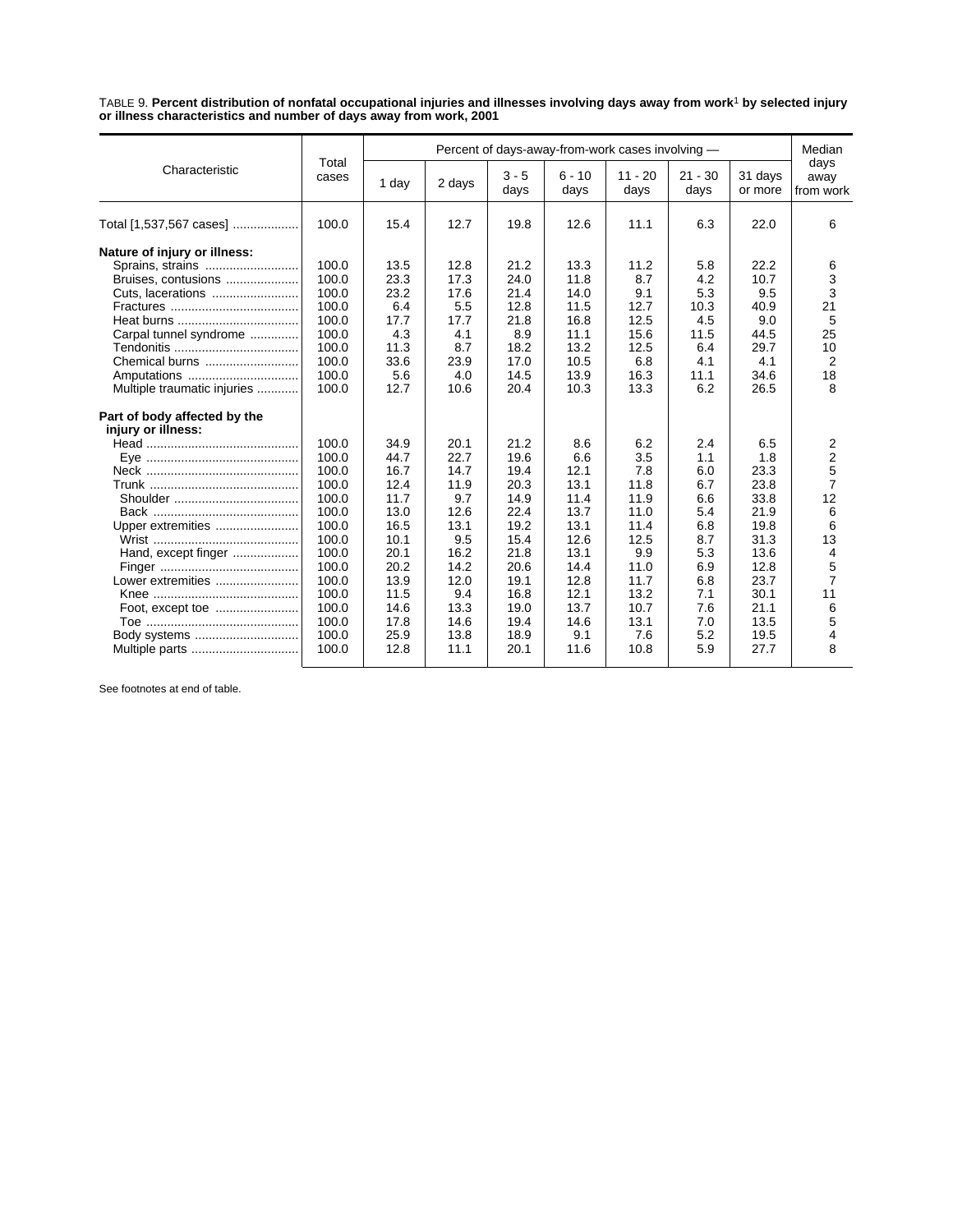TABLE 9. **Percent distribution of nonfatal occupational injuries and illnesses involving days away from work**1 **by selected injury or illness characteristics and number of days away from work, 2001**

|                                                                                                                                                       | Total                                                                                                                                        |                                                                                                                              | Percent of days-away-from-work cases involving -                                                                          |                                                                                                                              |                                                                                                                           |                                                                                                                         |                                                                                                              |                                                                                                                            |                                                                                                                        |  |  |
|-------------------------------------------------------------------------------------------------------------------------------------------------------|----------------------------------------------------------------------------------------------------------------------------------------------|------------------------------------------------------------------------------------------------------------------------------|---------------------------------------------------------------------------------------------------------------------------|------------------------------------------------------------------------------------------------------------------------------|---------------------------------------------------------------------------------------------------------------------------|-------------------------------------------------------------------------------------------------------------------------|--------------------------------------------------------------------------------------------------------------|----------------------------------------------------------------------------------------------------------------------------|------------------------------------------------------------------------------------------------------------------------|--|--|
| Characteristic                                                                                                                                        | cases                                                                                                                                        | 1 day                                                                                                                        | 2 days                                                                                                                    | $3 - 5$<br>days                                                                                                              | $6 - 10$<br>days                                                                                                          | $11 - 20$<br>days                                                                                                       | $21 - 30$<br>days                                                                                            | 31 days<br>or more                                                                                                         | days<br>away<br>from work                                                                                              |  |  |
| Total [1,537,567 cases]                                                                                                                               | 100.0                                                                                                                                        | 15.4                                                                                                                         | 12.7                                                                                                                      | 19.8                                                                                                                         | 12.6                                                                                                                      | 11.1                                                                                                                    | 6.3                                                                                                          | 22.0                                                                                                                       | 6                                                                                                                      |  |  |
| Nature of injury or illness:<br>Sprains, strains<br>Bruises, contusions<br>Cuts, lacerations                                                          | 100.0<br>100.0<br>100.0<br>100.0<br>100.0                                                                                                    | 13.5<br>23.3<br>23.2<br>6.4<br>17.7                                                                                          | 12.8<br>17.3<br>17.6<br>5.5<br>17.7                                                                                       | 21.2<br>24.0<br>21.4<br>12.8                                                                                                 | 13.3<br>11.8<br>14.0<br>11.5<br>16.8                                                                                      | 11.2<br>8.7<br>9.1<br>12.7<br>12.5                                                                                      | 5.8<br>4.2<br>5.3<br>10.3<br>4.5                                                                             | 22.2<br>10.7<br>9.5<br>40.9<br>9.0                                                                                         | 6<br>3<br>3<br>21<br>5                                                                                                 |  |  |
| Carpal tunnel syndrome<br>Chemical burns<br>Multiple traumatic injuries                                                                               | 100.0<br>100.0<br>100.0<br>100.0<br>100.0                                                                                                    | 4.3<br>11.3<br>33.6<br>5.6<br>12.7                                                                                           | 4.1<br>8.7<br>23.9<br>4.0<br>10.6                                                                                         | 21.8<br>8.9<br>18.2<br>17.0<br>14.5<br>20.4                                                                                  | 11.1<br>13.2<br>10.5<br>13.9<br>10.3                                                                                      | 15.6<br>12.5<br>6.8<br>16.3<br>13.3                                                                                     | 11.5<br>6.4<br>4.1<br>11.1<br>6.2                                                                            | 44.5<br>29.7<br>4.1<br>34.6<br>26.5                                                                                        | 25<br>10<br>2<br>18<br>8                                                                                               |  |  |
| Part of body affected by the<br>injury or illness:<br>Upper extremities<br>Hand, except finger<br>Lower extremities<br>Body systems<br>Multiple parts | 100.0<br>100.0<br>100.0<br>100.0<br>100.0<br>100.0<br>100.0<br>100.0<br>100.0<br>100.0<br>100.0<br>100.0<br>100.0<br>100.0<br>100.0<br>100.0 | 34.9<br>44.7<br>16.7<br>12.4<br>11.7<br>13.0<br>16.5<br>10.1<br>20.1<br>20.2<br>13.9<br>11.5<br>14.6<br>17.8<br>25.9<br>12.8 | 20.1<br>22.7<br>14.7<br>11.9<br>9.7<br>12.6<br>13.1<br>9.5<br>16.2<br>14.2<br>12.0<br>9.4<br>13.3<br>14.6<br>13.8<br>11.1 | 21.2<br>19.6<br>19.4<br>20.3<br>14.9<br>22.4<br>19.2<br>15.4<br>21.8<br>20.6<br>19.1<br>16.8<br>19.0<br>19.4<br>18.9<br>20.1 | 8.6<br>6.6<br>12.1<br>13.1<br>11.4<br>13.7<br>13.1<br>12.6<br>13.1<br>14.4<br>12.8<br>12.1<br>13.7<br>14.6<br>9.1<br>11.6 | 6.2<br>3.5<br>7.8<br>11.8<br>11.9<br>11.0<br>11.4<br>12.5<br>9.9<br>11.0<br>11.7<br>13.2<br>10.7<br>13.1<br>7.6<br>10.8 | 2.4<br>1.1<br>6.0<br>6.7<br>6.6<br>5.4<br>6.8<br>8.7<br>5.3<br>6.9<br>6.8<br>7.1<br>7.6<br>7.0<br>5.2<br>5.9 | 6.5<br>1.8<br>23.3<br>23.8<br>33.8<br>21.9<br>19.8<br>31.3<br>13.6<br>12.8<br>23.7<br>30.1<br>21.1<br>13.5<br>19.5<br>27.7 | 2<br>$\overline{2}$<br>5<br>$\overline{7}$<br>12<br>6<br>6<br>13<br>4<br>5<br>$\overline{7}$<br>11<br>6<br>5<br>4<br>8 |  |  |

See footnotes at end of table.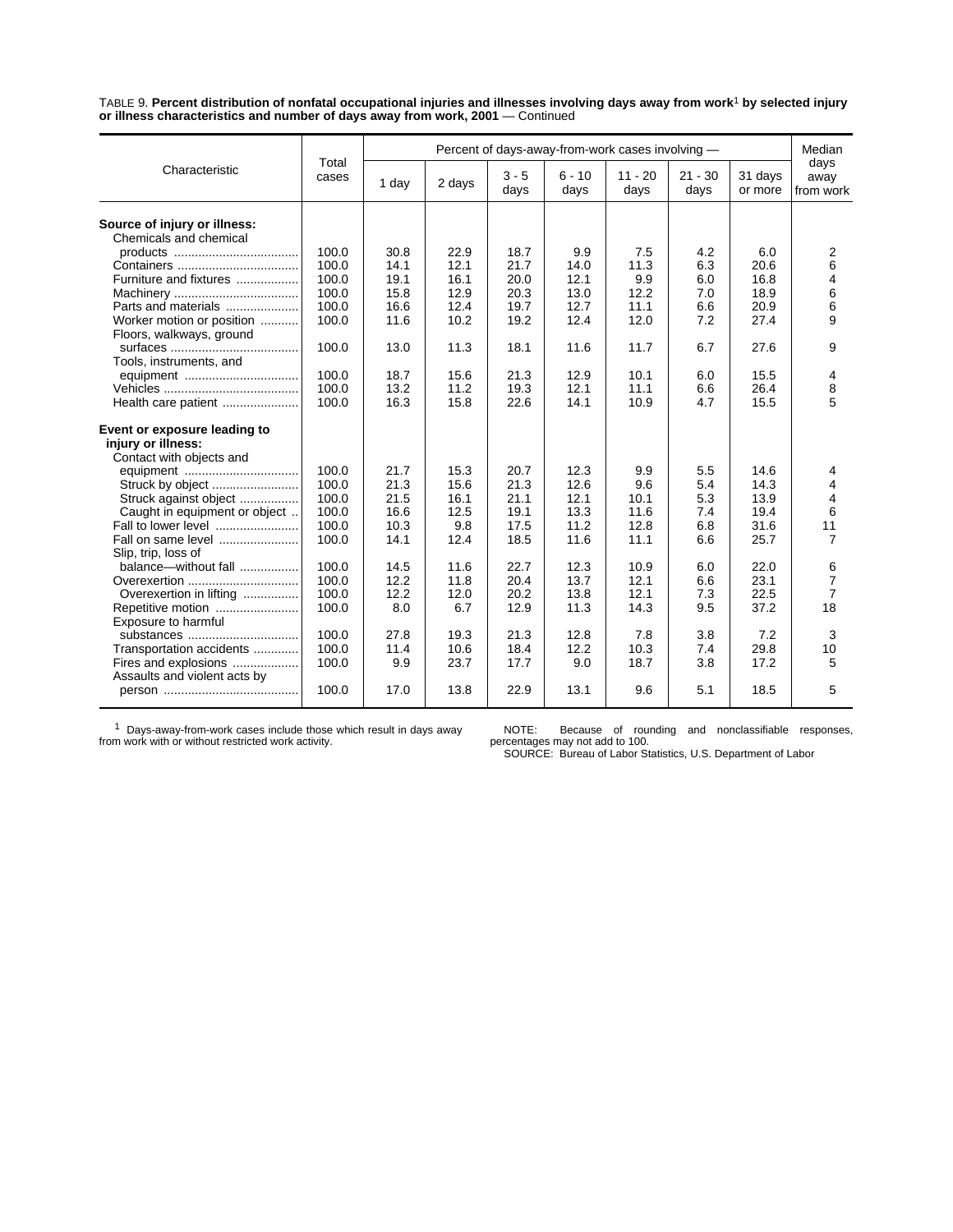TABLE 9. **Percent distribution of nonfatal occupational injuries and illnesses involving days away from work**1 **by selected injury or illness characteristics and number of days away from work, 2001** — Continued

|                                                        |                |       | Percent of days-away-from-work cases involving - |                 |                  |                   |                   |                    |                           |  |  |
|--------------------------------------------------------|----------------|-------|--------------------------------------------------|-----------------|------------------|-------------------|-------------------|--------------------|---------------------------|--|--|
| Characteristic                                         | Total<br>cases | 1 day | 2 days                                           | $3 - 5$<br>days | $6 - 10$<br>days | $11 - 20$<br>days | $21 - 30$<br>days | 31 days<br>or more | days<br>away<br>from work |  |  |
|                                                        |                |       |                                                  |                 |                  |                   |                   |                    |                           |  |  |
| Source of injury or illness:<br>Chemicals and chemical |                |       |                                                  |                 |                  |                   |                   |                    |                           |  |  |
|                                                        | 100.0          | 30.8  | 22.9                                             | 18.7            | 9.9              | 7.5               | 4.2               | 6.0                | 2                         |  |  |
|                                                        | 100.0          | 14.1  | 12.1                                             | 21.7            | 14.0             | 11.3              | 6.3               | 20.6               | 6                         |  |  |
|                                                        |                |       |                                                  |                 |                  |                   |                   |                    |                           |  |  |
| Furniture and fixtures                                 | 100.0          | 19.1  | 16.1                                             | 20.0            | 12.1             | 9.9               | 6.0               | 16.8               | $\overline{4}$            |  |  |
|                                                        | 100.0          | 15.8  | 12.9                                             | 20.3            | 13.0             | 12.2              | 7.0               | 18.9               | 6                         |  |  |
| Parts and materials                                    | 100.0          | 16.6  | 12.4                                             | 19.7            | 12.7             | 11.1              | 6.6               | 20.9               | 6                         |  |  |
| Worker motion or position                              | 100.0          | 11.6  | 10.2                                             | 19.2            | 12.4             | 12.0              | 7.2               | 27.4               | 9                         |  |  |
| Floors, walkways, ground                               |                |       |                                                  |                 |                  |                   |                   |                    |                           |  |  |
|                                                        | 100.0          | 13.0  | 11.3                                             | 18.1            | 11.6             | 11.7              | 6.7               | 27.6               | 9                         |  |  |
| Tools, instruments, and                                |                |       |                                                  |                 |                  |                   |                   |                    |                           |  |  |
|                                                        | 100.0          | 18.7  | 15.6                                             | 21.3            | 12.9             | 10.1              | 6.0               | 15.5               | 4                         |  |  |
|                                                        | 100.0          | 13.2  | 11.2                                             | 19.3            | 12.1             | 11.1              | 6.6               | 26.4               | 8                         |  |  |
| Health care patient                                    | 100.0          | 16.3  | 15.8                                             | 22.6            | 14.1             | 10.9              | 4.7               | 15.5               | 5                         |  |  |
| Event or exposure leading to                           |                |       |                                                  |                 |                  |                   |                   |                    |                           |  |  |
| injury or illness:                                     |                |       |                                                  |                 |                  |                   |                   |                    |                           |  |  |
| Contact with objects and                               |                |       |                                                  |                 |                  |                   |                   |                    |                           |  |  |
|                                                        | 100.0          | 21.7  | 15.3                                             | 20.7            | 12.3             | 9.9               | 5.5               | 14.6               | 4                         |  |  |
|                                                        | 100.0          | 21.3  | 15.6                                             | 21.3            | 12.6             | 9.6               | 5.4               | 14.3               | 4                         |  |  |
| Struck against object                                  | 100.0          | 21.5  | 16.1                                             | 21.1            | 12.1             | 10.1              | 5.3               | 13.9               | $\overline{4}$            |  |  |
|                                                        | 100.0          | 16.6  | 12.5                                             | 19.1            | 13.3             | 11.6              | 7.4               | 19.4               | 6                         |  |  |
| Caught in equipment or object                          |                |       |                                                  |                 |                  |                   |                   |                    |                           |  |  |
| Fall to lower level                                    | 100.0          | 10.3  | 9.8                                              | 17.5            | 11.2             | 12.8              | 6.8               | 31.6               | 11                        |  |  |
| Fall on same level                                     | 100.0          | 14.1  | 12.4                                             | 18.5            | 11.6             | 11.1              | 6.6               | 25.7               | $\overline{7}$            |  |  |
| Slip, trip, loss of                                    |                |       |                                                  |                 |                  |                   |                   |                    |                           |  |  |
| balance-without fall                                   | 100.0          | 14.5  | 11.6                                             | 22.7            | 12.3             | 10.9              | 6.0               | 22.0               | 6                         |  |  |
|                                                        | 100.0          | 12.2  | 11.8                                             | 20.4            | 13.7             | 12.1              | 6.6               | 23.1               | $\overline{7}$            |  |  |
| Overexertion in lifting                                | 100.0          | 12.2  | 12.0                                             | 20.2            | 13.8             | 12.1              | 7.3               | 22.5               | $\overline{7}$            |  |  |
| Repetitive motion                                      | 100.0          | 8.0   | 6.7                                              | 12.9            | 11.3             | 14.3              | 9.5               | 37.2               | 18                        |  |  |
| Exposure to harmful                                    |                |       |                                                  |                 |                  |                   |                   |                    |                           |  |  |
| substances                                             | 100.0          | 27.8  | 19.3                                             | 21.3            | 12.8             | 7.8               | 3.8               | 7.2                | 3                         |  |  |
| Transportation accidents                               | 100.0          | 11.4  | 10.6                                             | 18.4            | 12.2             | 10.3              | 7.4               | 29.8               | 10                        |  |  |
| Fires and explosions                                   | 100.0          | 9.9   | 23.7                                             | 17.7            | 9.0              | 18.7              | 3.8               | 17.2               | 5                         |  |  |
| Assaults and violent acts by                           |                |       |                                                  |                 |                  |                   |                   |                    |                           |  |  |
|                                                        | 100.0          | 17.0  | 13.8                                             | 22.9            | 13.1             | 9.6               | 5.1               | 18.5               | 5                         |  |  |

1 Days-away-from-work cases include those which result in days away from work with or without restricted work activity.

NOTE: Because of rounding and nonclassifiable responses, percentages may not add to 100. SOURCE: Bureau of Labor Statistics, U.S. Department of Labor